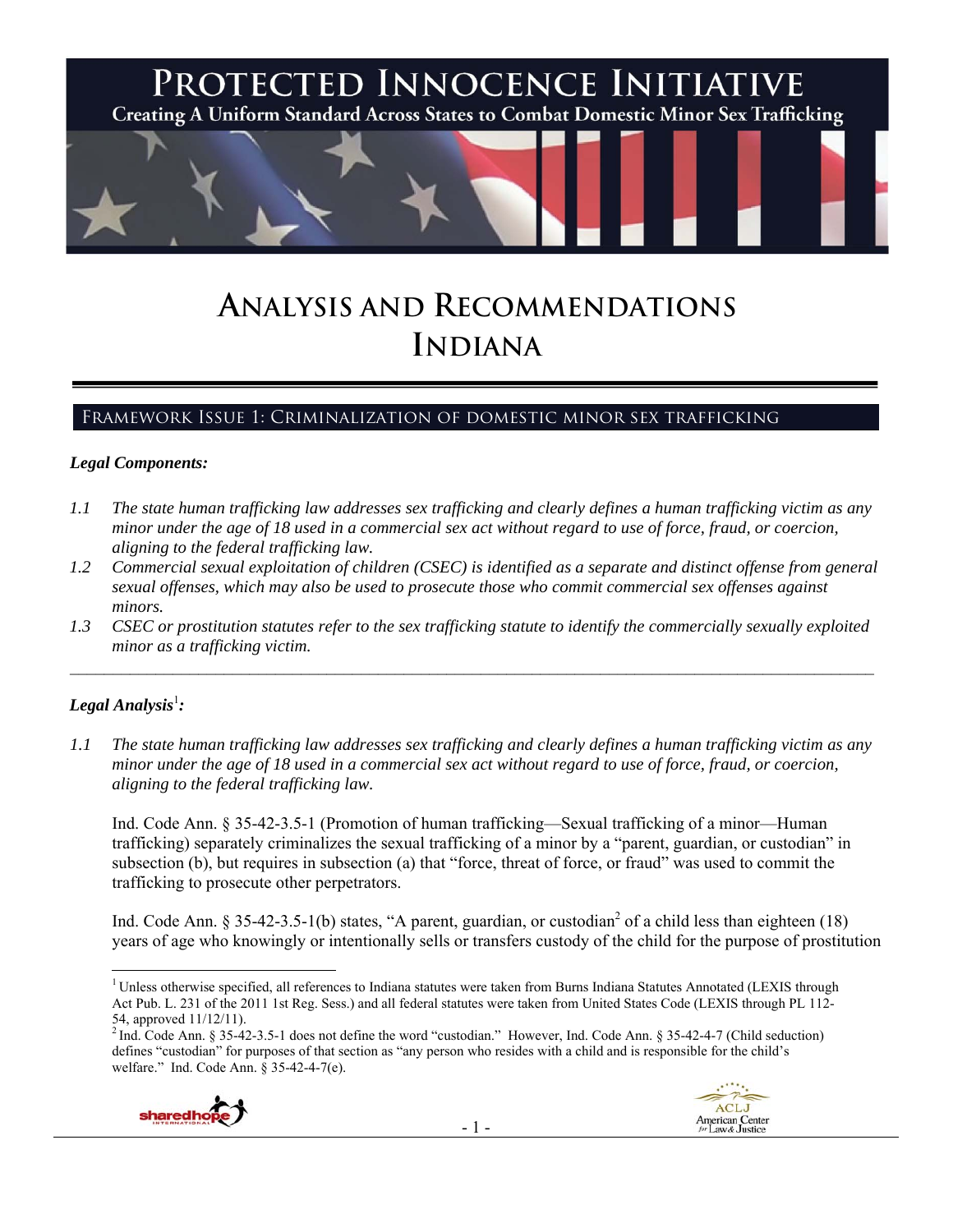

# **ANALYSIS AND RECOMMENDATIONS INDIANA**

# Framework Issue 1: Criminalization of domestic minor sex trafficking

#### *Legal Components:*

- *1.1 The state human trafficking law addresses sex trafficking and clearly defines a human trafficking victim as any minor under the age of 18 used in a commercial sex act without regard to use of force, fraud, or coercion, aligning to the federal trafficking law.*
- *1.2 Commercial sexual exploitation of children (CSEC) is identified as a separate and distinct offense from general sexual offenses, which may also be used to prosecute those who commit commercial sex offenses against minors.*
- *1.3 CSEC or prostitution statutes refer to the sex trafficking statute to identify the commercially sexually exploited minor as a trafficking victim.*

# $\bm{\mathit{Legal\, Analysis}^{\text{l}}:}$

*1.1 The state human trafficking law addresses sex trafficking and clearly defines a human trafficking victim as any minor under the age of 18 used in a commercial sex act without regard to use of force, fraud, or coercion, aligning to the federal trafficking law.*

Ind. Code Ann. § 35-42-3.5-1 (Promotion of human trafficking—Sexual trafficking of a minor—Human trafficking) separately criminalizes the sexual trafficking of a minor by a "parent, guardian, or custodian" in subsection (b), but requires in subsection (a) that "force, threat of force, or fraud" was used to commit the trafficking to prosecute other perpetrators.

Ind. Code Ann. § 35-42-3.5-1(b) states, "A parent, guardian, or custodian<sup>2</sup> of a child less than eighteen (18) years of age who knowingly or intentionally sells or transfers custody of the child for the purpose of prostitution

 $^2$  Ind. Code Ann. § 35-42-3.5-1 does not define the word "custodian." However, Ind. Code Ann. § 35-42-4-7 (Child seduction) defines "custodian" for purposes of that section as "any person who resides with a child and is responsible for the child's welfare." Ind. Code Ann. § 35-42-4-7(e).



 <sup>1</sup> Unless otherwise specified, all references to Indiana statutes were taken from Burns Indiana Statutes Annotated (LEXIS through Act Pub. L. 231 of the 2011 1st Reg. Sess.) and all federal statutes were taken from United States Code (LEXIS through PL 112- 54, approved 11/12/11).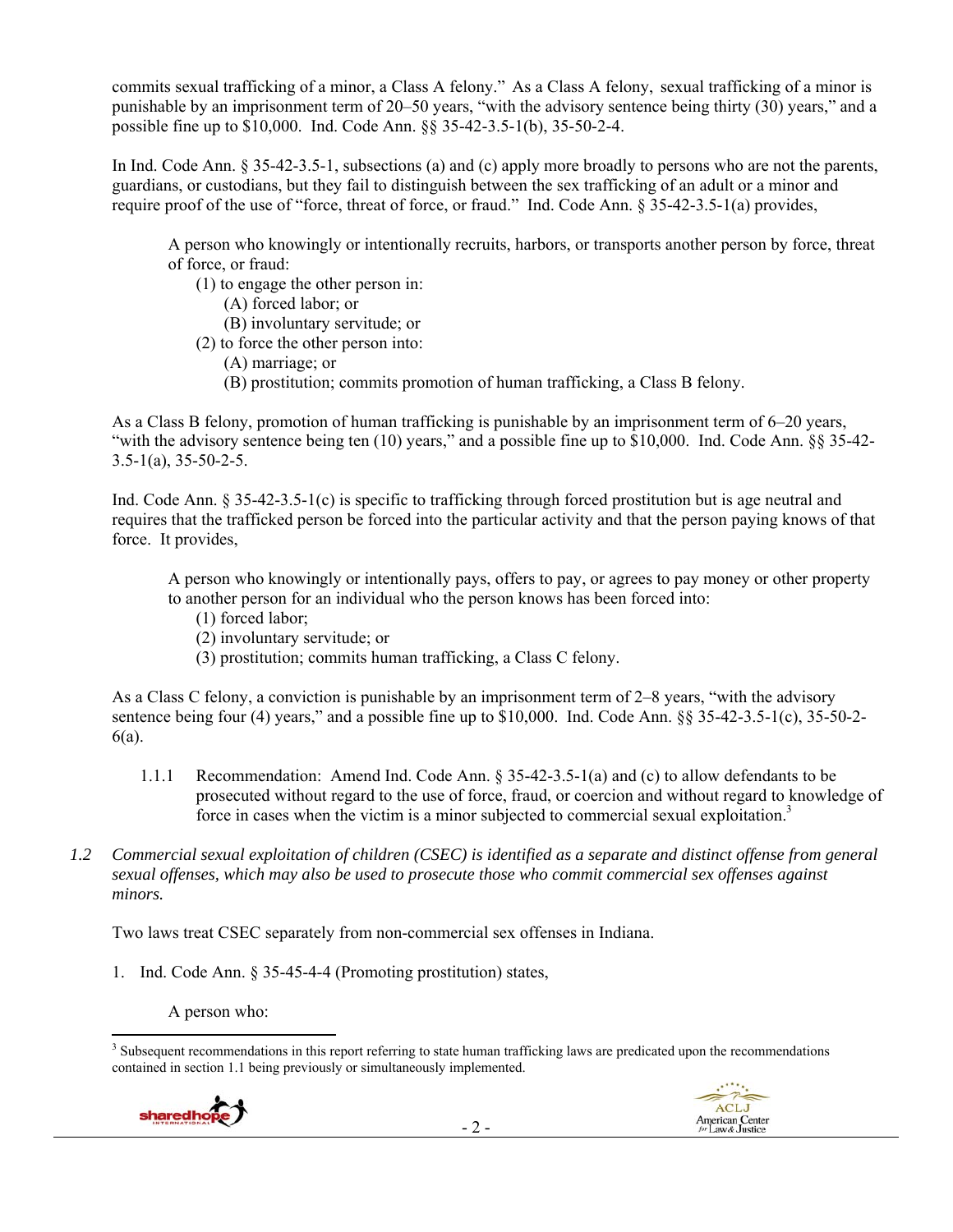commits sexual trafficking of a minor, a Class A felony." As a Class A felony, sexual trafficking of a minor is punishable by an imprisonment term of 20–50 years, "with the advisory sentence being thirty (30) years," and a possible fine up to \$10,000. Ind. Code Ann. §§ 35-42-3.5-1(b), 35-50-2-4.

In Ind. Code Ann. § 35-42-3.5-1, subsections (a) and (c) apply more broadly to persons who are not the parents, guardians, or custodians, but they fail to distinguish between the sex trafficking of an adult or a minor and require proof of the use of "force, threat of force, or fraud." Ind. Code Ann. § 35-42-3.5-1(a) provides,

A person who knowingly or intentionally recruits, harbors, or transports another person by force, threat of force, or fraud:

(1) to engage the other person in:

- (A) forced labor; or
- (B) involuntary servitude; or
- (2) to force the other person into:
	- (A) marriage; or
	- (B) prostitution; commits promotion of human trafficking, a Class B felony.

As a Class B felony, promotion of human trafficking is punishable by an imprisonment term of 6–20 years, "with the advisory sentence being ten (10) years," and a possible fine up to \$10,000. Ind. Code Ann. §§ 35-42-  $3.5-1(a)$ ,  $35-50-2-5$ .

Ind. Code Ann. § 35-42-3.5-1(c) is specific to trafficking through forced prostitution but is age neutral and requires that the trafficked person be forced into the particular activity and that the person paying knows of that force. It provides,

A person who knowingly or intentionally pays, offers to pay, or agrees to pay money or other property to another person for an individual who the person knows has been forced into:

- (1) forced labor;
- (2) involuntary servitude; or
- (3) prostitution; commits human trafficking, a Class C felony.

As a Class C felony, a conviction is punishable by an imprisonment term of 2–8 years, "with the advisory sentence being four (4) years," and a possible fine up to \$10,000. Ind. Code Ann. §§ 35-42-3.5-1(c), 35-50-2-6(a).

- 1.1.1 Recommendation: Amend Ind. Code Ann. § 35-42-3.5-1(a) and (c) to allow defendants to be prosecuted without regard to the use of force, fraud, or coercion and without regard to knowledge of force in cases when the victim is a minor subjected to commercial sexual exploitation.<sup>3</sup>
- *1.2 Commercial sexual exploitation of children (CSEC) is identified as a separate and distinct offense from general sexual offenses, which may also be used to prosecute those who commit commercial sex offenses against minors.*

Two laws treat CSEC separately from non-commercial sex offenses in Indiana.

1. Ind. Code Ann. § 35-45-4-4 (Promoting prostitution) states,

A person who: 

<sup>&</sup>lt;sup>3</sup> Subsequent recommendations in this report referring to state human trafficking laws are predicated upon the recommendations contained in section 1.1 being previously or simultaneously implemented.



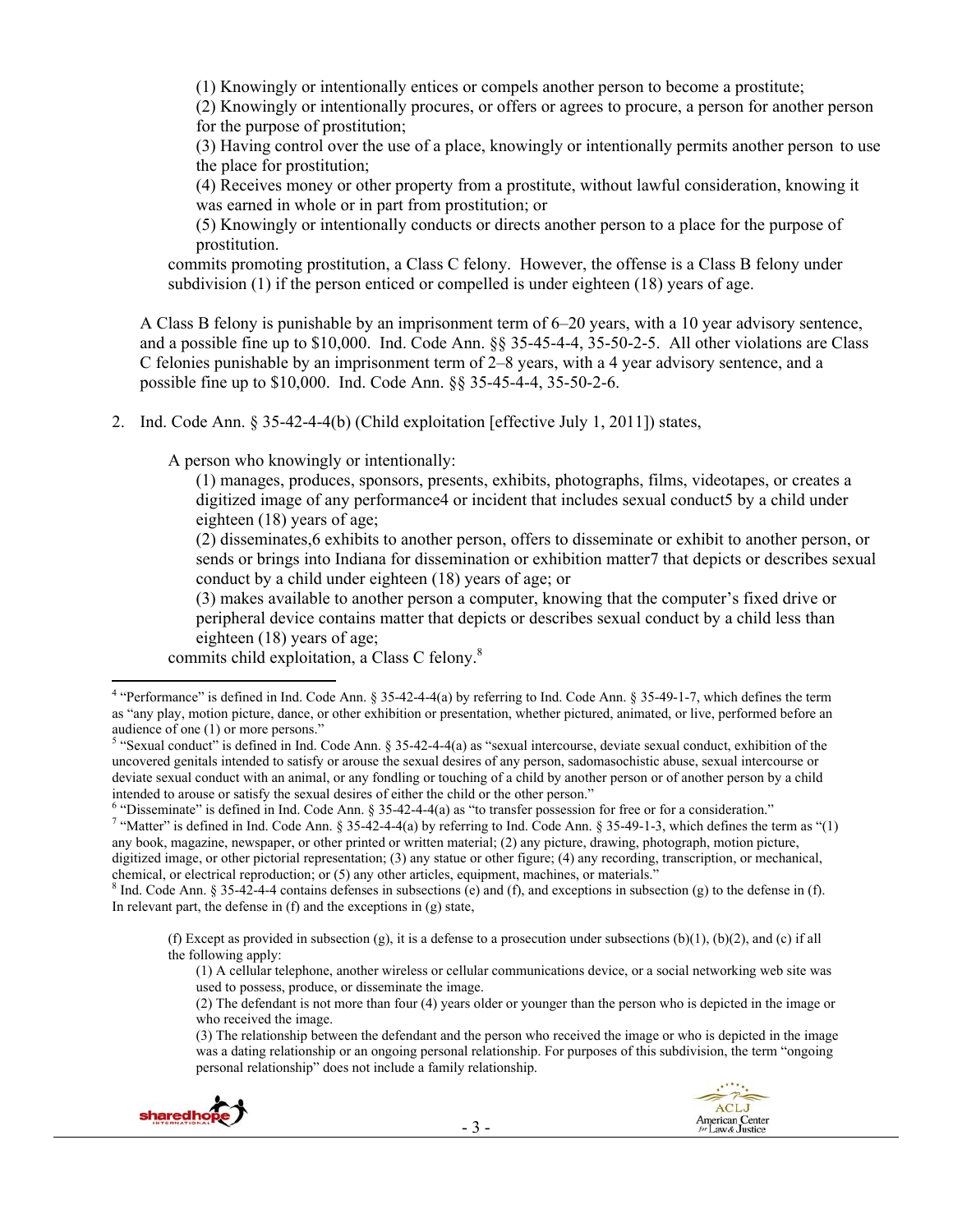(1) Knowingly or intentionally entices or compels another person to become a prostitute;

(2) Knowingly or intentionally procures, or offers or agrees to procure, a person for another person for the purpose of prostitution;

(3) Having control over the use of a place, knowingly or intentionally permits another person to use the place for prostitution;

(4) Receives money or other property from a prostitute, without lawful consideration, knowing it was earned in whole or in part from prostitution; or

(5) Knowingly or intentionally conducts or directs another person to a place for the purpose of prostitution.

commits promoting prostitution, a Class C felony. However, the offense is a Class B felony under subdivision (1) if the person enticed or compelled is under eighteen (18) years of age.

A Class B felony is punishable by an imprisonment term of 6–20 years, with a 10 year advisory sentence, and a possible fine up to \$10,000. Ind. Code Ann. §§ 35-45-4-4, 35-50-2-5. All other violations are Class C felonies punishable by an imprisonment term of 2–8 years, with a 4 year advisory sentence, and a possible fine up to \$10,000. Ind. Code Ann. §§ 35-45-4-4, 35-50-2-6.

2. Ind. Code Ann. § 35-42-4-4(b) (Child exploitation [effective July 1, 2011]) states,

A person who knowingly or intentionally:

(1) manages, produces, sponsors, presents, exhibits, photographs, films, videotapes, or creates a digitized image of any performance4 or incident that includes sexual conduct5 by a child under eighteen (18) years of age;

(2) disseminates,6 exhibits to another person, offers to disseminate or exhibit to another person, or sends or brings into Indiana for dissemination or exhibition matter7 that depicts or describes sexual conduct by a child under eighteen (18) years of age; or

(3) makes available to another person a computer, knowing that the computer's fixed drive or peripheral device contains matter that depicts or describes sexual conduct by a child less than eighteen (18) years of age;

commits child exploitation, a Class C felony.8

<sup>6</sup> "Disseminate" is defined in Ind. Code Ann.  $\S 35-42-4-4(a)$  as "to transfer possession for free or for a consideration."<br><sup>7</sup> "Mattar" is defined in Ind. Code Ann.  $\S 35-42-4-4(a)$  by referring to Ind. Code Ann.  $\S 35-40$ 

" "Matter" is defined in Ind. Code Ann. § 35-42-4-4(a) by referring to Ind. Code Ann. § 35-49-1-3, which defines the term as "(1) any book, magazine, newspaper, or other printed or written material; (2) any picture, drawing, photograph, motion picture, digitized image, or other pictorial representation; (3) any statue or other figure; (4) any recording, transcription, or mechanical, chemical, or electrical reproduction; or (5) any other articles, equipment, machines, or materials."

 ${}^8$  Ind. Code Ann. § 35-42-4-4 contains defenses in subsections (e) and (f), and exceptions in subsection (g) to the defense in (f). In relevant part, the defense in  $(f)$  and the exceptions in  $(g)$  state,

(f) Except as provided in subsection  $(g)$ , it is a defense to a prosecution under subsections  $(b)(1)$ ,  $(b)(2)$ , and  $(c)$  if all the following apply:

<sup>(3)</sup> The relationship between the defendant and the person who received the image or who is depicted in the image was a dating relationship or an ongoing personal relationship. For purposes of this subdivision, the term "ongoing personal relationship" does not include a family relationship.



 4 "Performance" is defined in Ind. Code Ann. § 35-42-4-4(a) by referring to Ind. Code Ann. § 35-49-1-7, which defines the term as "any play, motion picture, dance, or other exhibition or presentation, whether pictured, animated, or live, performed before an audience of one (1) or more persons."

 $5$  "Sexual conduct" is defined in Ind. Code Ann. § 35-42-4-4(a) as "sexual intercourse, deviate sexual conduct, exhibition of the uncovered genitals intended to satisfy or arouse the sexual desires of any person, sadomasochistic abuse, sexual intercourse or deviate sexual conduct with an animal, or any fondling or touching of a child by another person or of another person by a child intended to arouse or satisfy the sexual desires of either the child or the other person."

<sup>(1)</sup> A cellular telephone, another wireless or cellular communications device, or a social networking web site was used to possess, produce, or disseminate the image.

<sup>(2)</sup> The defendant is not more than four (4) years older or younger than the person who is depicted in the image or who received the image.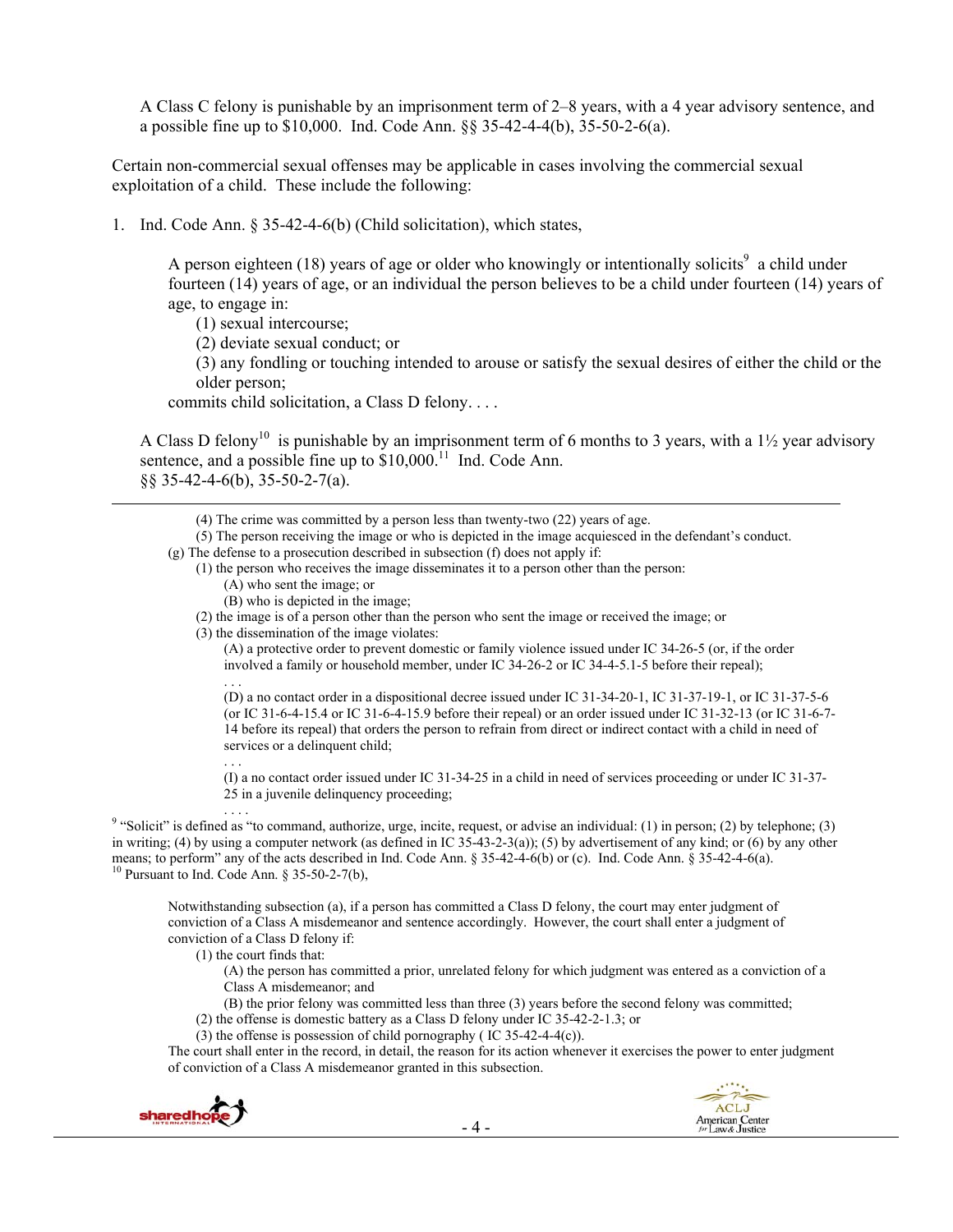A Class C felony is punishable by an imprisonment term of 2–8 years, with a 4 year advisory sentence, and a possible fine up to \$10,000. Ind. Code Ann. §§ 35-42-4-4(b), 35-50-2-6(a).

Certain non-commercial sexual offenses may be applicable in cases involving the commercial sexual exploitation of a child. These include the following:

1. Ind. Code Ann. § 35-42-4-6(b) (Child solicitation), which states,

A person eighteen (18) years of age or older who knowingly or intentionally solicits<sup>9</sup> a child under fourteen (14) years of age, or an individual the person believes to be a child under fourteen (14) years of age, to engage in:

(1) sexual intercourse;

(2) deviate sexual conduct; or

(3) any fondling or touching intended to arouse or satisfy the sexual desires of either the child or the older person;

commits child solicitation, a Class D felony. . . .

A Class D felony<sup>10</sup> is punishable by an imprisonment term of 6 months to 3 years, with a 1½ year advisory sentence, and a possible fine up to  $$10,000$ <sup>11</sup> Ind. Code Ann. §§ 35-42-4-6(b), 35-50-2-7(a).

(5) The person receiving the image or who is depicted in the image acquiesced in the defendant's conduct.

<u> 1989 - Jan Samuel Barbara, martxa a shekara tsa 1989 - An tsa 1989 - An tsa 1989 - An tsa 1989 - An tsa 198</u>

- (g) The defense to a prosecution described in subsection (f) does not apply if:
	- (1) the person who receives the image disseminates it to a person other than the person:
		- (A) who sent the image; or
		- (B) who is depicted in the image;

(2) the image is of a person other than the person who sent the image or received the image; or

(3) the dissemination of the image violates:

(A) a protective order to prevent domestic or family violence issued under IC 34-26-5 (or, if the order involved a family or household member, under IC 34-26-2 or IC 34-4-5.1-5 before their repeal);

. . . (D) a no contact order in a dispositional decree issued under IC 31-34-20-1, IC 31-37-19-1, or IC 31-37-5-6 (or IC 31-6-4-15.4 or IC 31-6-4-15.9 before their repeal) or an order issued under IC 31-32-13 (or IC 31-6-7- 14 before its repeal) that orders the person to refrain from direct or indirect contact with a child in need of services or a delinquent child;

(I) a no contact order issued under IC 31-34-25 in a child in need of services proceeding or under IC 31-37- 25 in a juvenile delinquency proceeding;

<sup>9</sup> "Solicit" is defined as "to command, authorize, urge, incite, request, or advise an individual: (1) in person; (2) by telephone; (3) in writing; (4) by using a computer network (as defined in IC 35-43-2-3(a)); (5) by advertisement of any kind; or (6) by any other means; to perform" any of the acts described in Ind. Code Ann. § 35-42-4-6(b) or (c). Ind. Code Ann. § 35-42-4-6(a). <sup>10</sup> Pursuant to Ind. Code Ann. § 35-50-2-7(b),

Notwithstanding subsection (a), if a person has committed a Class D felony, the court may enter judgment of conviction of a Class A misdemeanor and sentence accordingly. However, the court shall enter a judgment of conviction of a Class D felony if:

(1) the court finds that:

. . .

(A) the person has committed a prior, unrelated felony for which judgment was entered as a conviction of a Class A misdemeanor; and

(B) the prior felony was committed less than three (3) years before the second felony was committed;

(2) the offense is domestic battery as a Class D felony under IC 35-42-2-1.3; or

(3) the offense is possession of child pornography ( IC 35-42-4-4(c)).

The court shall enter in the record, in detail, the reason for its action whenever it exercises the power to enter judgment of conviction of a Class A misdemeanor granted in this subsection.



<sup>(4)</sup> The crime was committed by a person less than twenty-two (22) years of age.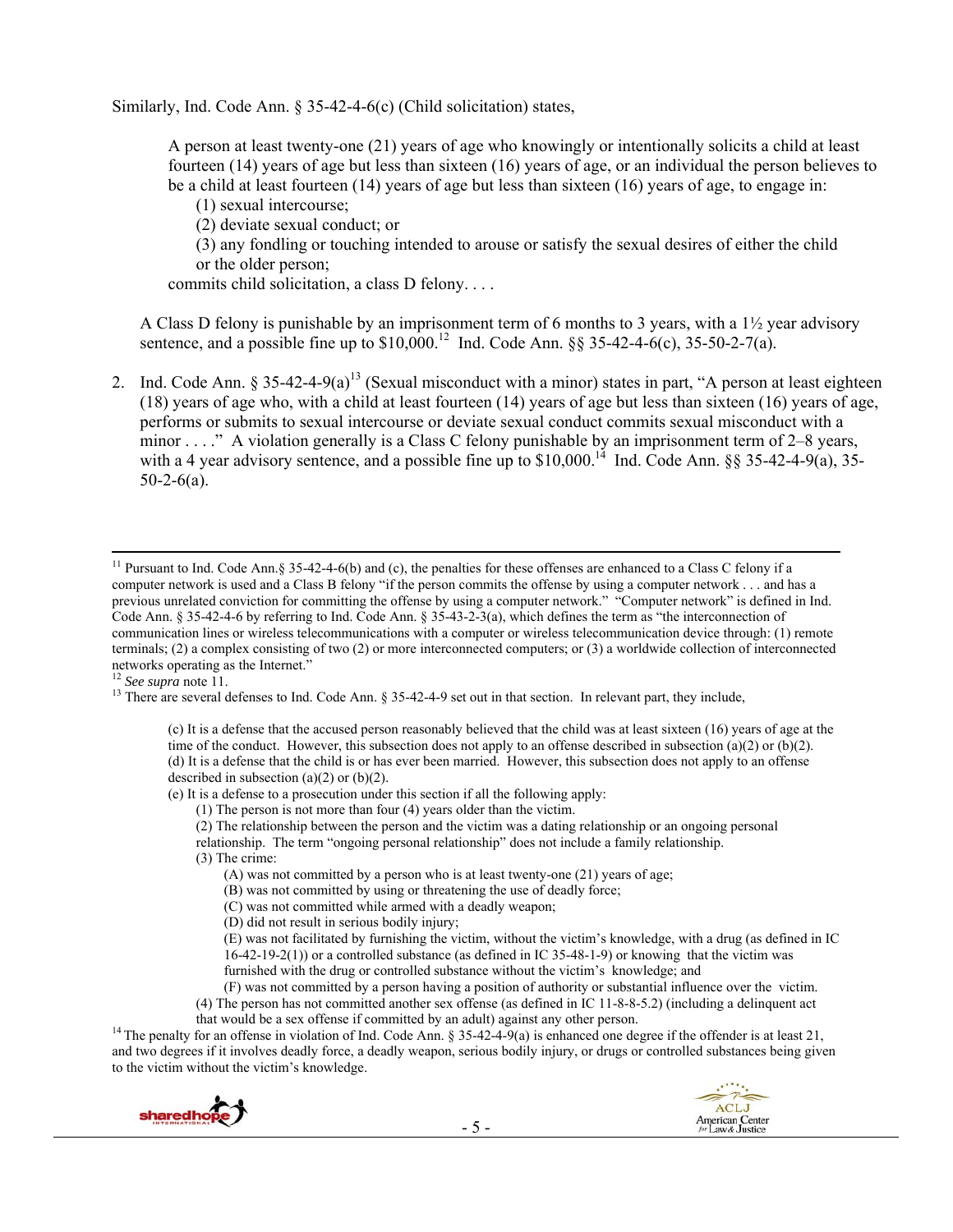Similarly, Ind. Code Ann. § 35-42-4-6(c) (Child solicitation) states,

A person at least twenty-one (21) years of age who knowingly or intentionally solicits a child at least fourteen (14) years of age but less than sixteen (16) years of age, or an individual the person believes to be a child at least fourteen (14) years of age but less than sixteen (16) years of age, to engage in:

(1) sexual intercourse;

(2) deviate sexual conduct; or

(3) any fondling or touching intended to arouse or satisfy the sexual desires of either the child or the older person;

commits child solicitation, a class D felony. . . .

A Class D felony is punishable by an imprisonment term of 6 months to 3 years, with a 1½ year advisory sentence, and a possible fine up to  $$10,000$ .<sup>12</sup> Ind. Code Ann. §§ 35-42-4-6(c), 35-50-2-7(a).

2. Ind. Code Ann.  $\S 35-42-4-9(a)^{13}$  (Sexual misconduct with a minor) states in part, "A person at least eighteen (18) years of age who, with a child at least fourteen (14) years of age but less than sixteen (16) years of age, performs or submits to sexual intercourse or deviate sexual conduct commits sexual misconduct with a minor . . . ." A violation generally is a Class C felony punishable by an imprisonment term of 2–8 years, with a 4 year advisory sentence, and a possible fine up to  $$10,000$ .<sup>14</sup> Ind. Code Ann. §§ 35-42-4-9(a), 35- $50-2-6(a)$ .

<sup>13</sup> There are several defenses to Ind. Code Ann. § 35-42-4-9 set out in that section. In relevant part, they include,

(c) It is a defense that the accused person reasonably believed that the child was at least sixteen (16) years of age at the time of the conduct. However, this subsection does not apply to an offense described in subsection (a)(2) or (b)(2). (d) It is a defense that the child is or has ever been married. However, this subsection does not apply to an offense described in subsection  $(a)(2)$  or  $(b)(2)$ .

(e) It is a defense to a prosecution under this section if all the following apply:

(1) The person is not more than four (4) years older than the victim.

(2) The relationship between the person and the victim was a dating relationship or an ongoing personal relationship. The term "ongoing personal relationship" does not include a family relationship.

(3) The crime:

(A) was not committed by a person who is at least twenty-one (21) years of age;

(B) was not committed by using or threatening the use of deadly force;

(C) was not committed while armed with a deadly weapon;

(D) did not result in serious bodily injury;

(E) was not facilitated by furnishing the victim, without the victim's knowledge, with a drug (as defined in IC  $16-42-19-2(1)$ ) or a controlled substance (as defined in IC 35-48-1-9) or knowing that the victim was furnished with the drug or controlled substance without the victim's knowledge; and

(F) was not committed by a person having a position of authority or substantial influence over the victim. (4) The person has not committed another sex offense (as defined in IC 11-8-8-5.2) (including a delinquent act

<sup>14</sup> The penalty for an offense in violation of Ind. Code Ann. § 35-42-4-9(a) is enhanced one degree if the offender is at least 21, and two degrees if it involves deadly force, a deadly weapon, serious bodily injury, or drugs or controlled substances being given to the victim without the victim's knowledge.



<sup>&</sup>lt;sup>11</sup> Pursuant to Ind. Code Ann.§ 35-42-4-6(b) and (c), the penalties for these offenses are enhanced to a Class C felony if a computer network is used and a Class B felony "if the person commits the offense by using a computer network . . . and has a previous unrelated conviction for committing the offense by using a computer network." "Computer network" is defined in Ind. Code Ann. § 35-42-4-6 by referring to Ind. Code Ann. § 35-43-2-3(a), which defines the term as "the interconnection of communication lines or wireless telecommunications with a computer or wireless telecommunication device through: (1) remote terminals; (2) a complex consisting of two (2) or more interconnected computers; or (3) a worldwide collection of interconnected networks operating as the Internet."<br><sup>12</sup> See supra note 11.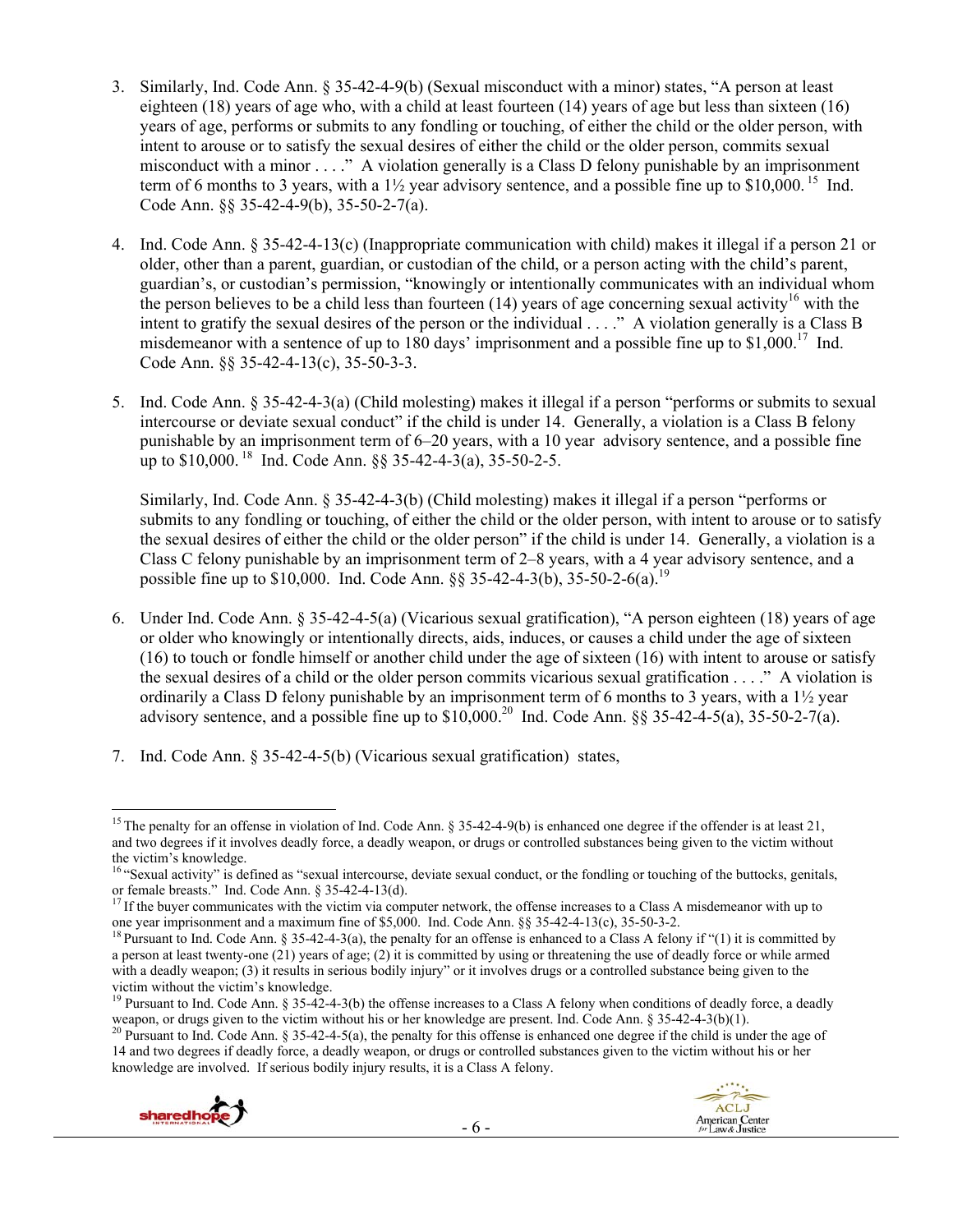- 3. Similarly, Ind. Code Ann. § 35-42-4-9(b) (Sexual misconduct with a minor) states, "A person at least eighteen (18) years of age who, with a child at least fourteen (14) years of age but less than sixteen (16) years of age, performs or submits to any fondling or touching, of either the child or the older person, with intent to arouse or to satisfy the sexual desires of either the child or the older person, commits sexual misconduct with a minor . . . ." A violation generally is a Class D felony punishable by an imprisonment term of 6 months to 3 years, with a  $1\frac{1}{2}$  year advisory sentence, and a possible fine up to \$10,000.<sup>15</sup> Ind. Code Ann. §§ 35-42-4-9(b), 35-50-2-7(a).
- 4. Ind. Code Ann. § 35-42-4-13(c) (Inappropriate communication with child) makes it illegal if a person 21 or older, other than a parent, guardian, or custodian of the child, or a person acting with the child's parent, guardian's, or custodian's permission, "knowingly or intentionally communicates with an individual whom the person believes to be a child less than fourteen (14) years of age concerning sexual activity<sup>16</sup> with the intent to gratify the sexual desires of the person or the individual . . . ." A violation generally is a Class B misdemeanor with a sentence of up to 180 days' imprisonment and a possible fine up to  $$1,000$ .<sup>17</sup> Ind. Code Ann. §§ 35-42-4-13(c), 35-50-3-3.
- 5. Ind. Code Ann. § 35-42-4-3(a) (Child molesting) makes it illegal if a person "performs or submits to sexual intercourse or deviate sexual conduct" if the child is under 14. Generally, a violation is a Class B felony punishable by an imprisonment term of 6–20 years, with a 10 year advisory sentence, and a possible fine up to  $$10,000$ . <sup>18</sup> Ind. Code Ann.  $\S$ § 35-42-4-3(a), 35-50-2-5.

Similarly, Ind. Code Ann. § 35-42-4-3(b) (Child molesting) makes it illegal if a person "performs or submits to any fondling or touching, of either the child or the older person, with intent to arouse or to satisfy the sexual desires of either the child or the older person" if the child is under 14. Generally, a violation is a Class C felony punishable by an imprisonment term of 2–8 years, with a 4 year advisory sentence, and a possible fine up to \$10,000. Ind. Code Ann. §§ 35-42-4-3(b), 35-50-2-6(a).<sup>19</sup>

- 6. Under Ind. Code Ann. § 35-42-4-5(a) (Vicarious sexual gratification), "A person eighteen (18) years of age or older who knowingly or intentionally directs, aids, induces, or causes a child under the age of sixteen (16) to touch or fondle himself or another child under the age of sixteen (16) with intent to arouse or satisfy the sexual desires of a child or the older person commits vicarious sexual gratification . . . ." A violation is ordinarily a Class D felony punishable by an imprisonment term of 6 months to 3 years, with a 1½ year advisory sentence, and a possible fine up to  $$10,000.<sup>20</sup>$  Ind. Code Ann.  $§$ § 35-42-4-5(a), 35-50-2-7(a).
- 7. Ind. Code Ann. § 35-42-4-5(b) (Vicarious sexual gratification) states,

<sup>14</sup> and two degrees if deadly force, a deadly weapon, or drugs or controlled substances given to the victim without his or her knowledge are involved. If serious bodily injury results, it is a Class A felony.





 <sup>15</sup> The penalty for an offense in violation of Ind. Code Ann.  $\frac{15}{4}$  35-42-4-9(b) is enhanced one degree if the offender is at least 21. and two degrees if it involves deadly force, a deadly weapon, or drugs or controlled substances being given to the victim without the victim's knowledge.

<sup>&</sup>lt;sup>16</sup> "Sexual activity" is defined as "sexual intercourse, deviate sexual conduct, or the fondling or touching of the buttocks, genitals, or female breasts." Ind. Code Ann. § 35-42-4-13(d).

<sup>&</sup>lt;sup>17</sup> If the buyer communicates with the victim via computer network, the offense increases to a Class A misdemeanor with up to one year imprisonment and a maximum fine of \$5,000. Ind. Code Ann.  $\S$  35-42-4-13(c), 35-50-3-

<sup>&</sup>lt;sup>18</sup> Pursuant to Ind. Code Ann. § 35-42-4-3(a), the penalty for an offense is enhanced to a Class A felony if "(1) it is committed by a person at least twenty-one (21) years of age; (2) it is committed by using or threatening the use of deadly force or while armed with a deadly weapon; (3) it results in serious bodily injury" or it involves drugs or a controlled substance being given to the

victim without the victim's knowledge.<br><sup>19</sup> Pursuant to Ind. Code Ann. § 35-42-4-3(b) the offense increases to a Class A felony when conditions of deadly force, a deadly weapon, or drugs given to the victim without his or her knowledge are present. Ind. Code Ann. § 35-42-4-3(b)(1).<br><sup>20</sup> Pursuant to Ind. Code Ann. § 35-42-4-5(a), the penalty for this offense is enhanced one degree if the c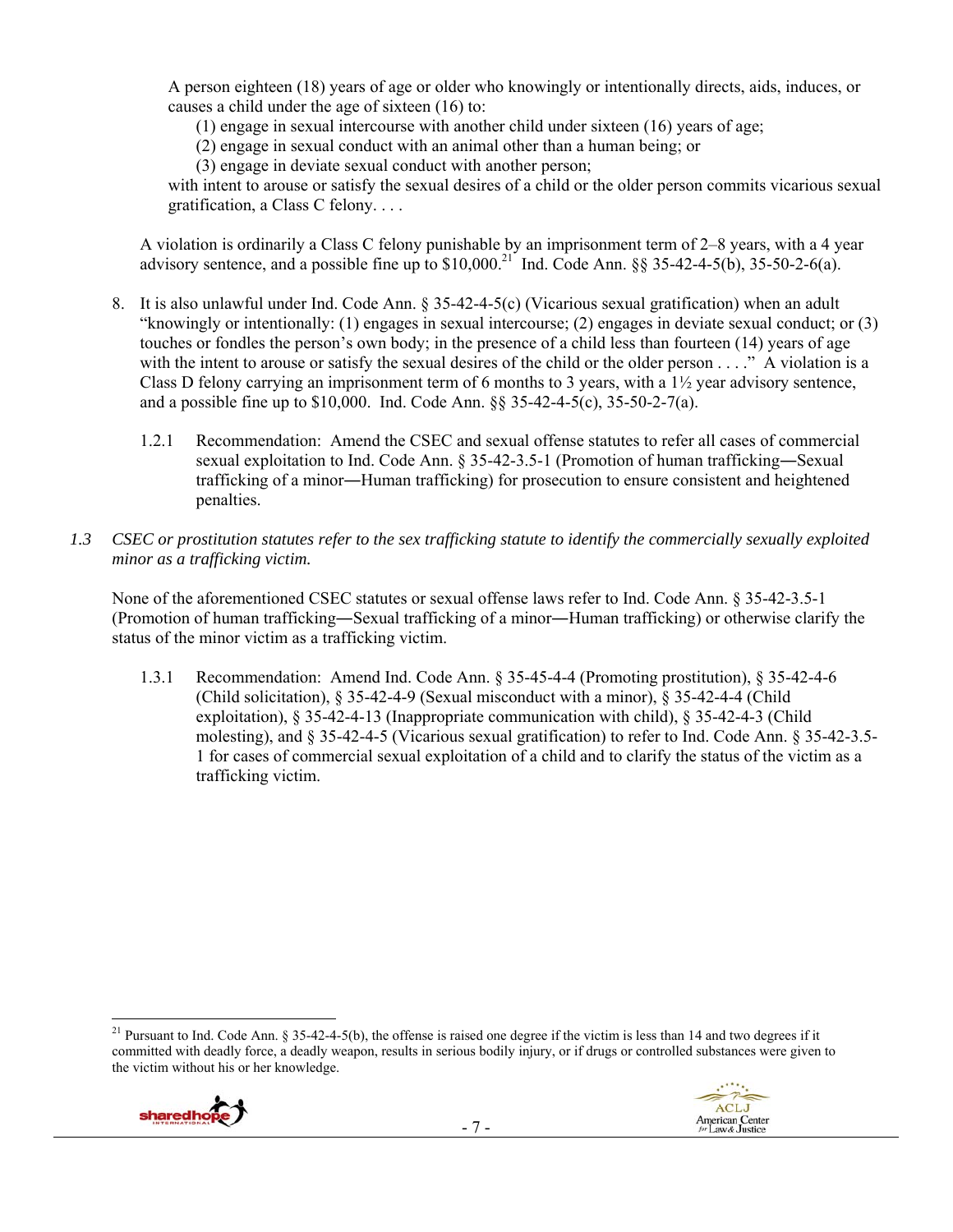A person eighteen (18) years of age or older who knowingly or intentionally directs, aids, induces, or causes a child under the age of sixteen (16) to:

(1) engage in sexual intercourse with another child under sixteen (16) years of age;

(2) engage in sexual conduct with an animal other than a human being; or

(3) engage in deviate sexual conduct with another person;

with intent to arouse or satisfy the sexual desires of a child or the older person commits vicarious sexual gratification, a Class C felony. . . .

A violation is ordinarily a Class C felony punishable by an imprisonment term of 2–8 years, with a 4 year advisory sentence, and a possible fine up to  $$10,000$ .<sup>21</sup> Ind. Code Ann.  $\S$ § 35-42-4-5(b), 35-50-2-6(a).

- 8. It is also unlawful under Ind. Code Ann. § 35-42-4-5(c) (Vicarious sexual gratification) when an adult "knowingly or intentionally: (1) engages in sexual intercourse; (2) engages in deviate sexual conduct; or (3) touches or fondles the person's own body; in the presence of a child less than fourteen (14) years of age with the intent to arouse or satisfy the sexual desires of the child or the older person . . . ." A violation is a Class D felony carrying an imprisonment term of 6 months to 3 years, with a  $1\frac{1}{2}$  year advisory sentence, and a possible fine up to \$10,000. Ind. Code Ann. §§ 35-42-4-5(c), 35-50-2-7(a).
	- 1.2.1 Recommendation: Amend the CSEC and sexual offense statutes to refer all cases of commercial sexual exploitation to Ind. Code Ann. § 35-42-3.5-1 (Promotion of human trafficking―Sexual trafficking of a minor―Human trafficking) for prosecution to ensure consistent and heightened penalties.
- *1.3 CSEC or prostitution statutes refer to the sex trafficking statute to identify the commercially sexually exploited minor as a trafficking victim.*

None of the aforementioned CSEC statutes or sexual offense laws refer to Ind. Code Ann. § 35-42-3.5-1 (Promotion of human trafficking―Sexual trafficking of a minor―Human trafficking) or otherwise clarify the status of the minor victim as a trafficking victim.

1.3.1 Recommendation: Amend Ind. Code Ann. § 35-45-4-4 (Promoting prostitution), § 35-42-4-6 (Child solicitation), § 35-42-4-9 (Sexual misconduct with a minor), § 35-42-4-4 (Child exploitation), § 35-42-4-13 (Inappropriate communication with child), § 35-42-4-3 (Child molesting), and § 35-42-4-5 (Vicarious sexual gratification) to refer to Ind. Code Ann. § 35-42-3.5- 1 for cases of commercial sexual exploitation of a child and to clarify the status of the victim as a trafficking victim.

 <sup>21</sup> Pursuant to Ind. Code Ann. § 35-42-4-5(b), the offense is raised one degree if the victim is less than 14 and two degrees if it committed with deadly force, a deadly weapon, results in serious bodily injury, or if drugs or controlled substances were given to the victim without his or her knowledge.



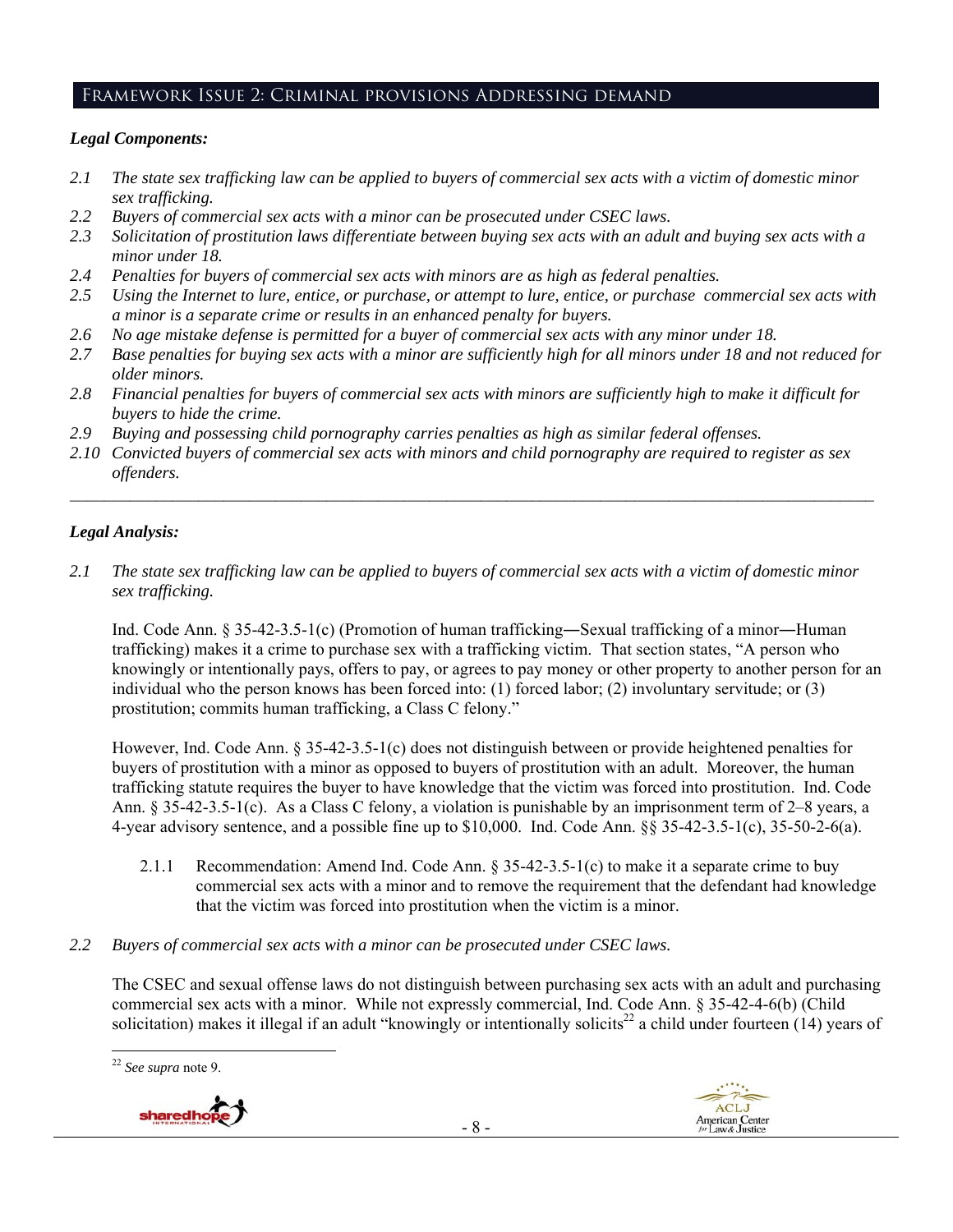# Framework Issue 2: Criminal provisions Addressing demand

#### *Legal Components:*

- *2.1 The state sex trafficking law can be applied to buyers of commercial sex acts with a victim of domestic minor sex trafficking.*
- *2.2 Buyers of commercial sex acts with a minor can be prosecuted under CSEC laws.*
- *2.3 Solicitation of prostitution laws differentiate between buying sex acts with an adult and buying sex acts with a minor under 18.*
- *2.4 Penalties for buyers of commercial sex acts with minors are as high as federal penalties.*
- *2.5 Using the Internet to lure, entice, or purchase, or attempt to lure, entice, or purchase commercial sex acts with a minor is a separate crime or results in an enhanced penalty for buyers.*
- *2.6 No age mistake defense is permitted for a buyer of commercial sex acts with any minor under 18.*
- *2.7 Base penalties for buying sex acts with a minor are sufficiently high for all minors under 18 and not reduced for older minors.*
- *2.8 Financial penalties for buyers of commercial sex acts with minors are sufficiently high to make it difficult for buyers to hide the crime.*
- *2.9 Buying and possessing child pornography carries penalties as high as similar federal offenses.*
- *2.10 Convicted buyers of commercial sex acts with minors and child pornography are required to register as sex offenders.*

 $\mathcal{L}_\mathcal{L} = \{ \mathcal{L}_\mathcal{L} = \{ \mathcal{L}_\mathcal{L} = \{ \mathcal{L}_\mathcal{L} = \{ \mathcal{L}_\mathcal{L} = \{ \mathcal{L}_\mathcal{L} = \{ \mathcal{L}_\mathcal{L} = \{ \mathcal{L}_\mathcal{L} = \{ \mathcal{L}_\mathcal{L} = \{ \mathcal{L}_\mathcal{L} = \{ \mathcal{L}_\mathcal{L} = \{ \mathcal{L}_\mathcal{L} = \{ \mathcal{L}_\mathcal{L} = \{ \mathcal{L}_\mathcal{L} = \{ \mathcal{L}_\mathcal{$ 

#### *Legal Analysis:*

*2.1 The state sex trafficking law can be applied to buyers of commercial sex acts with a victim of domestic minor sex trafficking.* 

Ind. Code Ann. § 35-42-3.5-1(c) (Promotion of human trafficking―Sexual trafficking of a minor―Human trafficking) makes it a crime to purchase sex with a trafficking victim. That section states, "A person who knowingly or intentionally pays, offers to pay, or agrees to pay money or other property to another person for an individual who the person knows has been forced into: (1) forced labor; (2) involuntary servitude; or (3) prostitution; commits human trafficking, a Class C felony."

However, Ind. Code Ann. § 35-42-3.5-1(c) does not distinguish between or provide heightened penalties for buyers of prostitution with a minor as opposed to buyers of prostitution with an adult. Moreover, the human trafficking statute requires the buyer to have knowledge that the victim was forced into prostitution. Ind. Code Ann. § 35-42-3.5-1(c). As a Class C felony, a violation is punishable by an imprisonment term of 2–8 years, a 4-year advisory sentence, and a possible fine up to \$10,000. Ind. Code Ann. §§ 35-42-3.5-1(c), 35-50-2-6(a).

- 2.1.1 Recommendation: Amend Ind. Code Ann. § 35-42-3.5-1(c) to make it a separate crime to buy commercial sex acts with a minor and to remove the requirement that the defendant had knowledge that the victim was forced into prostitution when the victim is a minor.
- *2.2 Buyers of commercial sex acts with a minor can be prosecuted under CSEC laws.*

The CSEC and sexual offense laws do not distinguish between purchasing sex acts with an adult and purchasing commercial sex acts with a minor. While not expressly commercial, Ind. Code Ann. § 35-42-4-6(b) (Child solicitation) makes it illegal if an adult "knowingly or intentionally solicits<sup>22</sup> a child under fourteen  $(14)$  years of

 <sup>22</sup> *See supra* note 9.

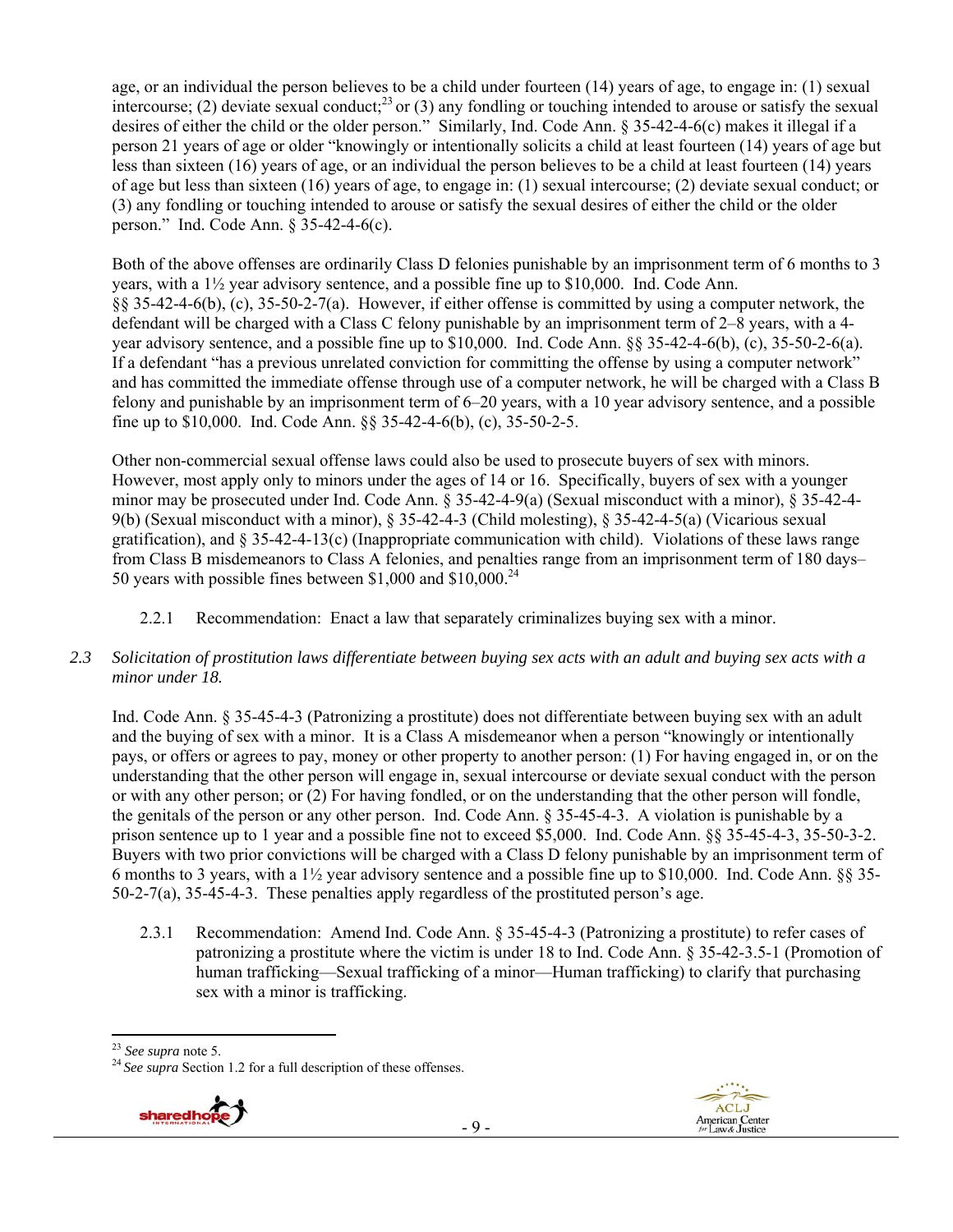age, or an individual the person believes to be a child under fourteen (14) years of age, to engage in: (1) sexual intercourse; (2) deviate sexual conduct;<sup>23</sup> or (3) any fondling or touching intended to arouse or satisfy the sexual desires of either the child or the older person." Similarly, Ind. Code Ann. § 35-42-4-6(c) makes it illegal if a person 21 years of age or older "knowingly or intentionally solicits a child at least fourteen (14) years of age but less than sixteen (16) years of age, or an individual the person believes to be a child at least fourteen (14) years of age but less than sixteen (16) years of age, to engage in: (1) sexual intercourse; (2) deviate sexual conduct; or (3) any fondling or touching intended to arouse or satisfy the sexual desires of either the child or the older person." Ind. Code Ann. § 35-42-4-6(c).

Both of the above offenses are ordinarily Class D felonies punishable by an imprisonment term of 6 months to 3 years, with a 1½ year advisory sentence, and a possible fine up to \$10,000. Ind. Code Ann. §§ 35-42-4-6(b), (c), 35-50-2-7(a). However, if either offense is committed by using a computer network, the defendant will be charged with a Class C felony punishable by an imprisonment term of 2–8 years, with a 4 year advisory sentence, and a possible fine up to \$10,000. Ind. Code Ann. §§ 35-42-4-6(b), (c), 35-50-2-6(a). If a defendant "has a previous unrelated conviction for committing the offense by using a computer network" and has committed the immediate offense through use of a computer network, he will be charged with a Class B felony and punishable by an imprisonment term of 6–20 years, with a 10 year advisory sentence, and a possible fine up to \$10,000. Ind. Code Ann. §§ 35-42-4-6(b), (c), 35-50-2-5.

Other non-commercial sexual offense laws could also be used to prosecute buyers of sex with minors. However, most apply only to minors under the ages of 14 or 16. Specifically, buyers of sex with a younger minor may be prosecuted under Ind. Code Ann. § 35-42-4-9(a) (Sexual misconduct with a minor), § 35-42-4- 9(b) (Sexual misconduct with a minor), § 35-42-4-3 (Child molesting), § 35-42-4-5(a) (Vicarious sexual gratification), and § 35-42-4-13(c) (Inappropriate communication with child). Violations of these laws range from Class B misdemeanors to Class A felonies, and penalties range from an imprisonment term of 180 days– 50 years with possible fines between \$1,000 and \$10,000.<sup>24</sup>

2.2.1 Recommendation: Enact a law that separately criminalizes buying sex with a minor.

# *2.3 Solicitation of prostitution laws differentiate between buying sex acts with an adult and buying sex acts with a minor under 18.*

Ind. Code Ann. § 35-45-4-3 (Patronizing a prostitute) does not differentiate between buying sex with an adult and the buying of sex with a minor. It is a Class A misdemeanor when a person "knowingly or intentionally pays, or offers or agrees to pay, money or other property to another person: (1) For having engaged in, or on the understanding that the other person will engage in, sexual intercourse or deviate sexual conduct with the person or with any other person; or (2) For having fondled, or on the understanding that the other person will fondle, the genitals of the person or any other person. Ind. Code Ann. § 35-45-4-3. A violation is punishable by a prison sentence up to 1 year and a possible fine not to exceed \$5,000. Ind. Code Ann. §§ 35-45-4-3, 35-50-3-2. Buyers with two prior convictions will be charged with a Class D felony punishable by an imprisonment term of 6 months to 3 years, with a  $1\frac{1}{2}$  year advisory sentence and a possible fine up to \$10,000. Ind. Code Ann. §§ 35-50-2-7(a), 35-45-4-3. These penalties apply regardless of the prostituted person's age.

2.3.1 Recommendation: Amend Ind. Code Ann. § 35-45-4-3 (Patronizing a prostitute) to refer cases of patronizing a prostitute where the victim is under 18 to Ind. Code Ann. § 35-42-3.5-1 (Promotion of human trafficking—Sexual trafficking of a minor—Human trafficking) to clarify that purchasing sex with a minor is trafficking.

<sup>&</sup>lt;sup>23</sup> See supra note 5.<br><sup>24</sup> See supra Section 1.2 for a full description of these offenses.

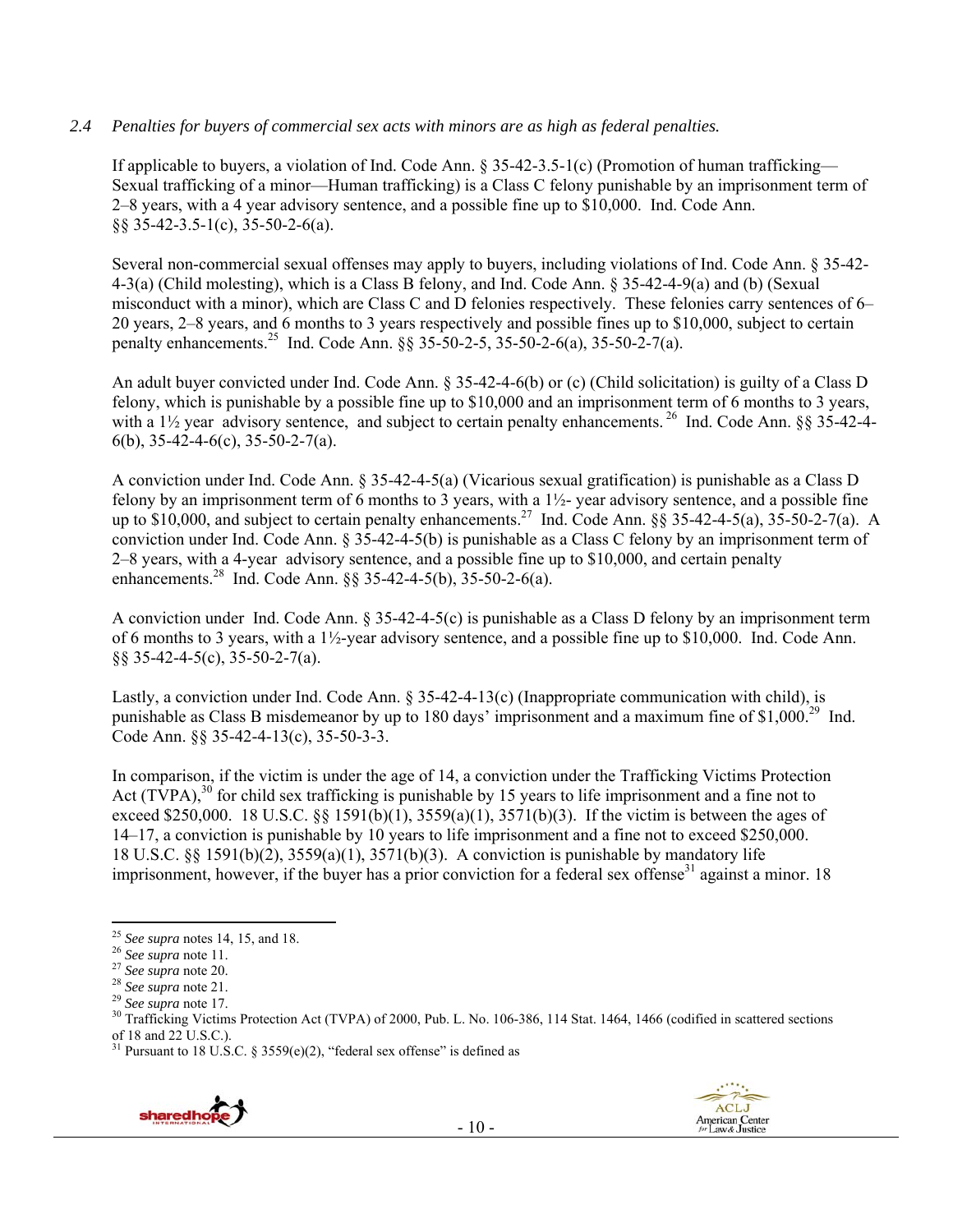#### *2.4 Penalties for buyers of commercial sex acts with minors are as high as federal penalties.*

If applicable to buyers, a violation of Ind. Code Ann.  $\S 35-42-3.5-1(c)$  (Promotion of human trafficking— Sexual trafficking of a minor—Human trafficking) is a Class C felony punishable by an imprisonment term of 2–8 years, with a 4 year advisory sentence, and a possible fine up to \$10,000. Ind. Code Ann. §§ 35-42-3.5-1(c), 35-50-2-6(a).

Several non-commercial sexual offenses may apply to buyers, including violations of Ind. Code Ann. § 35-42- 4-3(a) (Child molesting), which is a Class B felony, and Ind. Code Ann. § 35-42-4-9(a) and (b) (Sexual misconduct with a minor), which are Class C and D felonies respectively. These felonies carry sentences of 6– 20 years, 2–8 years, and 6 months to 3 years respectively and possible fines up to \$10,000, subject to certain penalty enhancements.<sup>25</sup> Ind. Code Ann. §§ 35-50-2-5, 35-50-2-6(a), 35-50-2-7(a).

An adult buyer convicted under Ind. Code Ann. § 35-42-4-6(b) or (c) (Child solicitation) is guilty of a Class D felony, which is punishable by a possible fine up to \$10,000 and an imprisonment term of 6 months to 3 years, with a  $1\frac{1}{2}$  year advisory sentence, and subject to certain penalty enhancements. <sup>26</sup> Ind. Code Ann. §§ 35-42-4-6(b), 35-42-4-6(c), 35-50-2-7(a).

A conviction under Ind. Code Ann. § 35-42-4-5(a) (Vicarious sexual gratification) is punishable as a Class D felony by an imprisonment term of 6 months to 3 years, with a  $1\frac{1}{2}$ - year advisory sentence, and a possible fine up to  $$10,000$ , and subject to certain penalty enhancements.<sup>27</sup> Ind. Code Ann.  $\S$ § 35-42-4-5(a), 35-50-2-7(a). A conviction under Ind. Code Ann. § 35-42-4-5(b) is punishable as a Class C felony by an imprisonment term of 2–8 years, with a 4-year advisory sentence, and a possible fine up to \$10,000, and certain penalty enhancements.<sup>28</sup> Ind. Code Ann. §§ 35-42-4-5(b), 35-50-2-6(a).

A conviction under Ind. Code Ann. § 35-42-4-5(c) is punishable as a Class D felony by an imprisonment term of 6 months to 3 years, with a  $1\frac{1}{2}$ -year advisory sentence, and a possible fine up to \$10,000. Ind. Code Ann. §§ 35-42-4-5(c), 35-50-2-7(a).

Lastly, a conviction under Ind. Code Ann. § 35-42-4-13(c) (Inappropriate communication with child), is punishable as Class B misdemeanor by up to 180 days' imprisonment and a maximum fine of  $$1,000<sup>29</sup>$  Ind. Code Ann. §§ 35-42-4-13(c), 35-50-3-3.

In comparison, if the victim is under the age of 14, a conviction under the Trafficking Victims Protection Act (TVPA),<sup>30</sup> for child sex trafficking is punishable by 15 years to life imprisonment and a fine not to exceed \$250,000. 18 U.S.C.  $\&$  1591(b)(1), 3559(a)(1), 3571(b)(3). If the victim is between the ages of 14–17, a conviction is punishable by 10 years to life imprisonment and a fine not to exceed \$250,000. 18 U.S.C. §§ 1591(b)(2), 3559(a)(1), 3571(b)(3). A conviction is punishable by mandatory life imprisonment, however, if the buyer has a prior conviction for a federal sex offense<sup>31</sup> against a minor. 18

<sup>&</sup>lt;sup>31</sup> Pursuant to 18 U.S.C. § 3559(e)(2), "federal sex offense" is defined as



 $25$  See supra notes 14, 15, and 18.

<sup>&</sup>lt;sup>26</sup> See supra note 11.<br>
<sup>27</sup> See supra note 20.<br>
<sup>28</sup> See supra note 21.<br>
<sup>29</sup> See supra note 17.<br>
<sup>29</sup> See supra note 17.<br>
<sup>30</sup> Trafficking Victims Protection Act (TVPA) of 2000, Pub. L. No. 106-386, 114 Stat. 1464, 146 of 18 and 22 U.S.C.).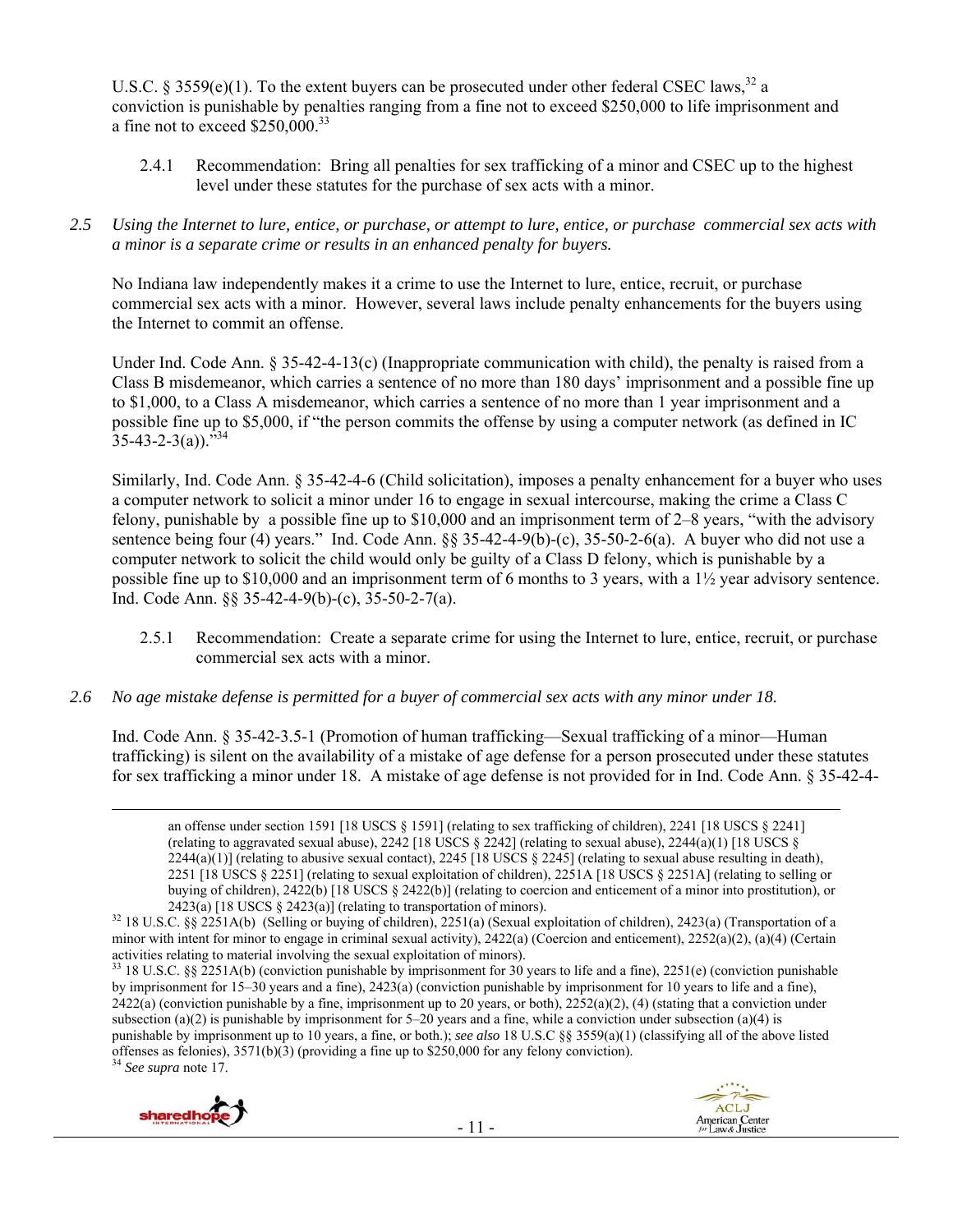U.S.C. § 3559(e)(1). To the extent buyers can be prosecuted under other federal CSEC laws,  $32$  a conviction is punishable by penalties ranging from a fine not to exceed \$250,000 to life imprisonment and a fine not to exceed \$250,000.33

- 2.4.1 Recommendation: Bring all penalties for sex trafficking of a minor and CSEC up to the highest level under these statutes for the purchase of sex acts with a minor.
- *2.5 Using the Internet to lure, entice, or purchase, or attempt to lure, entice, or purchase commercial sex acts with a minor is a separate crime or results in an enhanced penalty for buyers.*

No Indiana law independently makes it a crime to use the Internet to lure, entice, recruit, or purchase commercial sex acts with a minor. However, several laws include penalty enhancements for the buyers using the Internet to commit an offense.

Under Ind. Code Ann. § 35-42-4-13(c) (Inappropriate communication with child), the penalty is raised from a Class B misdemeanor, which carries a sentence of no more than 180 days' imprisonment and a possible fine up to \$1,000, to a Class A misdemeanor, which carries a sentence of no more than 1 year imprisonment and a possible fine up to \$5,000, if "the person commits the offense by using a computer network (as defined in IC  $35-43-2-3(a)$ .  $\overline{334}$ 

Similarly, Ind. Code Ann. § 35-42-4-6 (Child solicitation), imposes a penalty enhancement for a buyer who uses a computer network to solicit a minor under 16 to engage in sexual intercourse, making the crime a Class C felony, punishable by a possible fine up to \$10,000 and an imprisonment term of 2–8 years, "with the advisory sentence being four (4) years." Ind. Code Ann. §§ 35-42-4-9(b)-(c), 35-50-2-6(a). A buyer who did not use a computer network to solicit the child would only be guilty of a Class D felony, which is punishable by a possible fine up to \$10,000 and an imprisonment term of 6 months to 3 years, with a 1½ year advisory sentence. Ind. Code Ann. §§ 35-42-4-9(b)-(c), 35-50-2-7(a).

- 2.5.1 Recommendation: Create a separate crime for using the Internet to lure, entice, recruit, or purchase commercial sex acts with a minor.
- *2.6 No age mistake defense is permitted for a buyer of commercial sex acts with any minor under 18.*

Ind. Code Ann. § 35-42-3.5-1 (Promotion of human trafficking—Sexual trafficking of a minor—Human trafficking) is silent on the availability of a mistake of age defense for a person prosecuted under these statutes for sex trafficking a minor under 18. A mistake of age defense is not provided for in Ind. Code Ann. § 35-42-4-





<sup>&</sup>lt;u> 1989 - Johann Stein, marwolaethau a gweledydd a ganlad y ganlad y ganlad y ganlad y ganlad y ganlad y ganlad</u> an offense under section 1591 [18 USCS § 1591] (relating to sex trafficking of children), 2241 [18 USCS § 2241] (relating to aggravated sexual abuse), 2242 [18 USCS § 2242] (relating to sexual abuse), 2244(a)(1) [18 USCS §  $2244(a)(1)$  (relating to abusive sexual contact),  $2245$  [18 USCS § 2245] (relating to sexual abuse resulting in death), 2251 [18 USCS § 2251] (relating to sexual exploitation of children), 2251A [18 USCS § 2251A] (relating to selling or buying of children), 2422(b) [18 USCS § 2422(b)] (relating to coercion and enticement of a minor into prostitution), or

<sup>2423(</sup>a) [18 USCS § 2423(a)] (relating to transportation of minors). 32 18 U.S.C. §§ 2251A(b) (Selling or buying of children), 2251(a) (Sexual exploitation of children), 2423(a) (Transportation of a minor with intent for minor to engage in criminal sexual activity), 2422(a) (Coercion and enticement), 2252(a)(2), (a)(4) (Certain activities relating to material involving the sexual exploitation of minors).

<sup>33 18</sup> U.S.C. §§ 2251A(b) (conviction punishable by imprisonment for 30 years to life and a fine), 2251(e) (conviction punishable by imprisonment for 15–30 years and a fine), 2423(a) (conviction punishable by imprisonment for 10 years to life and a fine),  $2422(a)$  (conviction punishable by a fine, imprisonment up to 20 years, or both),  $2252(a)(2)$ , (4) (stating that a conviction under subsection (a)(2) is punishable by imprisonment for  $5-20$  years and a fine, while a conviction under subsection (a)(4) is punishable by imprisonment up to 10 years, a fine, or both.); *see also* 18 U.S.C §§ 3559(a)(1) (classifying all of the above listed offenses as felonies), 3571(b)(3) (providing a fine up to \$250,000 for any felony conviction). 34 *See supra* note 17.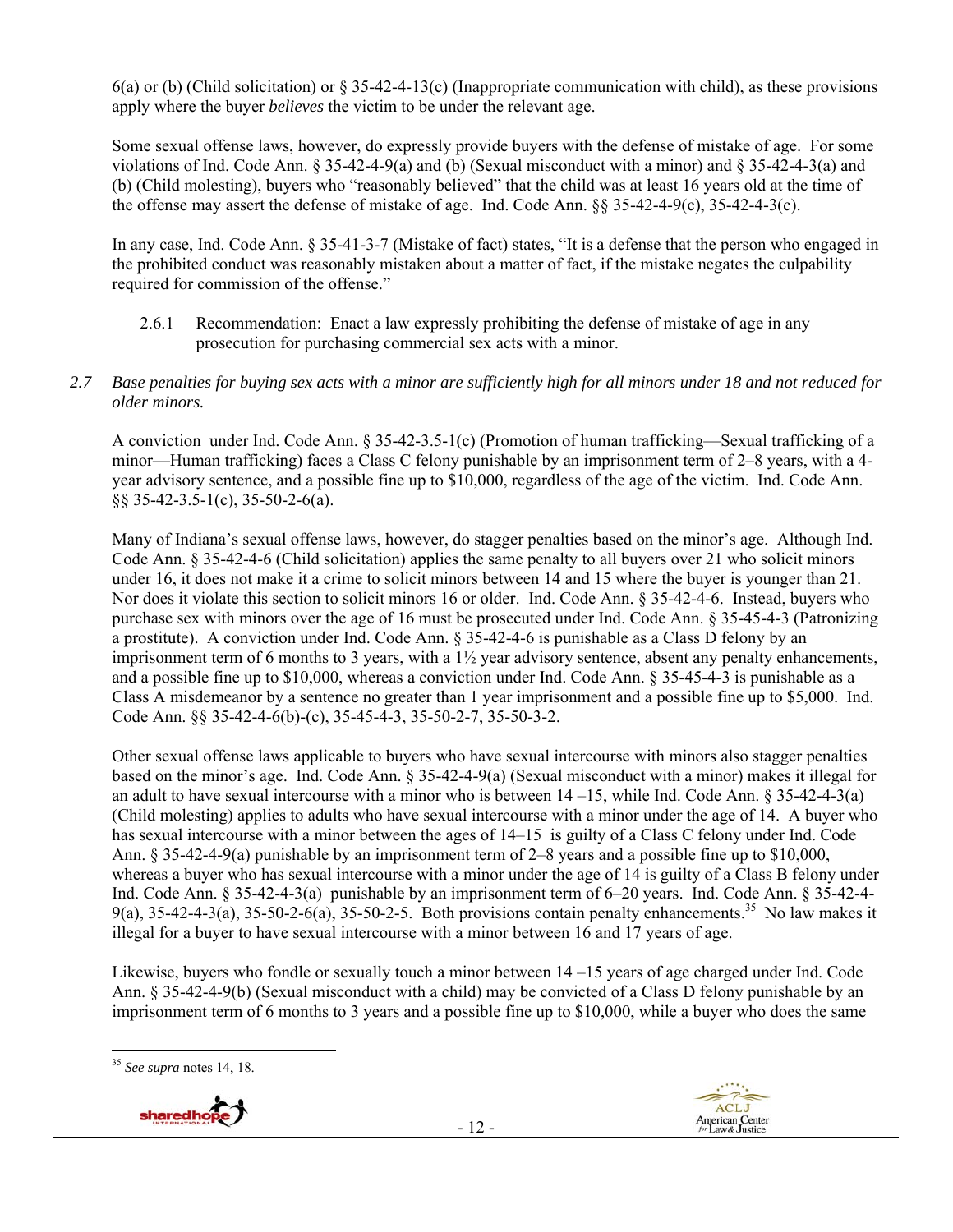6(a) or (b) (Child solicitation) or  $\S 35-42-4-13(c)$  (Inappropriate communication with child), as these provisions apply where the buyer *believes* the victim to be under the relevant age.

Some sexual offense laws, however, do expressly provide buyers with the defense of mistake of age. For some violations of Ind. Code Ann. § 35-42-4-9(a) and (b) (Sexual misconduct with a minor) and § 35-42-4-3(a) and (b) (Child molesting), buyers who "reasonably believed" that the child was at least 16 years old at the time of the offense may assert the defense of mistake of age. Ind. Code Ann. §§ 35-42-4-9(c), 35-42-4-3(c).

In any case, Ind. Code Ann. § 35-41-3-7 (Mistake of fact) states, "It is a defense that the person who engaged in the prohibited conduct was reasonably mistaken about a matter of fact, if the mistake negates the culpability required for commission of the offense."

- 2.6.1 Recommendation: Enact a law expressly prohibiting the defense of mistake of age in any prosecution for purchasing commercial sex acts with a minor.
- *2.7 Base penalties for buying sex acts with a minor are sufficiently high for all minors under 18 and not reduced for older minors.*

A conviction under Ind. Code Ann. § 35-42-3.5-1(c) (Promotion of human trafficking—Sexual trafficking of a minor—Human trafficking) faces a Class C felony punishable by an imprisonment term of 2–8 years, with a 4 year advisory sentence, and a possible fine up to \$10,000, regardless of the age of the victim. Ind. Code Ann. §§ 35-42-3.5-1(c), 35-50-2-6(a).

Many of Indiana's sexual offense laws, however, do stagger penalties based on the minor's age. Although Ind. Code Ann. § 35-42-4-6 (Child solicitation) applies the same penalty to all buyers over 21 who solicit minors under 16, it does not make it a crime to solicit minors between 14 and 15 where the buyer is younger than 21. Nor does it violate this section to solicit minors 16 or older. Ind. Code Ann. § 35-42-4-6. Instead, buyers who purchase sex with minors over the age of 16 must be prosecuted under Ind. Code Ann. § 35-45-4-3 (Patronizing a prostitute). A conviction under Ind. Code Ann. § 35-42-4-6 is punishable as a Class D felony by an imprisonment term of 6 months to 3 years, with a 1½ year advisory sentence, absent any penalty enhancements, and a possible fine up to \$10,000, whereas a conviction under Ind. Code Ann. § 35-45-4-3 is punishable as a Class A misdemeanor by a sentence no greater than 1 year imprisonment and a possible fine up to \$5,000. Ind. Code Ann. §§ 35-42-4-6(b)-(c), 35-45-4-3, 35-50-2-7, 35-50-3-2.

Other sexual offense laws applicable to buyers who have sexual intercourse with minors also stagger penalties based on the minor's age. Ind. Code Ann. § 35-42-4-9(a) (Sexual misconduct with a minor) makes it illegal for an adult to have sexual intercourse with a minor who is between 14 –15, while Ind. Code Ann. § 35-42-4-3(a) (Child molesting) applies to adults who have sexual intercourse with a minor under the age of 14. A buyer who has sexual intercourse with a minor between the ages of 14–15 is guilty of a Class C felony under Ind. Code Ann. § 35-42-4-9(a) punishable by an imprisonment term of 2–8 years and a possible fine up to \$10,000, whereas a buyer who has sexual intercourse with a minor under the age of 14 is guilty of a Class B felony under Ind. Code Ann. § 35-42-4-3(a) punishable by an imprisonment term of 6–20 years. Ind. Code Ann. § 35-42-4- 9(a), 35-42-4-3(a), 35-50-2-6(a), 35-50-2-5. Both provisions contain penalty enhancements.<sup>35</sup> No law makes it illegal for a buyer to have sexual intercourse with a minor between 16 and 17 years of age.

Likewise, buyers who fondle or sexually touch a minor between 14 –15 years of age charged under Ind. Code Ann. § 35-42-4-9(b) (Sexual misconduct with a child) may be convicted of a Class D felony punishable by an imprisonment term of 6 months to 3 years and a possible fine up to \$10,000, while a buyer who does the same

 <sup>35</sup> *See supra* notes 14, 18.

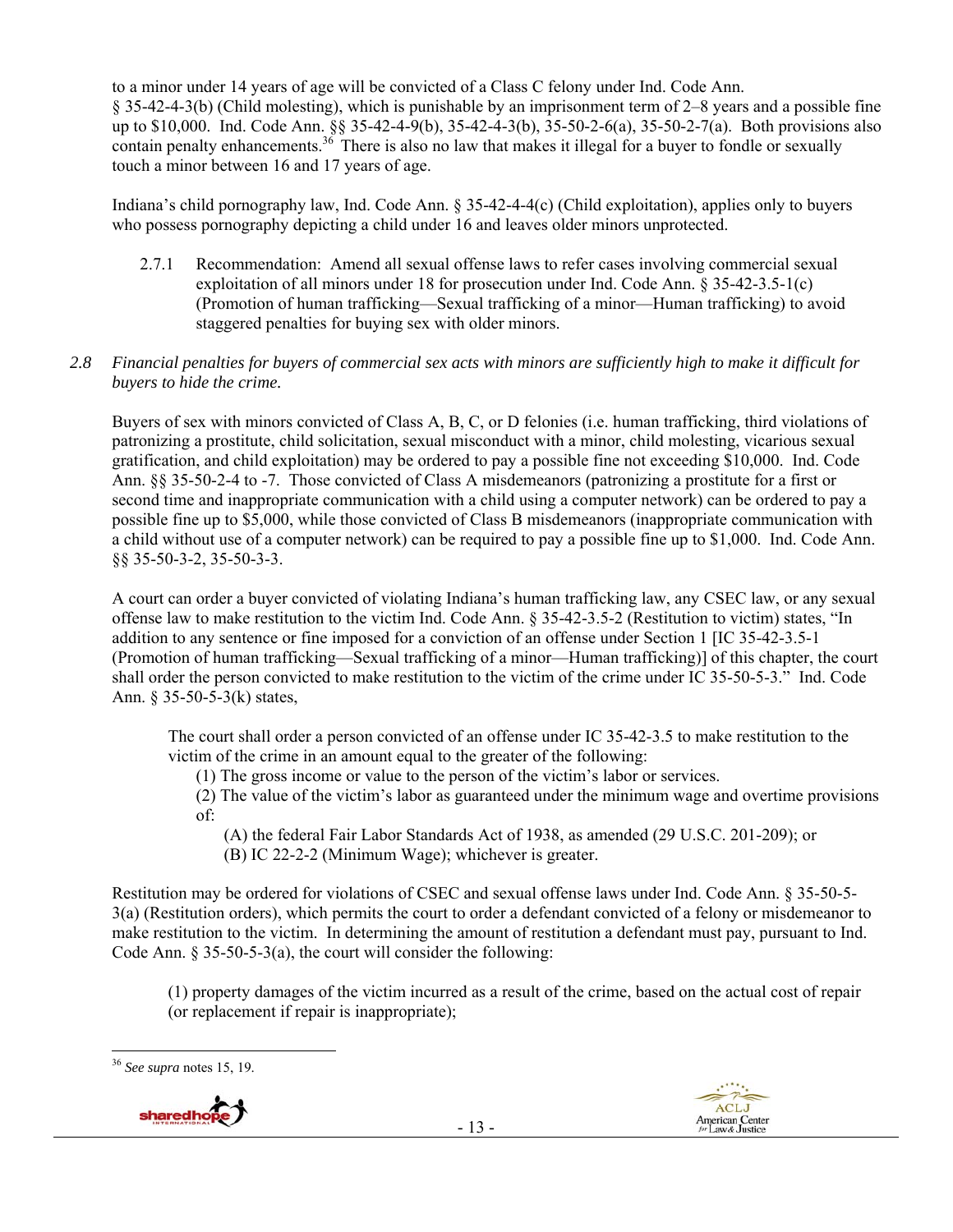to a minor under 14 years of age will be convicted of a Class C felony under Ind. Code Ann. § 35-42-4-3(b) (Child molesting), which is punishable by an imprisonment term of 2–8 years and a possible fine up to \$10,000. Ind. Code Ann. §§ 35-42-4-9(b), 35-42-4-3(b), 35-50-2-6(a), 35-50-2-7(a). Both provisions also contain penalty enhancements.<sup>36</sup> There is also no law that makes it illegal for a buyer to fondle or sexually touch a minor between 16 and 17 years of age.

Indiana's child pornography law, Ind. Code Ann. § 35-42-4-4(c) (Child exploitation), applies only to buyers who possess pornography depicting a child under 16 and leaves older minors unprotected.

2.7.1 Recommendation: Amend all sexual offense laws to refer cases involving commercial sexual exploitation of all minors under 18 for prosecution under Ind. Code Ann. § 35-42-3.5-1(c) (Promotion of human trafficking—Sexual trafficking of a minor—Human trafficking) to avoid staggered penalties for buying sex with older minors.

#### *2.8 Financial penalties for buyers of commercial sex acts with minors are sufficiently high to make it difficult for buyers to hide the crime.*

Buyers of sex with minors convicted of Class A, B, C, or D felonies (i.e. human trafficking, third violations of patronizing a prostitute, child solicitation, sexual misconduct with a minor, child molesting, vicarious sexual gratification, and child exploitation) may be ordered to pay a possible fine not exceeding \$10,000. Ind. Code Ann. §§ 35-50-2-4 to -7. Those convicted of Class A misdemeanors (patronizing a prostitute for a first or second time and inappropriate communication with a child using a computer network) can be ordered to pay a possible fine up to \$5,000, while those convicted of Class B misdemeanors (inappropriate communication with a child without use of a computer network) can be required to pay a possible fine up to \$1,000. Ind. Code Ann. §§ 35-50-3-2, 35-50-3-3.

A court can order a buyer convicted of violating Indiana's human trafficking law, any CSEC law, or any sexual offense law to make restitution to the victim Ind. Code Ann. § 35-42-3.5-2 (Restitution to victim) states, "In addition to any sentence or fine imposed for a conviction of an offense under Section 1 [IC 35-42-3.5-1 (Promotion of human trafficking—Sexual trafficking of a minor—Human trafficking)] of this chapter, the court shall order the person convicted to make restitution to the victim of the crime under IC 35-50-5-3." Ind. Code Ann. § 35-50-5-3(k) states,

The court shall order a person convicted of an offense under IC 35-42-3.5 to make restitution to the victim of the crime in an amount equal to the greater of the following:

(1) The gross income or value to the person of the victim's labor or services.

(2) The value of the victim's labor as guaranteed under the minimum wage and overtime provisions of:

(A) the federal Fair Labor Standards Act of 1938, as amended (29 U.S.C. 201-209); or (B) IC 22-2-2 (Minimum Wage); whichever is greater.

Restitution may be ordered for violations of CSEC and sexual offense laws under Ind. Code Ann. § 35-50-5- 3(a) (Restitution orders), which permits the court to order a defendant convicted of a felony or misdemeanor to make restitution to the victim. In determining the amount of restitution a defendant must pay, pursuant to Ind. Code Ann. § 35-50-5-3(a), the court will consider the following:

(1) property damages of the victim incurred as a result of the crime, based on the actual cost of repair (or replacement if repair is inappropriate);

 <sup>36</sup> *See supra* notes 15, 19.

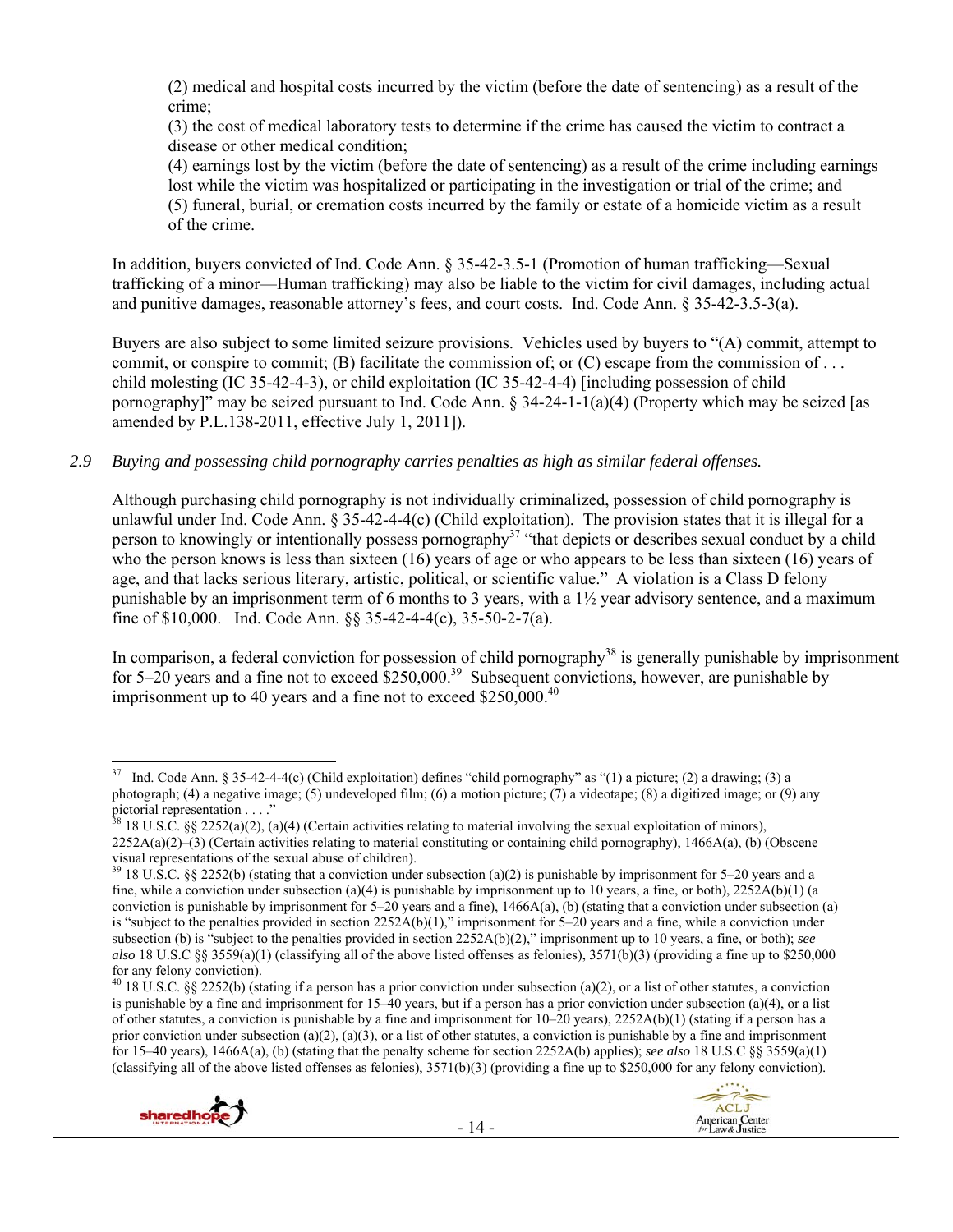(2) medical and hospital costs incurred by the victim (before the date of sentencing) as a result of the crime;

(3) the cost of medical laboratory tests to determine if the crime has caused the victim to contract a disease or other medical condition;

(4) earnings lost by the victim (before the date of sentencing) as a result of the crime including earnings lost while the victim was hospitalized or participating in the investigation or trial of the crime; and (5) funeral, burial, or cremation costs incurred by the family or estate of a homicide victim as a result of the crime.

In addition, buyers convicted of Ind. Code Ann. § 35-42-3.5-1 (Promotion of human trafficking—Sexual trafficking of a minor—Human trafficking) may also be liable to the victim for civil damages, including actual and punitive damages, reasonable attorney's fees, and court costs. Ind. Code Ann. § 35-42-3.5-3(a).

Buyers are also subject to some limited seizure provisions. Vehicles used by buyers to "(A) commit, attempt to commit, or conspire to commit; (B) facilitate the commission of; or  $(C)$  escape from the commission of ... child molesting (IC 35-42-4-3), or child exploitation (IC 35-42-4-4) [including possession of child pornography]" may be seized pursuant to Ind. Code Ann. § 34-24-1-1(a)(4) (Property which may be seized [as amended by P.L.138-2011, effective July 1, 2011]).

*2.9 Buying and possessing child pornography carries penalties as high as similar federal offenses.* 

Although purchasing child pornography is not individually criminalized, possession of child pornography is unlawful under Ind. Code Ann. § 35-42-4-4(c) (Child exploitation). The provision states that it is illegal for a person to knowingly or intentionally possess pornography<sup>37</sup> "that depicts or describes sexual conduct by a child who the person knows is less than sixteen (16) years of age or who appears to be less than sixteen (16) years of age, and that lacks serious literary, artistic, political, or scientific value." A violation is a Class D felony punishable by an imprisonment term of 6 months to 3 years, with a  $1\frac{1}{2}$  year advisory sentence, and a maximum fine of \$10,000. Ind. Code Ann. §§ 35-42-4-4(c), 35-50-2-7(a).

In comparison, a federal conviction for possession of child pornography<sup>38</sup> is generally punishable by imprisonment for  $5-20$  years and a fine not to exceed  $$250,000.<sup>39</sup>$  Subsequent convictions, however, are punishable by imprisonment up to 40 years and a fine not to exceed  $$250,000.<sup>40</sup>$ 

<sup>&</sup>lt;sup>40</sup> 18 U.S.C. §§ 2252(b) (stating if a person has a prior conviction under subsection (a)(2), or a list of other statutes, a conviction is punishable by a fine and imprisonment for  $15-40$  years, but if a person has a prior conviction under subsection (a)(4), or a list of other statutes, a conviction is punishable by a fine and imprisonment for  $10-20$  years),  $2252A(b)(1)$  (stating if a person has a prior conviction under subsection (a)(2), (a)(3), or a list of other statutes, a conviction is punishable by a fine and imprisonment for 15–40 years), 1466A(a), (b) (stating that the penalty scheme for section 2252A(b) applies); *see also* 18 U.S.C §§ 3559(a)(1) (classifying all of the above listed offenses as felonies),  $3571(b)(3)$  (providing a fine up to \$250,000 for any felony conviction).





<sup>37</sup> Ind. Code Ann. § 35-42-4-4(c) (Child exploitation) defines "child pornography" as "(1) a picture; (2) a drawing; (3) a photograph; (4) a negative image; (5) undeveloped film; (6) a motion picture; (7) a videotape; (8) a digitized image; or (9) any pictorial representation . . . ."

 $38\,18$  U.S.C. §§ 2252(a)(2), (a)(4) (Certain activities relating to material involving the sexual exploitation of minors), 2252A(a)(2)–(3) (Certain activities relating to material constituting or containing child pornography), 1466A(a), (b) (Obscene visual representations of the sexual abuse of children).

 $39$  18 U.S.C. §§ 2252(b) (stating that a conviction under subsection (a)(2) is punishable by imprisonment for 5–20 years and a fine, while a conviction under subsection (a)(4) is punishable by imprisonment up to 10 years, a fine, or both),  $2252A(b)(1)$  (a conviction is punishable by imprisonment for  $5-20$  years and a fine), 1466A(a), (b) (stating that a conviction under subsection (a) is "subject to the penalties provided in section 2252A(b)(1)," imprisonment for 5–20 years and a fine, while a conviction under subsection (b) is "subject to the penalties provided in section 2252A(b)(2)," imprisonment up to 10 years, a fine, or both); *see also* 18 U.S.C §§ 3559(a)(1) (classifying all of the above listed offenses as felonies), 3571(b)(3) (providing a fine up to \$250,000 for any felony conviction).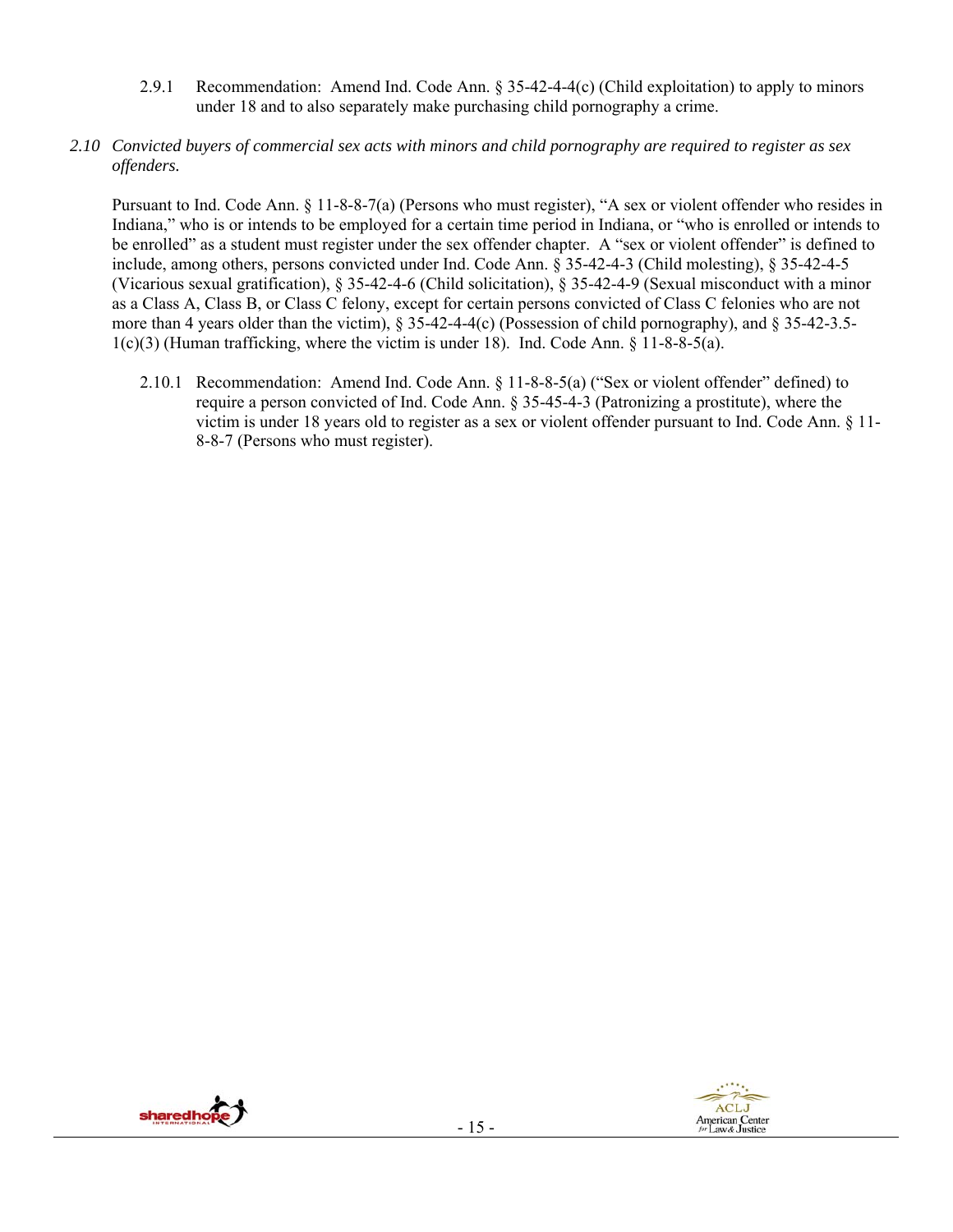- 2.9.1 Recommendation: Amend Ind. Code Ann. § 35-42-4-4(c) (Child exploitation) to apply to minors under 18 and to also separately make purchasing child pornography a crime.
- *2.10 Convicted buyers of commercial sex acts with minors and child pornography are required to register as sex offenders.*

Pursuant to Ind. Code Ann. § 11-8-8-7(a) (Persons who must register), "A sex or violent offender who resides in Indiana," who is or intends to be employed for a certain time period in Indiana, or "who is enrolled or intends to be enrolled" as a student must register under the sex offender chapter. A "sex or violent offender" is defined to include, among others, persons convicted under Ind. Code Ann. § 35-42-4-3 (Child molesting), § 35-42-4-5 (Vicarious sexual gratification), § 35-42-4-6 (Child solicitation), § 35-42-4-9 (Sexual misconduct with a minor as a Class A, Class B, or Class C felony, except for certain persons convicted of Class C felonies who are not more than 4 years older than the victim),  $\S 35-42-4-4(c)$  (Possession of child pornography), and  $\S 35-42-3.5-4$  $1(c)(3)$  (Human trafficking, where the victim is under 18). Ind. Code Ann. § 11-8-8-5(a).

2.10.1 Recommendation: Amend Ind. Code Ann. § 11-8-8-5(a) ("Sex or violent offender" defined) to require a person convicted of Ind. Code Ann. § 35-45-4-3 (Patronizing a prostitute), where the victim is under 18 years old to register as a sex or violent offender pursuant to Ind. Code Ann. § 11- 8-8-7 (Persons who must register).

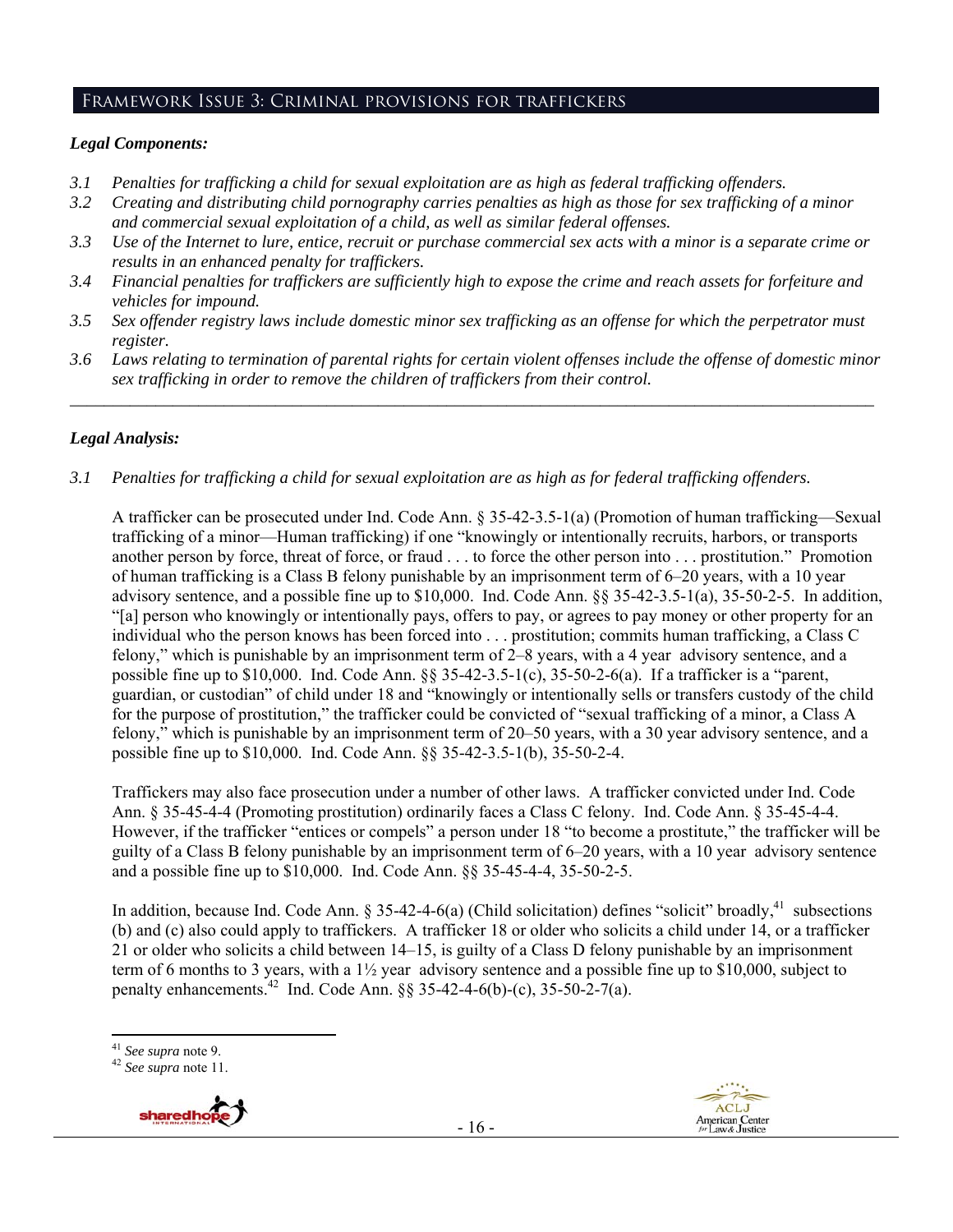#### Framework Issue 3: Criminal provisions for traffickers

#### *Legal Components:*

- *3.1 Penalties for trafficking a child for sexual exploitation are as high as federal trafficking offenders.*
- *3.2 Creating and distributing child pornography carries penalties as high as those for sex trafficking of a minor and commercial sexual exploitation of a child, as well as similar federal offenses.*
- *3.3 Use of the Internet to lure, entice, recruit or purchase commercial sex acts with a minor is a separate crime or results in an enhanced penalty for traffickers.*
- *3.4 Financial penalties for traffickers are sufficiently high to expose the crime and reach assets for forfeiture and vehicles for impound.*
- *3.5 Sex offender registry laws include domestic minor sex trafficking as an offense for which the perpetrator must register.*
- *3.6 Laws relating to termination of parental rights for certain violent offenses include the offense of domestic minor sex trafficking in order to remove the children of traffickers from their control. \_\_\_\_\_\_\_\_\_\_\_\_\_\_\_\_\_\_\_\_\_\_\_\_\_\_\_\_\_\_\_\_\_\_\_\_\_\_\_\_\_\_\_\_\_\_\_\_\_\_\_\_\_\_\_\_\_\_\_\_\_\_\_\_\_\_\_\_\_\_\_\_\_\_\_\_\_\_\_\_\_\_\_\_\_\_\_\_\_\_\_\_\_\_*

#### *Legal Analysis:*

*3.1 Penalties for trafficking a child for sexual exploitation are as high as for federal trafficking offenders.* 

A trafficker can be prosecuted under Ind. Code Ann. § 35-42-3.5-1(a) (Promotion of human trafficking—Sexual trafficking of a minor—Human trafficking) if one "knowingly or intentionally recruits, harbors, or transports another person by force, threat of force, or fraud . . . to force the other person into . . . prostitution." Promotion of human trafficking is a Class B felony punishable by an imprisonment term of 6–20 years, with a 10 year advisory sentence, and a possible fine up to \$10,000. Ind. Code Ann. §§ 35-42-3.5-1(a), 35-50-2-5. In addition, "[a] person who knowingly or intentionally pays, offers to pay, or agrees to pay money or other property for an individual who the person knows has been forced into . . . prostitution; commits human trafficking, a Class C felony," which is punishable by an imprisonment term of 2–8 years, with a 4 year advisory sentence, and a possible fine up to \$10,000. Ind. Code Ann. §§ 35-42-3.5-1(c), 35-50-2-6(a). If a trafficker is a "parent, guardian, or custodian" of child under 18 and "knowingly or intentionally sells or transfers custody of the child for the purpose of prostitution," the trafficker could be convicted of "sexual trafficking of a minor, a Class A felony," which is punishable by an imprisonment term of 20–50 years, with a 30 year advisory sentence, and a possible fine up to \$10,000. Ind. Code Ann. §§ 35-42-3.5-1(b), 35-50-2-4.

Traffickers may also face prosecution under a number of other laws. A trafficker convicted under Ind. Code Ann. § 35-45-4-4 (Promoting prostitution) ordinarily faces a Class C felony. Ind. Code Ann. § 35-45-4-4. However, if the trafficker "entices or compels" a person under 18 "to become a prostitute," the trafficker will be guilty of a Class B felony punishable by an imprisonment term of 6–20 years, with a 10 year advisory sentence and a possible fine up to \$10,000. Ind. Code Ann. §§ 35-45-4-4, 35-50-2-5.

In addition, because Ind. Code Ann.  $\S 35-42-4-6(a)$  (Child solicitation) defines "solicit" broadly,  $41$  subsections (b) and (c) also could apply to traffickers. A trafficker 18 or older who solicits a child under 14, or a trafficker 21 or older who solicits a child between 14–15, is guilty of a Class D felony punishable by an imprisonment term of 6 months to 3 years, with a 1½ year advisory sentence and a possible fine up to \$10,000, subject to penalty enhancements.<sup>42</sup> Ind. Code Ann. §§ 35-42-4-6(b)-(c), 35-50-2-7(a).





 <sup>41</sup> *See supra* note 9. 42 *See supra* note 11.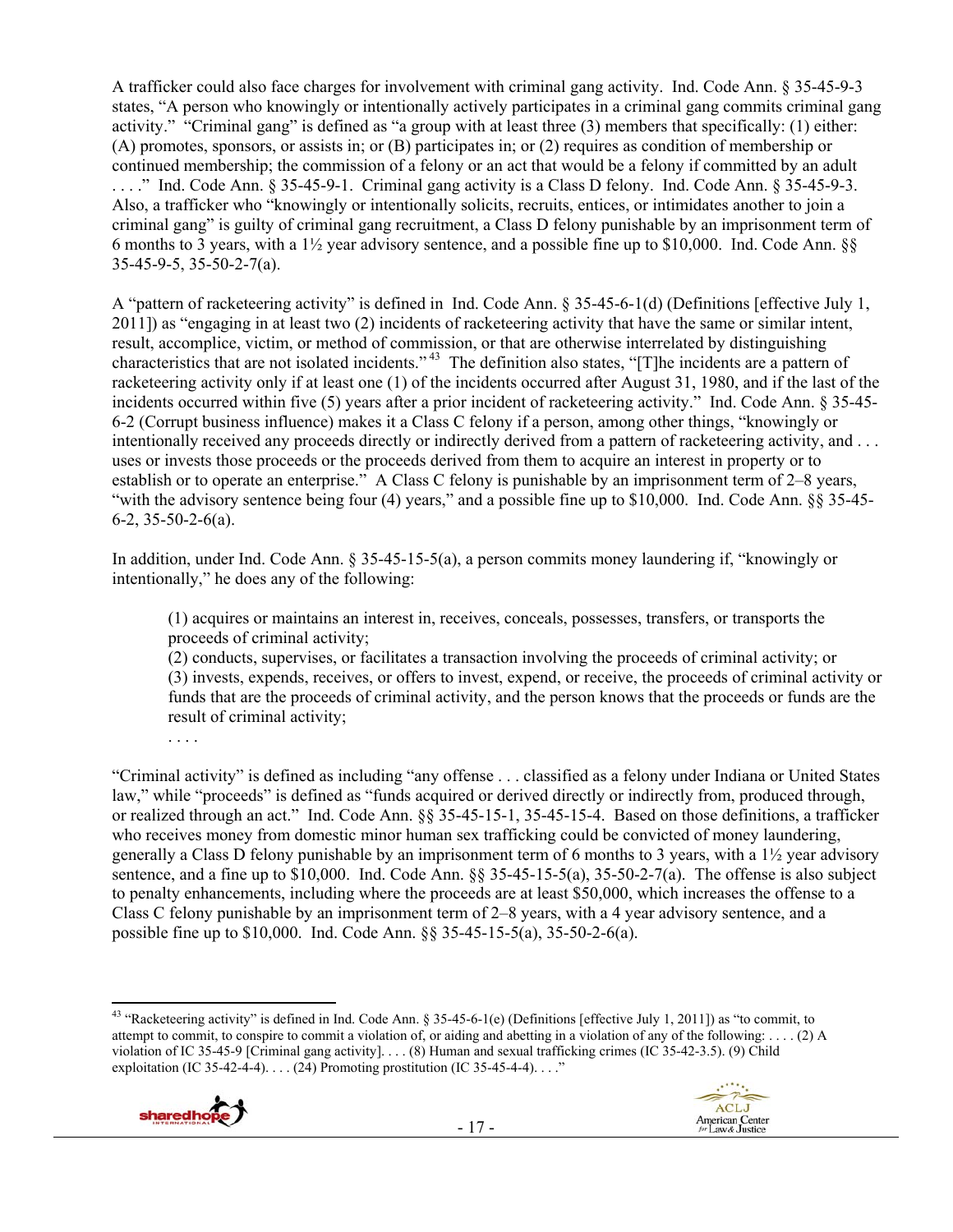A trafficker could also face charges for involvement with criminal gang activity. Ind. Code Ann. § 35-45-9-3 states, "A person who knowingly or intentionally actively participates in a criminal gang commits criminal gang activity." "Criminal gang" is defined as "a group with at least three (3) members that specifically: (1) either: (A) promotes, sponsors, or assists in; or (B) participates in; or (2) requires as condition of membership or continued membership; the commission of a felony or an act that would be a felony if committed by an adult . . . ." Ind. Code Ann. § 35-45-9-1. Criminal gang activity is a Class D felony. Ind. Code Ann. § 35-45-9-3. Also, a trafficker who "knowingly or intentionally solicits, recruits, entices, or intimidates another to join a criminal gang" is guilty of criminal gang recruitment, a Class D felony punishable by an imprisonment term of 6 months to 3 years, with a 1½ year advisory sentence, and a possible fine up to \$10,000. Ind. Code Ann. §§ 35-45-9-5, 35-50-2-7(a).

A "pattern of racketeering activity" is defined in Ind. Code Ann. § 35-45-6-1(d) (Definitions [effective July 1, 2011]) as "engaging in at least two (2) incidents of racketeering activity that have the same or similar intent, result, accomplice, victim, or method of commission, or that are otherwise interrelated by distinguishing characteristics that are not isolated incidents." 43 The definition also states, "[T]he incidents are a pattern of racketeering activity only if at least one (1) of the incidents occurred after August 31, 1980, and if the last of the incidents occurred within five (5) years after a prior incident of racketeering activity." Ind. Code Ann. § 35-45- 6-2 (Corrupt business influence) makes it a Class C felony if a person, among other things, "knowingly or intentionally received any proceeds directly or indirectly derived from a pattern of racketeering activity, and ... uses or invests those proceeds or the proceeds derived from them to acquire an interest in property or to establish or to operate an enterprise." A Class C felony is punishable by an imprisonment term of 2–8 years, "with the advisory sentence being four (4) years," and a possible fine up to \$10,000. Ind. Code Ann. §§ 35-45- 6-2, 35-50-2-6(a).

In addition, under Ind. Code Ann. § 35-45-15-5(a), a person commits money laundering if, "knowingly or intentionally," he does any of the following:

(1) acquires or maintains an interest in, receives, conceals, possesses, transfers, or transports the proceeds of criminal activity;

(2) conducts, supervises, or facilitates a transaction involving the proceeds of criminal activity; or (3) invests, expends, receives, or offers to invest, expend, or receive, the proceeds of criminal activity or funds that are the proceeds of criminal activity, and the person knows that the proceeds or funds are the result of criminal activity;

"Criminal activity" is defined as including "any offense . . . classified as a felony under Indiana or United States law," while "proceeds" is defined as "funds acquired or derived directly or indirectly from, produced through, or realized through an act." Ind. Code Ann. §§ 35-45-15-1, 35-45-15-4. Based on those definitions, a trafficker who receives money from domestic minor human sex trafficking could be convicted of money laundering, generally a Class D felony punishable by an imprisonment term of 6 months to 3 years, with a 1½ year advisory sentence, and a fine up to \$10,000. Ind. Code Ann. §§ 35-45-15-5(a), 35-50-2-7(a). The offense is also subject to penalty enhancements, including where the proceeds are at least \$50,000, which increases the offense to a Class C felony punishable by an imprisonment term of 2–8 years, with a 4 year advisory sentence, and a possible fine up to \$10,000. Ind. Code Ann. §§ 35-45-15-5(a), 35-50-2-6(a).

 <sup>43</sup> "Racketeering activity" is defined in Ind. Code Ann. § 35-45-6-1(e) (Definitions [effective July 1, 2011]) as "to commit, to attempt to commit, to conspire to commit a violation of, or aiding and abetting in a violation of any of the following: . . . . (2) A violation of IC 35-45-9 [Criminal gang activity]. . . . (8) Human and sexual trafficking crimes (IC 35-42-3.5). (9) Child exploitation (IC 35-42-4-4). . . . (24) Promoting prostitution (IC 35-45-4-4). . . ."



. . . .

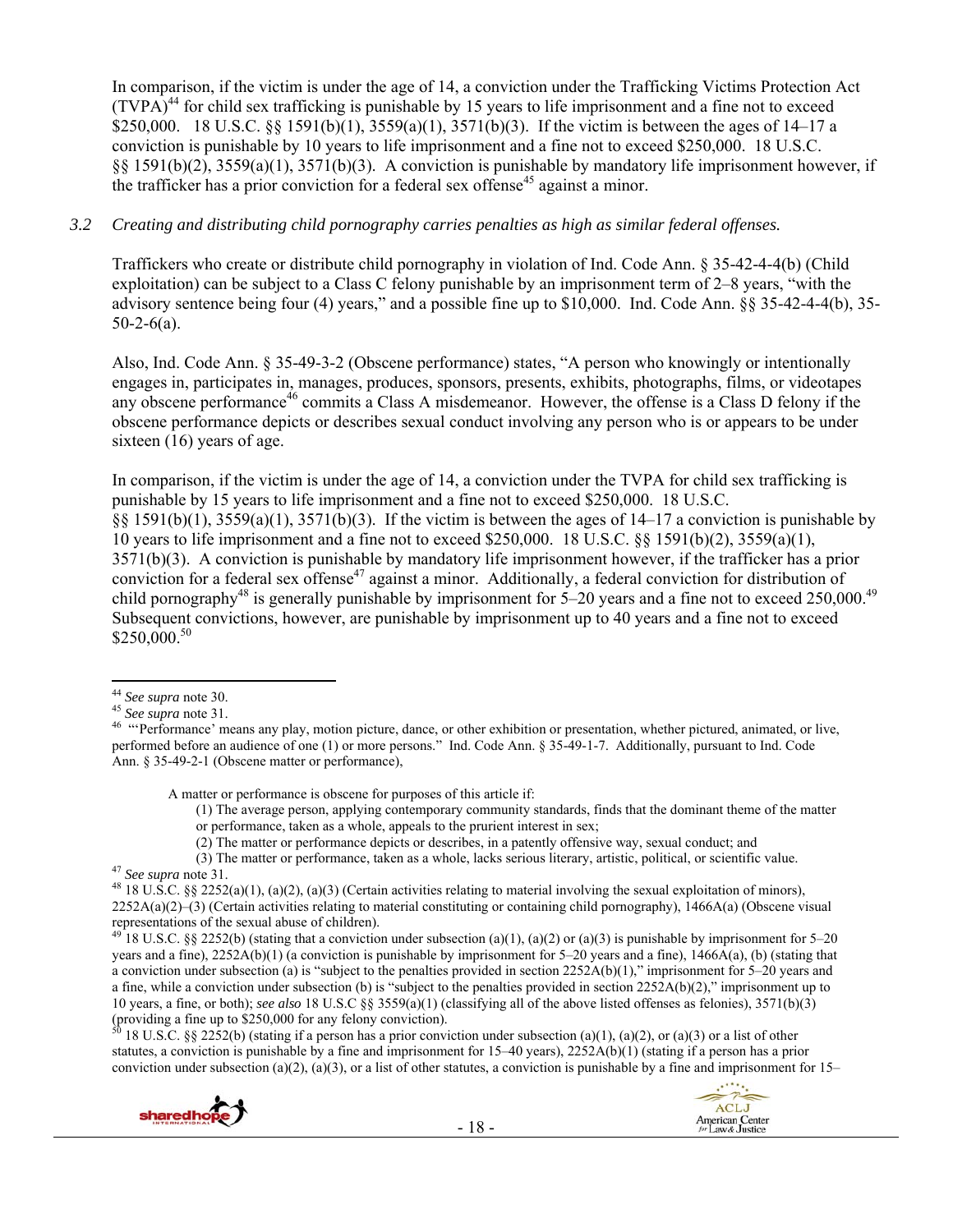In comparison, if the victim is under the age of 14, a conviction under the Trafficking Victims Protection Act  $(TVPA)^{44}$  for child sex trafficking is punishable by 15 years to life imprisonment and a fine not to exceed \$250,000. 18 U.S.C.  $\S$  1591(b)(1), 3559(a)(1), 3571(b)(3). If the victim is between the ages of 14–17 a conviction is punishable by 10 years to life imprisonment and a fine not to exceed \$250,000. 18 U.S.C. §§ 1591(b)(2), 3559(a)(1), 3571(b)(3). A conviction is punishable by mandatory life imprisonment however, if the trafficker has a prior conviction for a federal sex offense<sup>45</sup> against a minor.

#### *3.2 Creating and distributing child pornography carries penalties as high as similar federal offenses.*

Traffickers who create or distribute child pornography in violation of Ind. Code Ann. § 35-42-4-4(b) (Child exploitation) can be subject to a Class C felony punishable by an imprisonment term of 2–8 years, "with the advisory sentence being four (4) years," and a possible fine up to \$10,000. Ind. Code Ann. §§ 35-42-4-4(b), 35-  $50-2-6(a)$ .

Also, Ind. Code Ann. § 35-49-3-2 (Obscene performance) states, "A person who knowingly or intentionally engages in, participates in, manages, produces, sponsors, presents, exhibits, photographs, films, or videotapes any obscene performance<sup>46</sup> commits a Class A misdemeanor. However, the offense is a Class D felony if the obscene performance depicts or describes sexual conduct involving any person who is or appears to be under sixteen (16) years of age.

In comparison, if the victim is under the age of 14, a conviction under the TVPA for child sex trafficking is punishable by 15 years to life imprisonment and a fine not to exceed \$250,000. 18 U.S.C. §§ 1591(b)(1), 3559(a)(1), 3571(b)(3). If the victim is between the ages of 14–17 a conviction is punishable by 10 years to life imprisonment and a fine not to exceed \$250,000. 18 U.S.C. §§ 1591(b)(2), 3559(a)(1), 3571(b)(3). A conviction is punishable by mandatory life imprisonment however, if the trafficker has a prior conviction for a federal sex offense<sup>47</sup> against a minor. Additionally, a federal conviction for distribution of child pornography<sup>48</sup> is generally punishable by imprisonment for  $5-20$  years and a fine not to exceed 250,000.<sup>49</sup> Subsequent convictions, however, are punishable by imprisonment up to 40 years and a fine not to exceed \$250,000.<sup>50</sup>

A matter or performance is obscene for purposes of this article if:

(1) The average person, applying contemporary community standards, finds that the dominant theme of the matter or performance, taken as a whole, appeals to the prurient interest in sex;

(2) The matter or performance depicts or describes, in a patently offensive way, sexual conduct; and

(3) The matter or performance, taken as a whole, lacks serious literary, artistic, political, or scientific value.<br><sup>47</sup> See supra note 31.<br><sup>48</sup> 18 U.S.C. §§ 2252(a)(1), (a)(2), (a)(3) (Certain activities relating to mater

18 U.S.C. §§ 2252(b) (stating that a conviction under subsection (a)(1), (a)(2) or (a)(3) is punishable by imprisonment for 5–20 years and a fine), 2252A(b)(1) (a conviction is punishable by imprisonment for 5–20 years and a fine), 1466A(a), (b) (stating that a conviction under subsection (a) is "subject to the penalties provided in section 2252A(b)(1)," imprisonment for 5–20 years and a fine, while a conviction under subsection (b) is "subject to the penalties provided in section 2252A(b)(2)," imprisonment up to 10 years, a fine, or both); *see also* 18 U.S.C §§ 3559(a)(1) (classifying all of the above listed offenses as felonies), 3571(b)(3) (providing a fine up to \$250,000 for any felony conviction).

18 U.S.C. §§ 2252(b) (stating if a person has a prior conviction under subsection (a)(1), (a)(2), or (a)(3) or a list of other statutes, a conviction is punishable by a fine and imprisonment for 15–40 years), 2252A(b)(1) (stating if a person has a prior conviction under subsection (a)(2), (a)(3), or a list of other statutes, a conviction is punishable by a fine and imprisonment for  $15-$ 





<sup>&</sup>lt;sup>44</sup> See supra note 30.<br><sup>45</sup> See supra note 31.

<sup>&</sup>lt;sup>46</sup> "Performance' means any play, motion picture, dance, or other exhibition or presentation, whether pictured, animated, or live, performed before an audience of one (1) or more persons." Ind. Code Ann. § 35-49-1-7. Additionally, pursuant to Ind. Code Ann. § 35-49-2-1 (Obscene matter or performance),

<sup>2252</sup>A(a)(2)–(3) (Certain activities relating to material constituting or containing child pornography), 1466A(a) (Obscene visual representations of the sexual abuse of children).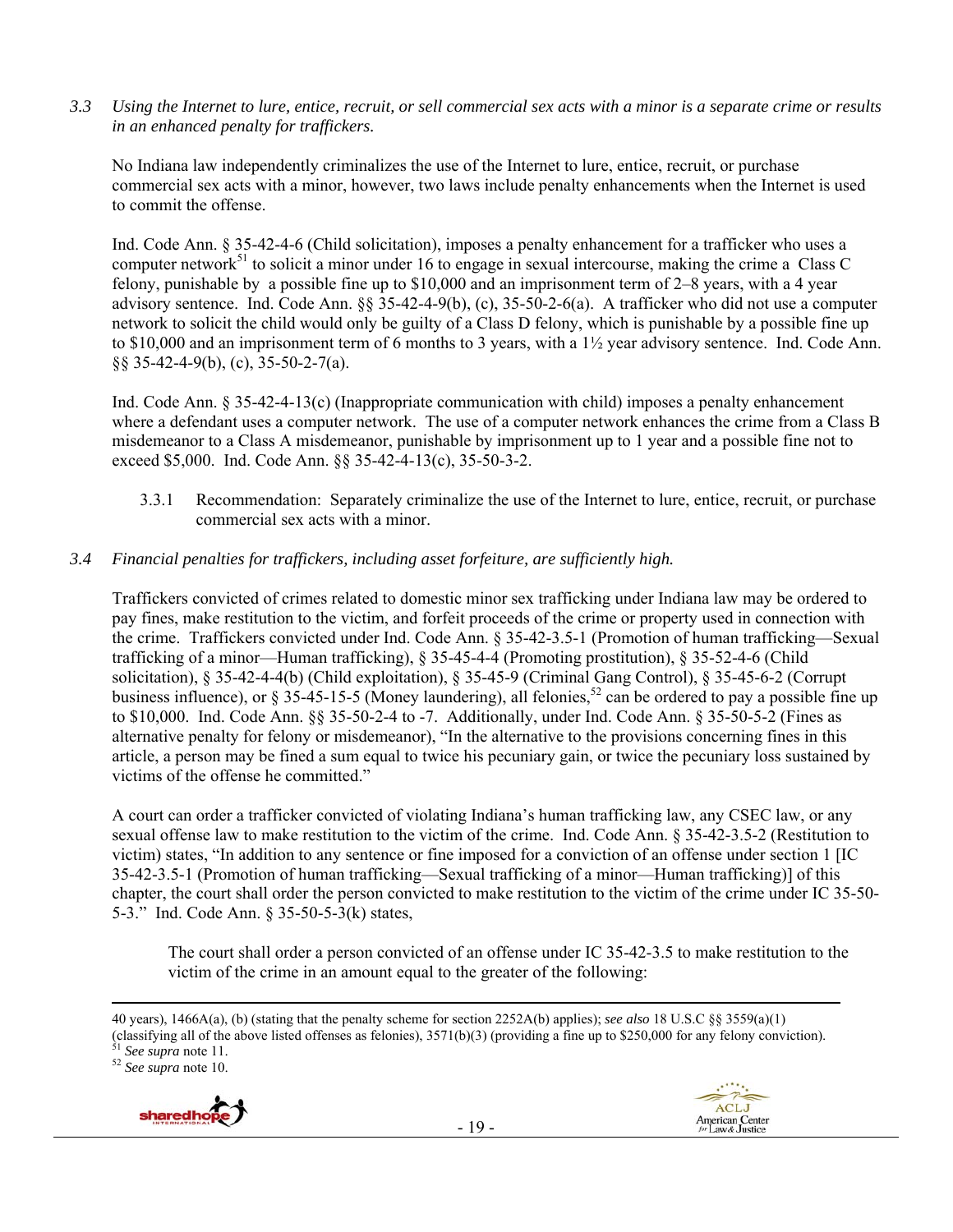*3.3 Using the Internet to lure, entice, recruit, or sell commercial sex acts with a minor is a separate crime or results in an enhanced penalty for traffickers.* 

No Indiana law independently criminalizes the use of the Internet to lure, entice, recruit, or purchase commercial sex acts with a minor, however, two laws include penalty enhancements when the Internet is used to commit the offense.

Ind. Code Ann. § 35-42-4-6 (Child solicitation), imposes a penalty enhancement for a trafficker who uses a computer network<sup>51</sup> to solicit a minor under 16 to engage in sexual intercourse, making the crime a Class C felony, punishable by a possible fine up to \$10,000 and an imprisonment term of 2–8 years, with a 4 year advisory sentence. Ind. Code Ann. §§ 35-42-4-9(b), (c), 35-50-2-6(a). A trafficker who did not use a computer network to solicit the child would only be guilty of a Class D felony, which is punishable by a possible fine up to \$10,000 and an imprisonment term of 6 months to 3 years, with a 1½ year advisory sentence. Ind. Code Ann. §§ 35-42-4-9(b), (c), 35-50-2-7(a).

Ind. Code Ann. § 35-42-4-13(c) (Inappropriate communication with child) imposes a penalty enhancement where a defendant uses a computer network. The use of a computer network enhances the crime from a Class B misdemeanor to a Class A misdemeanor, punishable by imprisonment up to 1 year and a possible fine not to exceed \$5,000. Ind. Code Ann. §§ 35-42-4-13(c), 35-50-3-2.

3.3.1 Recommendation: Separately criminalize the use of the Internet to lure, entice, recruit, or purchase commercial sex acts with a minor.

#### *3.4 Financial penalties for traffickers, including asset forfeiture, are sufficiently high.*

Traffickers convicted of crimes related to domestic minor sex trafficking under Indiana law may be ordered to pay fines, make restitution to the victim, and forfeit proceeds of the crime or property used in connection with the crime. Traffickers convicted under Ind. Code Ann. § 35-42-3.5-1 (Promotion of human trafficking—Sexual trafficking of a minor—Human trafficking), § 35-45-4-4 (Promoting prostitution), § 35-52-4-6 (Child solicitation), § 35-42-4-4(b) (Child exploitation), § 35-45-9 (Criminal Gang Control), § 35-45-6-2 (Corrupt business influence), or  $\S 35-45-15-5$  (Money laundering), all felonies,  $52$  can be ordered to pay a possible fine up to \$10,000. Ind. Code Ann. §§ 35-50-2-4 to -7. Additionally, under Ind. Code Ann. § 35-50-5-2 (Fines as alternative penalty for felony or misdemeanor), "In the alternative to the provisions concerning fines in this article, a person may be fined a sum equal to twice his pecuniary gain, or twice the pecuniary loss sustained by victims of the offense he committed."

A court can order a trafficker convicted of violating Indiana's human trafficking law, any CSEC law, or any sexual offense law to make restitution to the victim of the crime. Ind. Code Ann. § 35-42-3.5-2 (Restitution to victim) states, "In addition to any sentence or fine imposed for a conviction of an offense under section 1 [IC 35-42-3.5-1 (Promotion of human trafficking—Sexual trafficking of a minor—Human trafficking)] of this chapter, the court shall order the person convicted to make restitution to the victim of the crime under IC 35-50- 5-3." Ind. Code Ann. § 35-50-5-3(k) states,

The court shall order a person convicted of an offense under IC 35-42-3.5 to make restitution to the victim of the crime in an amount equal to the greater of the following:

<u> 1989 - Johann Stein, marwolaethau a gweledydd a ganlad y ganlad y ganlad y ganlad y ganlad y ganlad y ganlad</u>



<sup>40</sup> years), 1466A(a), (b) (stating that the penalty scheme for section 2252A(b) applies); *see also* 18 U.S.C §§ 3559(a)(1) (classifying all of the above listed offenses as felonies), 3571(b)(3) (providing a fine up to \$250,000 for any felony conviction). 51 *See supra* note 11. 52 *See supra* note 10.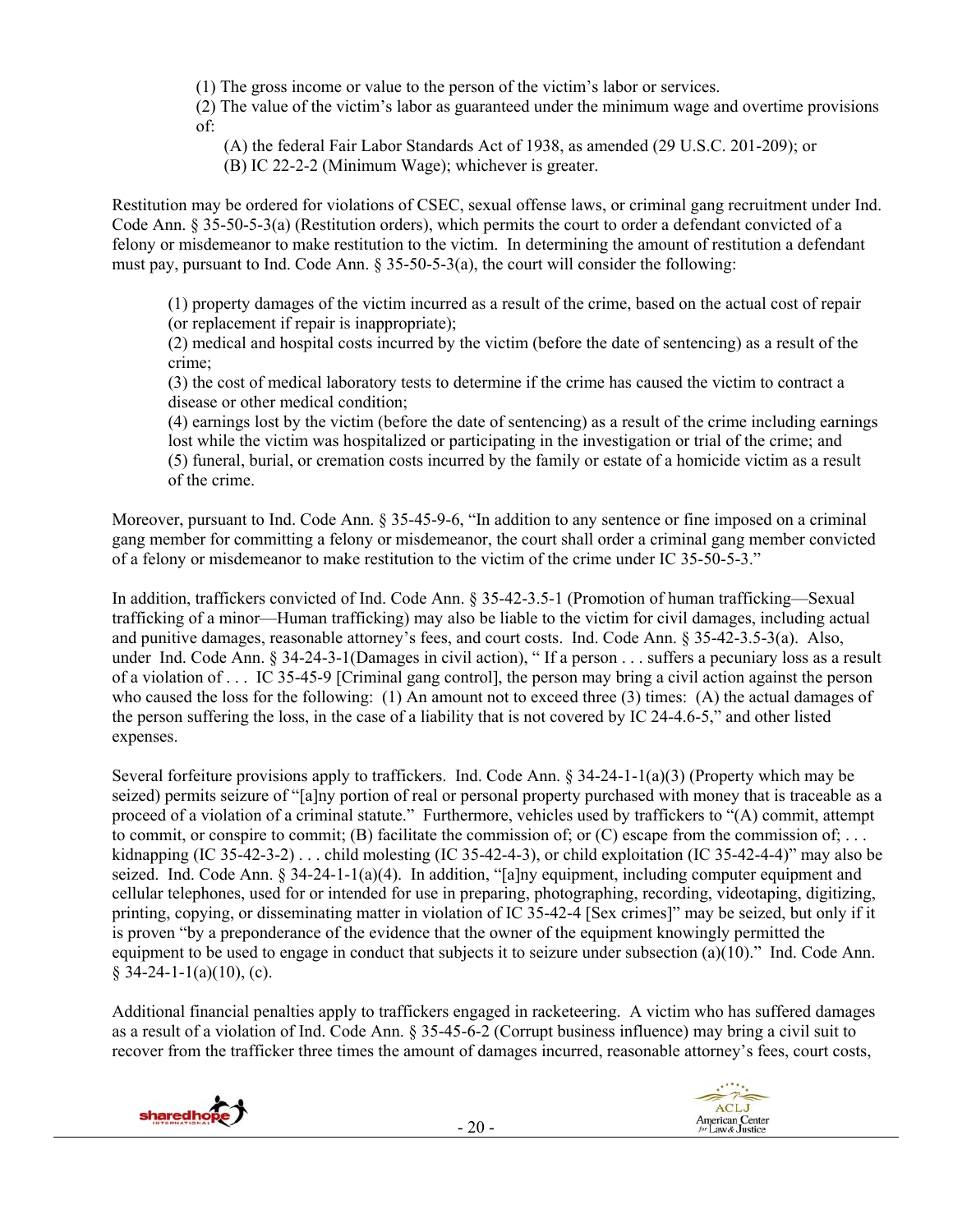(1) The gross income or value to the person of the victim's labor or services.

(2) The value of the victim's labor as guaranteed under the minimum wage and overtime provisions of:

(A) the federal Fair Labor Standards Act of 1938, as amended (29 U.S.C. 201-209); or

(B) IC 22-2-2 (Minimum Wage); whichever is greater.

Restitution may be ordered for violations of CSEC, sexual offense laws, or criminal gang recruitment under Ind. Code Ann. § 35-50-5-3(a) (Restitution orders), which permits the court to order a defendant convicted of a felony or misdemeanor to make restitution to the victim. In determining the amount of restitution a defendant must pay, pursuant to Ind. Code Ann.  $\S 35-50-5-3(a)$ , the court will consider the following:

(1) property damages of the victim incurred as a result of the crime, based on the actual cost of repair (or replacement if repair is inappropriate);

(2) medical and hospital costs incurred by the victim (before the date of sentencing) as a result of the crime;

(3) the cost of medical laboratory tests to determine if the crime has caused the victim to contract a disease or other medical condition;

(4) earnings lost by the victim (before the date of sentencing) as a result of the crime including earnings lost while the victim was hospitalized or participating in the investigation or trial of the crime; and (5) funeral, burial, or cremation costs incurred by the family or estate of a homicide victim as a result of the crime.

Moreover, pursuant to Ind. Code Ann. § 35-45-9-6, "In addition to any sentence or fine imposed on a criminal gang member for committing a felony or misdemeanor, the court shall order a criminal gang member convicted of a felony or misdemeanor to make restitution to the victim of the crime under IC 35-50-5-3."

In addition, traffickers convicted of Ind. Code Ann. § 35-42-3.5-1 (Promotion of human trafficking—Sexual trafficking of a minor—Human trafficking) may also be liable to the victim for civil damages, including actual and punitive damages, reasonable attorney's fees, and court costs. Ind. Code Ann. § 35-42-3.5-3(a). Also, under Ind. Code Ann. § 34-24-3-1(Damages in civil action), "If a person . . . suffers a pecuniary loss as a result of a violation of . . . IC 35-45-9 [Criminal gang control], the person may bring a civil action against the person who caused the loss for the following: (1) An amount not to exceed three (3) times: (A) the actual damages of the person suffering the loss, in the case of a liability that is not covered by IC 24-4.6-5," and other listed expenses.

Several forfeiture provisions apply to traffickers. Ind. Code Ann. § 34-24-1-1(a)(3) (Property which may be seized) permits seizure of "[a]ny portion of real or personal property purchased with money that is traceable as a proceed of a violation of a criminal statute." Furthermore, vehicles used by traffickers to "(A) commit, attempt to commit, or conspire to commit; (B) facilitate the commission of; or  $(C)$  escape from the commission of; ... kidnapping (IC 35-42-3-2) . . . child molesting (IC 35-42-4-3), or child exploitation (IC 35-42-4-4)" may also be seized. Ind. Code Ann.  $\S 34-24-1-1(a)(4)$ . In addition, "[a]ny equipment, including computer equipment and cellular telephones, used for or intended for use in preparing, photographing, recording, videotaping, digitizing, printing, copying, or disseminating matter in violation of IC 35-42-4 [Sex crimes]" may be seized, but only if it is proven "by a preponderance of the evidence that the owner of the equipment knowingly permitted the equipment to be used to engage in conduct that subjects it to seizure under subsection (a)(10)." Ind. Code Ann.  $\sqrt{34-24-1-1(a)(10)}$ , (c).

Additional financial penalties apply to traffickers engaged in racketeering. A victim who has suffered damages as a result of a violation of Ind. Code Ann. § 35-45-6-2 (Corrupt business influence) may bring a civil suit to recover from the trafficker three times the amount of damages incurred, reasonable attorney's fees, court costs,



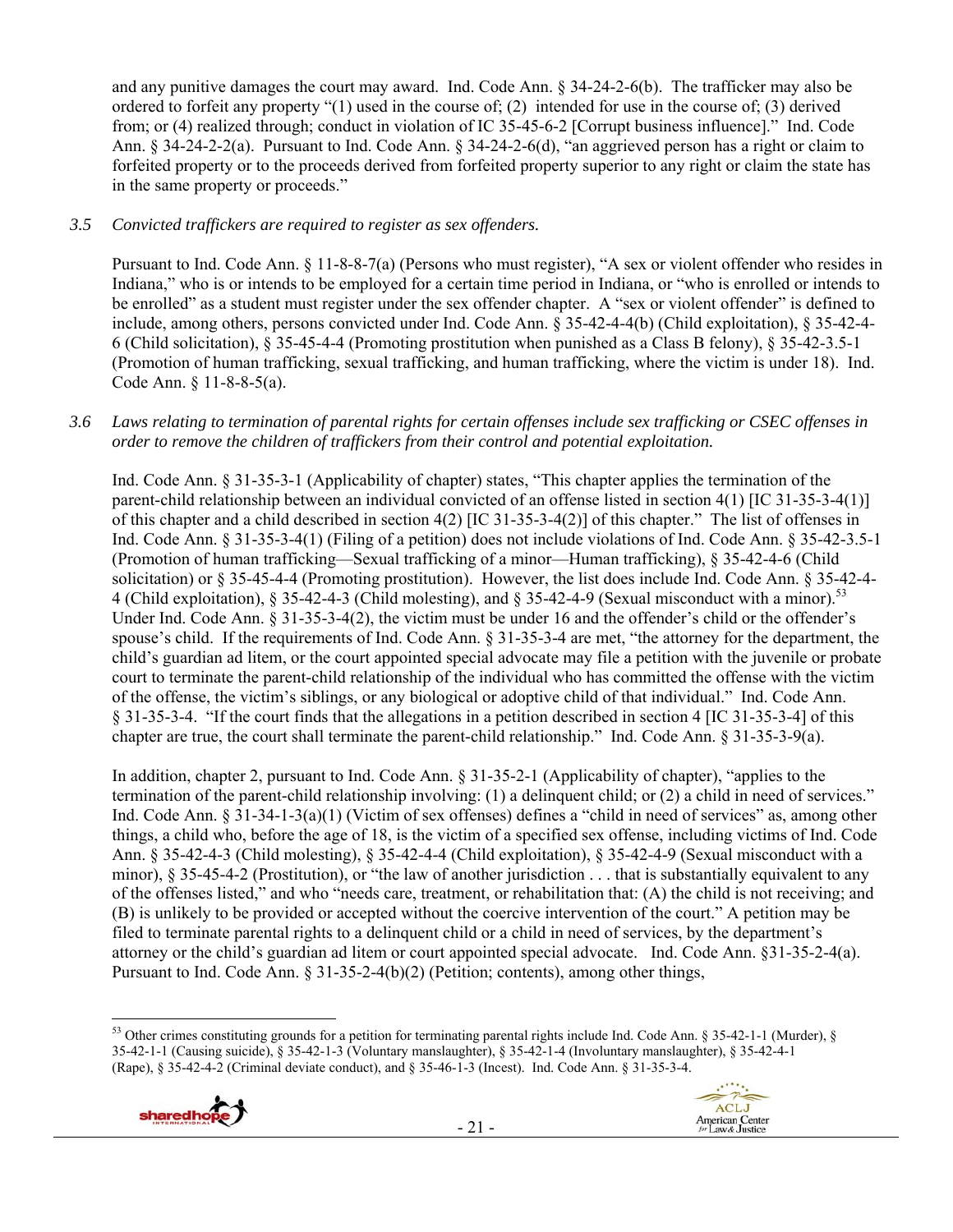and any punitive damages the court may award. Ind. Code Ann. § 34-24-2-6(b). The trafficker may also be ordered to forfeit any property "(1) used in the course of; (2) intended for use in the course of; (3) derived from; or (4) realized through; conduct in violation of IC 35-45-6-2 [Corrupt business influence]." Ind. Code Ann. § 34-24-2-2(a). Pursuant to Ind. Code Ann. § 34-24-2-6(d), "an aggrieved person has a right or claim to forfeited property or to the proceeds derived from forfeited property superior to any right or claim the state has in the same property or proceeds."

# *3.5 Convicted traffickers are required to register as sex offenders.*

Pursuant to Ind. Code Ann. § 11-8-8-7(a) (Persons who must register), "A sex or violent offender who resides in Indiana," who is or intends to be employed for a certain time period in Indiana, or "who is enrolled or intends to be enrolled" as a student must register under the sex offender chapter. A "sex or violent offender" is defined to include, among others, persons convicted under Ind. Code Ann. § 35-42-4-4(b) (Child exploitation), § 35-42-4- 6 (Child solicitation), § 35-45-4-4 (Promoting prostitution when punished as a Class B felony), § 35-42-3.5-1 (Promotion of human trafficking, sexual trafficking, and human trafficking, where the victim is under 18). Ind. Code Ann. § 11-8-8-5(a).

#### *3.6 Laws relating to termination of parental rights for certain offenses include sex trafficking or CSEC offenses in order to remove the children of traffickers from their control and potential exploitation.*

Ind. Code Ann. § 31-35-3-1 (Applicability of chapter) states, "This chapter applies the termination of the parent-child relationship between an individual convicted of an offense listed in section 4(1) [IC 31-35-3-4(1)] of this chapter and a child described in section 4(2) [IC 31-35-3-4(2)] of this chapter." The list of offenses in Ind. Code Ann. § 31-35-3-4(1) (Filing of a petition) does not include violations of Ind. Code Ann. § 35-42-3.5-1 (Promotion of human trafficking—Sexual trafficking of a minor—Human trafficking), § 35-42-4-6 (Child solicitation) or § 35-45-4-4 (Promoting prostitution). However, the list does include Ind. Code Ann. § 35-42-4- 4 (Child exploitation), § 35-42-4-3 (Child molesting), and § 35-42-4-9 (Sexual misconduct with a minor).<sup>53</sup> Under Ind. Code Ann. § 31-35-3-4(2), the victim must be under 16 and the offender's child or the offender's spouse's child. If the requirements of Ind. Code Ann. § 31-35-3-4 are met, "the attorney for the department, the child's guardian ad litem, or the court appointed special advocate may file a petition with the juvenile or probate court to terminate the parent-child relationship of the individual who has committed the offense with the victim of the offense, the victim's siblings, or any biological or adoptive child of that individual." Ind. Code Ann. § 31-35-3-4. "If the court finds that the allegations in a petition described in section 4 [IC 31-35-3-4] of this chapter are true, the court shall terminate the parent-child relationship." Ind. Code Ann. § 31-35-3-9(a).

In addition, chapter 2, pursuant to Ind. Code Ann. § 31-35-2-1 (Applicability of chapter), "applies to the termination of the parent-child relationship involving: (1) a delinquent child; or (2) a child in need of services." Ind. Code Ann. § 31-34-1-3(a)(1) (Victim of sex offenses) defines a "child in need of services" as, among other things, a child who, before the age of 18, is the victim of a specified sex offense, including victims of Ind. Code Ann. § 35-42-4-3 (Child molesting), § 35-42-4-4 (Child exploitation), § 35-42-4-9 (Sexual misconduct with a minor), § 35-45-4-2 (Prostitution), or "the law of another jurisdiction . . . that is substantially equivalent to any of the offenses listed," and who "needs care, treatment, or rehabilitation that: (A) the child is not receiving; and (B) is unlikely to be provided or accepted without the coercive intervention of the court." A petition may be filed to terminate parental rights to a delinquent child or a child in need of services, by the department's attorney or the child's guardian ad litem or court appointed special advocate. Ind. Code Ann. §31-35-2-4(a). Pursuant to Ind. Code Ann. § 31-35-2-4(b)(2) (Petition; contents), among other things,

 <sup>53</sup> Other crimes constituting grounds for a petition for terminating parental rights include Ind. Code Ann. § 35-42-1-1 (Murder), § 35-42-1-1 (Causing suicide), § 35-42-1-3 (Voluntary manslaughter), § 35-42-1-4 (Involuntary manslaughter), § 35-42-4-1 (Rape), § 35-42-4-2 (Criminal deviate conduct), and § 35-46-1-3 (Incest). Ind. Code Ann. § 31-35-3-4.



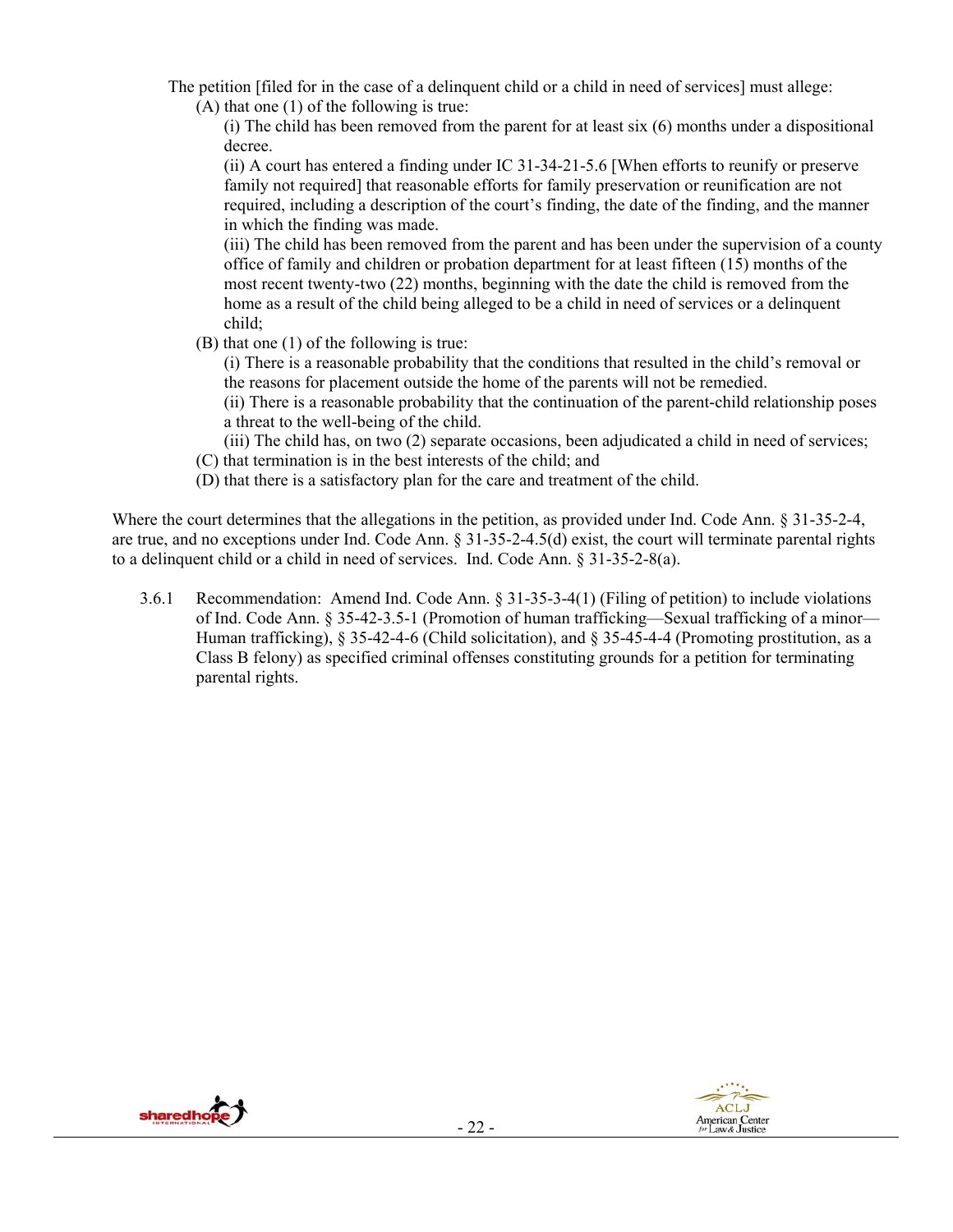- The petition [filed for in the case of a delinquent child or a child in need of services] must allege: (A) that one (1) of the following is true:
	- (i) The child has been removed from the parent for at least six (6) months under a dispositional decree.

(ii) A court has entered a finding under IC 31-34-21-5.6 [When efforts to reunify or preserve family not required] that reasonable efforts for family preservation or reunification are not required, including a description of the court's finding, the date of the finding, and the manner in which the finding was made.

(iii) The child has been removed from the parent and has been under the supervision of a county office of family and children or probation department for at least fifteen (15) months of the most recent twenty-two (22) months, beginning with the date the child is removed from the home as a result of the child being alleged to be a child in need of services or a delinquent child;

(B) that one (1) of the following is true:

(i) There is a reasonable probability that the conditions that resulted in the child's removal or the reasons for placement outside the home of the parents will not be remedied.

(ii) There is a reasonable probability that the continuation of the parent-child relationship poses a threat to the well-being of the child.

(iii) The child has, on two (2) separate occasions, been adjudicated a child in need of services;

- (C) that termination is in the best interests of the child; and
- (D) that there is a satisfactory plan for the care and treatment of the child.

Where the court determines that the allegations in the petition, as provided under Ind. Code Ann. § 31-35-2-4, are true, and no exceptions under Ind. Code Ann. § 31-35-2-4.5(d) exist, the court will terminate parental rights to a delinquent child or a child in need of services. Ind. Code Ann. § 31-35-2-8(a).

3.6.1 Recommendation: Amend Ind. Code Ann. § 31-35-3-4(1) (Filing of petition) to include violations of Ind. Code Ann. § 35-42-3.5-1 (Promotion of human trafficking—Sexual trafficking of a minor— Human trafficking), § 35-42-4-6 (Child solicitation), and § 35-45-4-4 (Promoting prostitution, as a Class B felony) as specified criminal offenses constituting grounds for a petition for terminating parental rights.



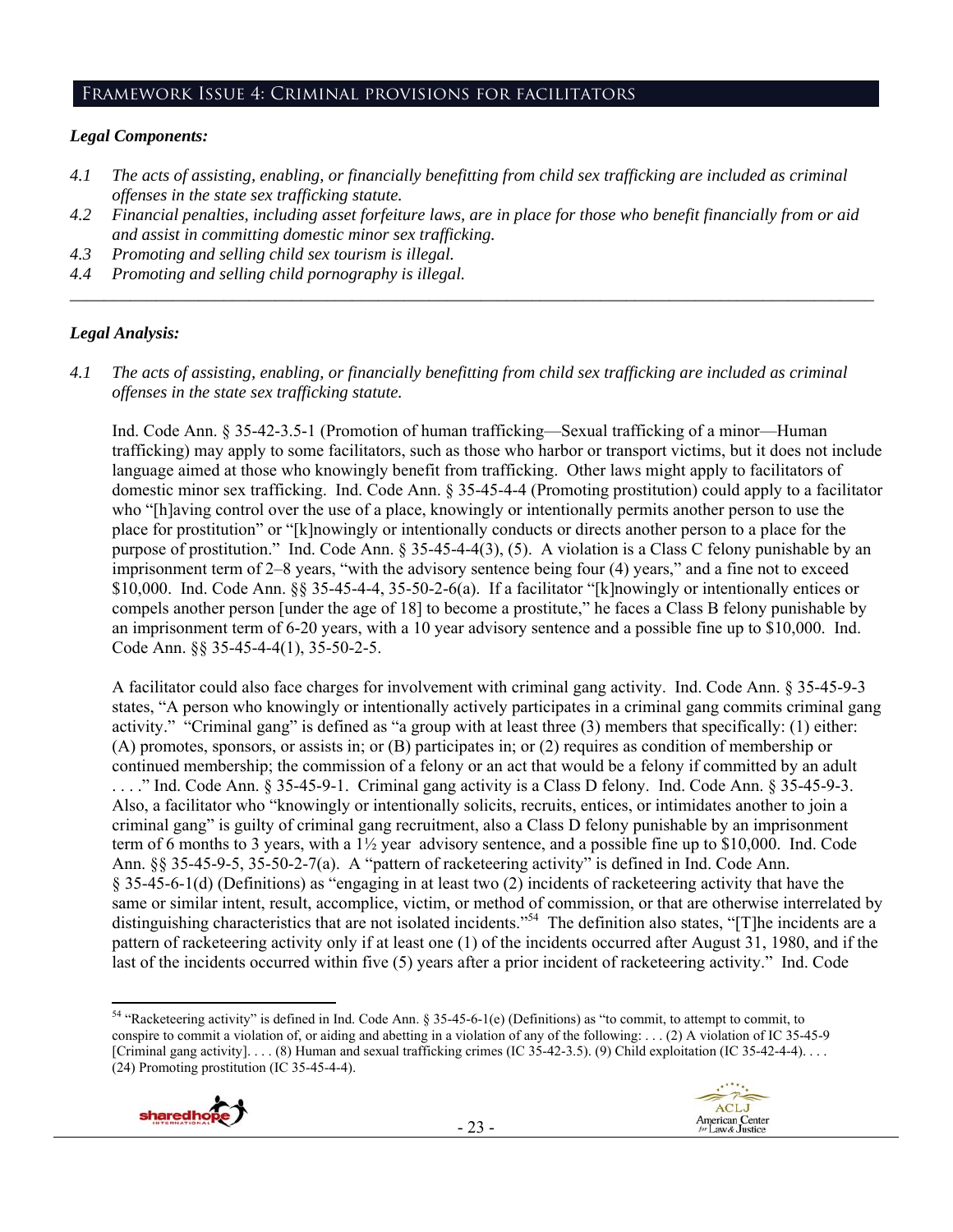#### Framework Issue 4: Criminal provisions for facilitators

# *Legal Components:*

- *4.1 The acts of assisting, enabling, or financially benefitting from child sex trafficking are included as criminal offenses in the state sex trafficking statute.*
- *4.2 Financial penalties, including asset forfeiture laws, are in place for those who benefit financially from or aid and assist in committing domestic minor sex trafficking.*
- *4.3 Promoting and selling child sex tourism is illegal.*
- *4.4 Promoting and selling child pornography is illegal. \_\_\_\_\_\_\_\_\_\_\_\_\_\_\_\_\_\_\_\_\_\_\_\_\_\_\_\_\_\_\_\_\_\_\_\_\_\_\_\_\_\_\_\_\_\_\_\_\_\_\_\_\_\_\_\_\_\_\_\_\_\_\_\_\_\_\_\_\_\_\_\_\_\_\_\_\_\_\_\_\_\_\_\_\_\_\_\_\_\_\_\_\_\_*

# *Legal Analysis:*

*4.1 The acts of assisting, enabling, or financially benefitting from child sex trafficking are included as criminal offenses in the state sex trafficking statute.*

Ind. Code Ann. § 35-42-3.5-1 (Promotion of human trafficking—Sexual trafficking of a minor—Human trafficking) may apply to some facilitators, such as those who harbor or transport victims, but it does not include language aimed at those who knowingly benefit from trafficking. Other laws might apply to facilitators of domestic minor sex trafficking. Ind. Code Ann. § 35-45-4-4 (Promoting prostitution) could apply to a facilitator who "[h]aving control over the use of a place, knowingly or intentionally permits another person to use the place for prostitution" or "[k]nowingly or intentionally conducts or directs another person to a place for the purpose of prostitution." Ind. Code Ann. § 35-45-4-4(3), (5). A violation is a Class C felony punishable by an imprisonment term of 2–8 years, "with the advisory sentence being four (4) years," and a fine not to exceed \$10,000. Ind. Code Ann. §§ 35-45-4-4, 35-50-2-6(a). If a facilitator "[k]nowingly or intentionally entices or compels another person [under the age of 18] to become a prostitute," he faces a Class B felony punishable by an imprisonment term of 6-20 years, with a 10 year advisory sentence and a possible fine up to \$10,000. Ind. Code Ann. §§ 35-45-4-4(1), 35-50-2-5.

A facilitator could also face charges for involvement with criminal gang activity. Ind. Code Ann. § 35-45-9-3 states, "A person who knowingly or intentionally actively participates in a criminal gang commits criminal gang activity." "Criminal gang" is defined as "a group with at least three (3) members that specifically: (1) either: (A) promotes, sponsors, or assists in; or (B) participates in; or (2) requires as condition of membership or continued membership; the commission of a felony or an act that would be a felony if committed by an adult . . . ." Ind. Code Ann. § 35-45-9-1. Criminal gang activity is a Class D felony. Ind. Code Ann. § 35-45-9-3. Also, a facilitator who "knowingly or intentionally solicits, recruits, entices, or intimidates another to join a criminal gang" is guilty of criminal gang recruitment, also a Class D felony punishable by an imprisonment term of 6 months to 3 years, with a 1½ year advisory sentence, and a possible fine up to \$10,000. Ind. Code Ann. §§ 35-45-9-5, 35-50-2-7(a). A "pattern of racketeering activity" is defined in Ind. Code Ann. § 35-45-6-1(d) (Definitions) as "engaging in at least two (2) incidents of racketeering activity that have the same or similar intent, result, accomplice, victim, or method of commission, or that are otherwise interrelated by distinguishing characteristics that are not isolated incidents."<sup>54</sup> The definition also states, "[T]he incidents are a pattern of racketeering activity only if at least one (1) of the incidents occurred after August 31, 1980, and if the last of the incidents occurred within five (5) years after a prior incident of racketeering activity." Ind. Code

 <sup>54</sup> "Racketeering activity" is defined in Ind. Code Ann. § 35-45-6-1(e) (Definitions) as "to commit, to attempt to commit, to conspire to commit a violation of, or aiding and abetting in a violation of any of the following: . . . (2) A violation of IC 35-45-9 [Criminal gang activity].... (8) Human and sexual trafficking crimes (IC 35-42-3.5). (9) Child exploitation (IC 35-42-4-4).... (24) Promoting prostitution (IC 35-45-4-4).



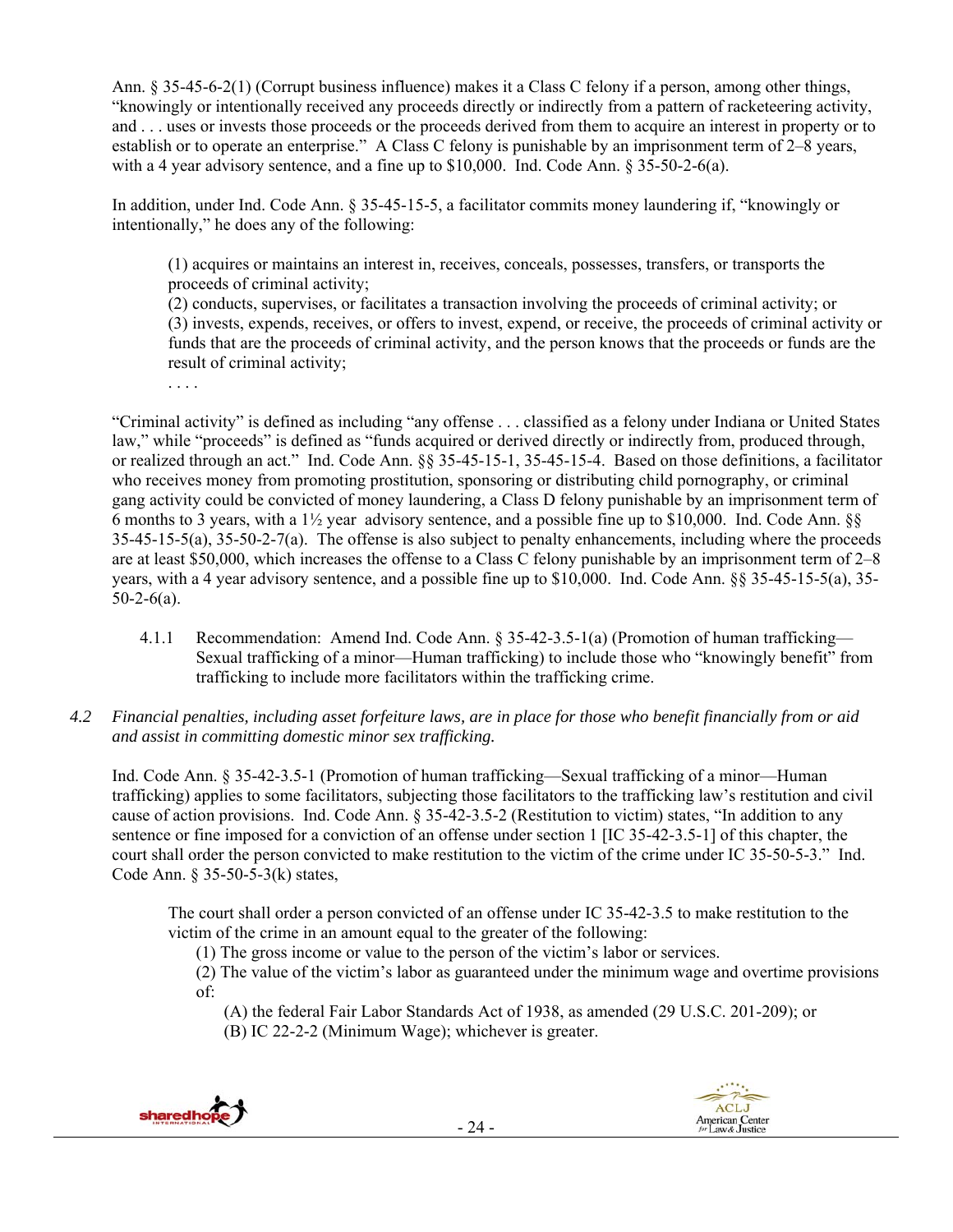Ann. § 35-45-6-2(1) (Corrupt business influence) makes it a Class C felony if a person, among other things, "knowingly or intentionally received any proceeds directly or indirectly from a pattern of racketeering activity, and . . . uses or invests those proceeds or the proceeds derived from them to acquire an interest in property or to establish or to operate an enterprise." A Class C felony is punishable by an imprisonment term of 2–8 years, with a 4 year advisory sentence, and a fine up to  $$10,000$ . Ind. Code Ann. § 35-50-2-6(a).

In addition, under Ind. Code Ann. § 35-45-15-5, a facilitator commits money laundering if, "knowingly or intentionally," he does any of the following:

(1) acquires or maintains an interest in, receives, conceals, possesses, transfers, or transports the proceeds of criminal activity;

(2) conducts, supervises, or facilitates a transaction involving the proceeds of criminal activity; or (3) invests, expends, receives, or offers to invest, expend, or receive, the proceeds of criminal activity or funds that are the proceeds of criminal activity, and the person knows that the proceeds or funds are the result of criminal activity;

. . . .

"Criminal activity" is defined as including "any offense . . . classified as a felony under Indiana or United States law," while "proceeds" is defined as "funds acquired or derived directly or indirectly from, produced through, or realized through an act." Ind. Code Ann. §§ 35-45-15-1, 35-45-15-4. Based on those definitions, a facilitator who receives money from promoting prostitution, sponsoring or distributing child pornography, or criminal gang activity could be convicted of money laundering, a Class D felony punishable by an imprisonment term of 6 months to 3 years, with a  $1\frac{1}{2}$  year advisory sentence, and a possible fine up to \$10,000. Ind. Code Ann. §§ 35-45-15-5(a), 35-50-2-7(a). The offense is also subject to penalty enhancements, including where the proceeds are at least \$50,000, which increases the offense to a Class C felony punishable by an imprisonment term of 2–8 years, with a 4 year advisory sentence, and a possible fine up to \$10,000. Ind. Code Ann. §§ 35-45-15-5(a), 35-  $50-2-6(a)$ .

- 4.1.1 Recommendation: Amend Ind. Code Ann. § 35-42-3.5-1(a) (Promotion of human trafficking— Sexual trafficking of a minor—Human trafficking) to include those who "knowingly benefit" from trafficking to include more facilitators within the trafficking crime.
- *4.2 Financial penalties, including asset forfeiture laws, are in place for those who benefit financially from or aid and assist in committing domestic minor sex trafficking.*

Ind. Code Ann. § 35-42-3.5-1 (Promotion of human trafficking—Sexual trafficking of a minor—Human trafficking) applies to some facilitators, subjecting those facilitators to the trafficking law's restitution and civil cause of action provisions. Ind. Code Ann. § 35-42-3.5-2 (Restitution to victim) states, "In addition to any sentence or fine imposed for a conviction of an offense under section 1 [IC 35-42-3.5-1] of this chapter, the court shall order the person convicted to make restitution to the victim of the crime under IC 35-50-5-3." Ind. Code Ann. § 35-50-5-3(k) states,

The court shall order a person convicted of an offense under IC 35-42-3.5 to make restitution to the victim of the crime in an amount equal to the greater of the following:

(1) The gross income or value to the person of the victim's labor or services.

(2) The value of the victim's labor as guaranteed under the minimum wage and overtime provisions of:

- (A) the federal Fair Labor Standards Act of 1938, as amended (29 U.S.C. 201-209); or
- (B) IC 22-2-2 (Minimum Wage); whichever is greater.



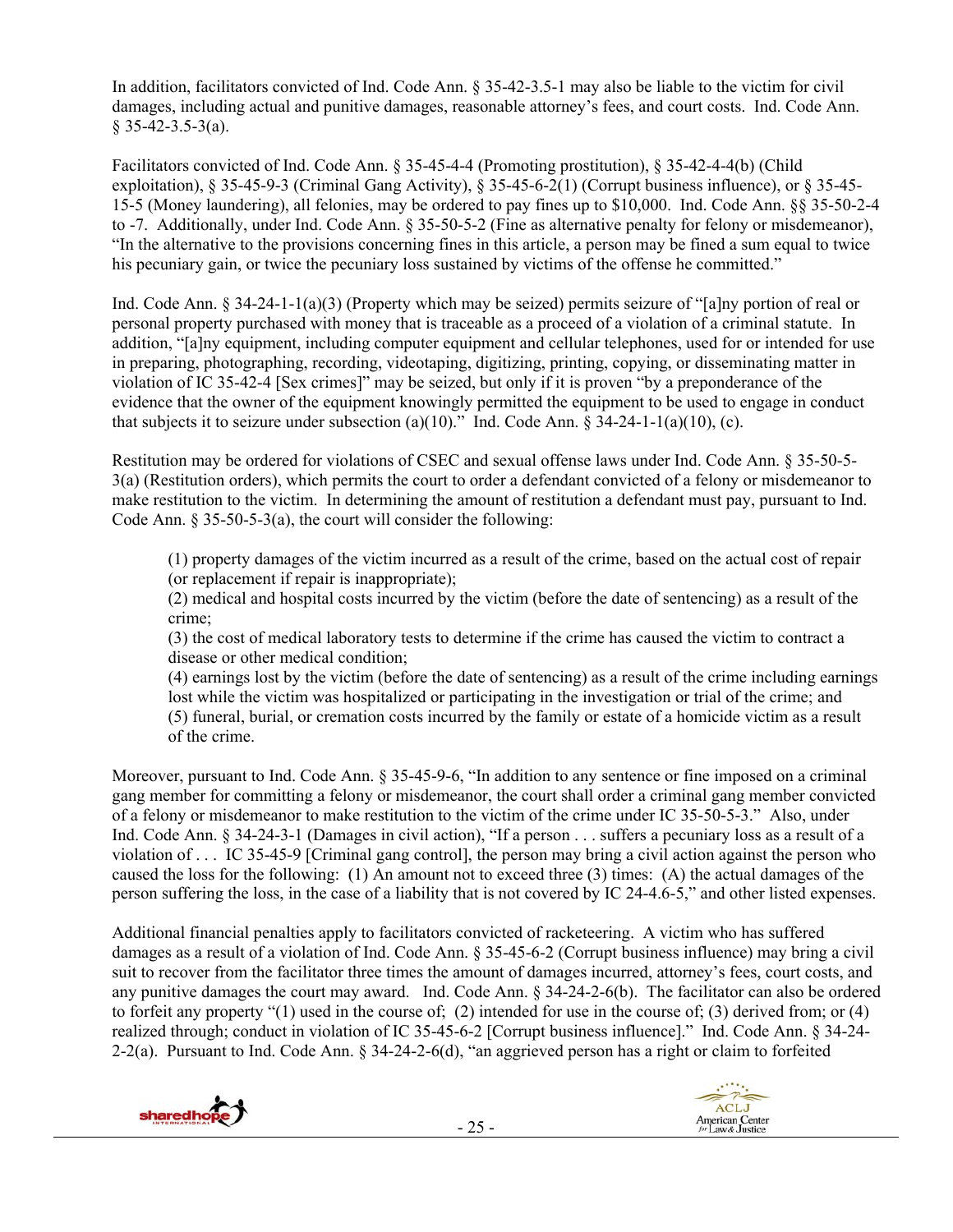In addition, facilitators convicted of Ind. Code Ann. § 35-42-3.5-1 may also be liable to the victim for civil damages, including actual and punitive damages, reasonable attorney's fees, and court costs. Ind. Code Ann.  $§$  35-42-3.5-3(a).

Facilitators convicted of Ind. Code Ann. § 35-45-4-4 (Promoting prostitution), § 35-42-4-4(b) (Child exploitation), § 35-45-9-3 (Criminal Gang Activity), § 35-45-6-2(1) (Corrupt business influence), or § 35-45- 15-5 (Money laundering), all felonies, may be ordered to pay fines up to \$10,000. Ind. Code Ann. §§ 35-50-2-4 to -7. Additionally, under Ind. Code Ann. § 35-50-5-2 (Fine as alternative penalty for felony or misdemeanor), "In the alternative to the provisions concerning fines in this article, a person may be fined a sum equal to twice his pecuniary gain, or twice the pecuniary loss sustained by victims of the offense he committed."

Ind. Code Ann. § 34-24-1-1(a)(3) (Property which may be seized) permits seizure of "[a]ny portion of real or personal property purchased with money that is traceable as a proceed of a violation of a criminal statute. In addition, "[a]ny equipment, including computer equipment and cellular telephones, used for or intended for use in preparing, photographing, recording, videotaping, digitizing, printing, copying, or disseminating matter in violation of IC 35-42-4 [Sex crimes]" may be seized, but only if it is proven "by a preponderance of the evidence that the owner of the equipment knowingly permitted the equipment to be used to engage in conduct that subjects it to seizure under subsection (a)(10)." Ind. Code Ann.  $\hat{\S}$  34-24-1-1(a)(10), (c).

Restitution may be ordered for violations of CSEC and sexual offense laws under Ind. Code Ann. § 35-50-5- 3(a) (Restitution orders), which permits the court to order a defendant convicted of a felony or misdemeanor to make restitution to the victim. In determining the amount of restitution a defendant must pay, pursuant to Ind. Code Ann. § 35-50-5-3(a), the court will consider the following:

(1) property damages of the victim incurred as a result of the crime, based on the actual cost of repair (or replacement if repair is inappropriate);

(2) medical and hospital costs incurred by the victim (before the date of sentencing) as a result of the crime;

(3) the cost of medical laboratory tests to determine if the crime has caused the victim to contract a disease or other medical condition;

(4) earnings lost by the victim (before the date of sentencing) as a result of the crime including earnings lost while the victim was hospitalized or participating in the investigation or trial of the crime; and (5) funeral, burial, or cremation costs incurred by the family or estate of a homicide victim as a result of the crime.

Moreover, pursuant to Ind. Code Ann. § 35-45-9-6, "In addition to any sentence or fine imposed on a criminal gang member for committing a felony or misdemeanor, the court shall order a criminal gang member convicted of a felony or misdemeanor to make restitution to the victim of the crime under IC 35-50-5-3." Also, under Ind. Code Ann. § 34-24-3-1 (Damages in civil action), "If a person . . . suffers a pecuniary loss as a result of a violation of . . . IC 35-45-9 [Criminal gang control], the person may bring a civil action against the person who caused the loss for the following: (1) An amount not to exceed three (3) times: (A) the actual damages of the person suffering the loss, in the case of a liability that is not covered by IC 24-4.6-5," and other listed expenses.

Additional financial penalties apply to facilitators convicted of racketeering. A victim who has suffered damages as a result of a violation of Ind. Code Ann. § 35-45-6-2 (Corrupt business influence) may bring a civil suit to recover from the facilitator three times the amount of damages incurred, attorney's fees, court costs, and any punitive damages the court may award. Ind. Code Ann. § 34-24-2-6(b). The facilitator can also be ordered to forfeit any property "(1) used in the course of; (2) intended for use in the course of; (3) derived from; or (4) realized through; conduct in violation of IC 35-45-6-2 [Corrupt business influence]." Ind. Code Ann. § 34-24- 2-2(a). Pursuant to Ind. Code Ann. § 34-24-2-6(d), "an aggrieved person has a right or claim to forfeited



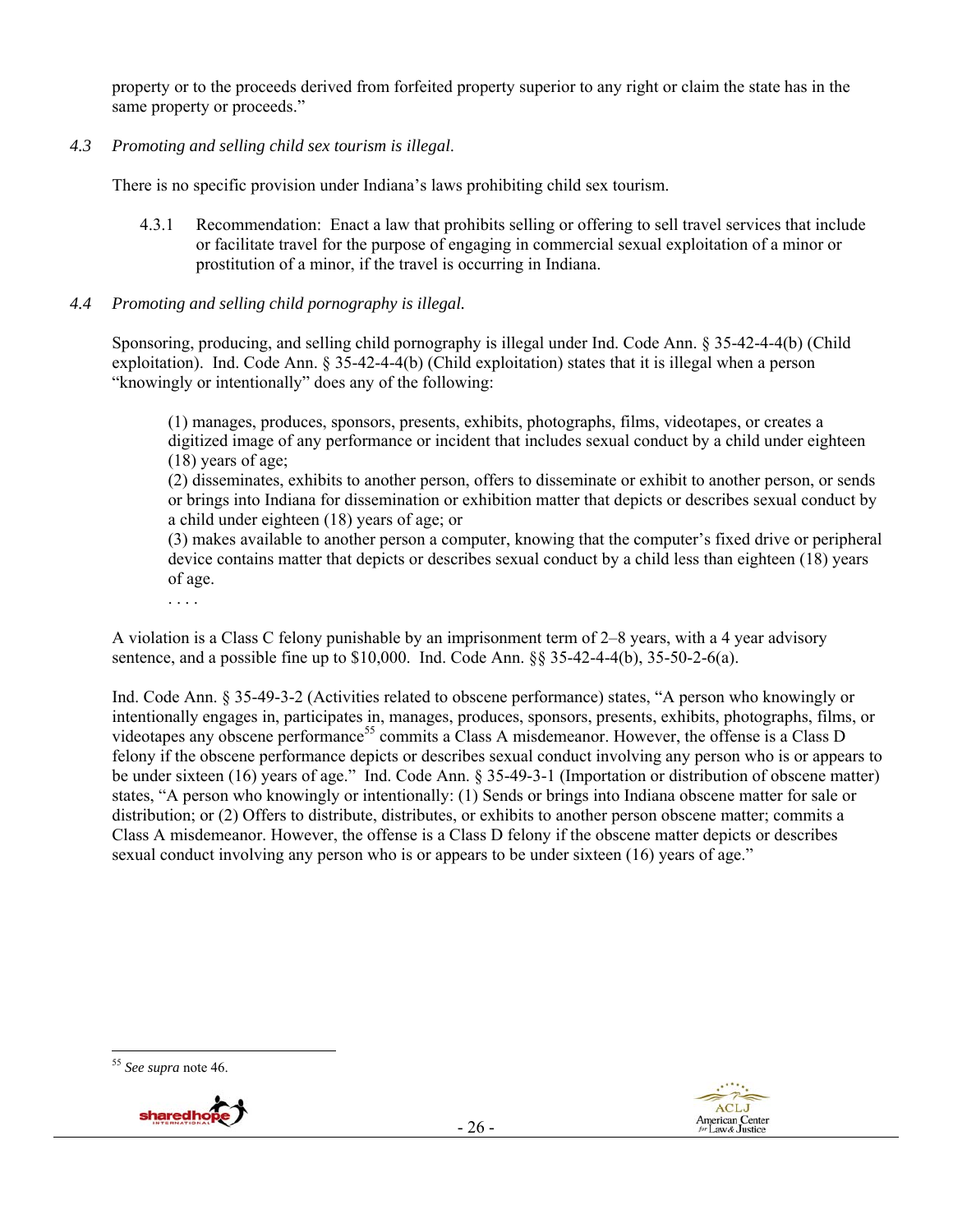property or to the proceeds derived from forfeited property superior to any right or claim the state has in the same property or proceeds."

*4.3 Promoting and selling child sex tourism is illegal*.

There is no specific provision under Indiana's laws prohibiting child sex tourism.

4.3.1 Recommendation: Enact a law that prohibits selling or offering to sell travel services that include or facilitate travel for the purpose of engaging in commercial sexual exploitation of a minor or prostitution of a minor, if the travel is occurring in Indiana.

#### *4.4 Promoting and selling child pornography is illegal.*

Sponsoring, producing, and selling child pornography is illegal under Ind. Code Ann. § 35-42-4-4(b) (Child exploitation). Ind. Code Ann. § 35-42-4-4(b) (Child exploitation) states that it is illegal when a person "knowingly or intentionally" does any of the following:

(1) manages, produces, sponsors, presents, exhibits, photographs, films, videotapes, or creates a digitized image of any performance or incident that includes sexual conduct by a child under eighteen (18) years of age;

(2) disseminates, exhibits to another person, offers to disseminate or exhibit to another person, or sends or brings into Indiana for dissemination or exhibition matter that depicts or describes sexual conduct by a child under eighteen (18) years of age; or

(3) makes available to another person a computer, knowing that the computer's fixed drive or peripheral device contains matter that depicts or describes sexual conduct by a child less than eighteen (18) years of age.

. . . .

A violation is a Class C felony punishable by an imprisonment term of 2–8 years, with a 4 year advisory sentence, and a possible fine up to \$10,000. Ind. Code Ann. §§ 35-42-4-4(b), 35-50-2-6(a).

Ind. Code Ann. § 35-49-3-2 (Activities related to obscene performance) states, "A person who knowingly or intentionally engages in, participates in, manages, produces, sponsors, presents, exhibits, photographs, films, or videotapes any obscene performance<sup>55</sup> commits a Class A misdemeanor. However, the offense is a Class D felony if the obscene performance depicts or describes sexual conduct involving any person who is or appears to be under sixteen (16) years of age." Ind. Code Ann. § 35-49-3-1 (Importation or distribution of obscene matter) states, "A person who knowingly or intentionally: (1) Sends or brings into Indiana obscene matter for sale or distribution; or (2) Offers to distribute, distributes, or exhibits to another person obscene matter; commits a Class A misdemeanor. However, the offense is a Class D felony if the obscene matter depicts or describes sexual conduct involving any person who is or appears to be under sixteen (16) years of age."

 <sup>55</sup> *See supra* note 46.



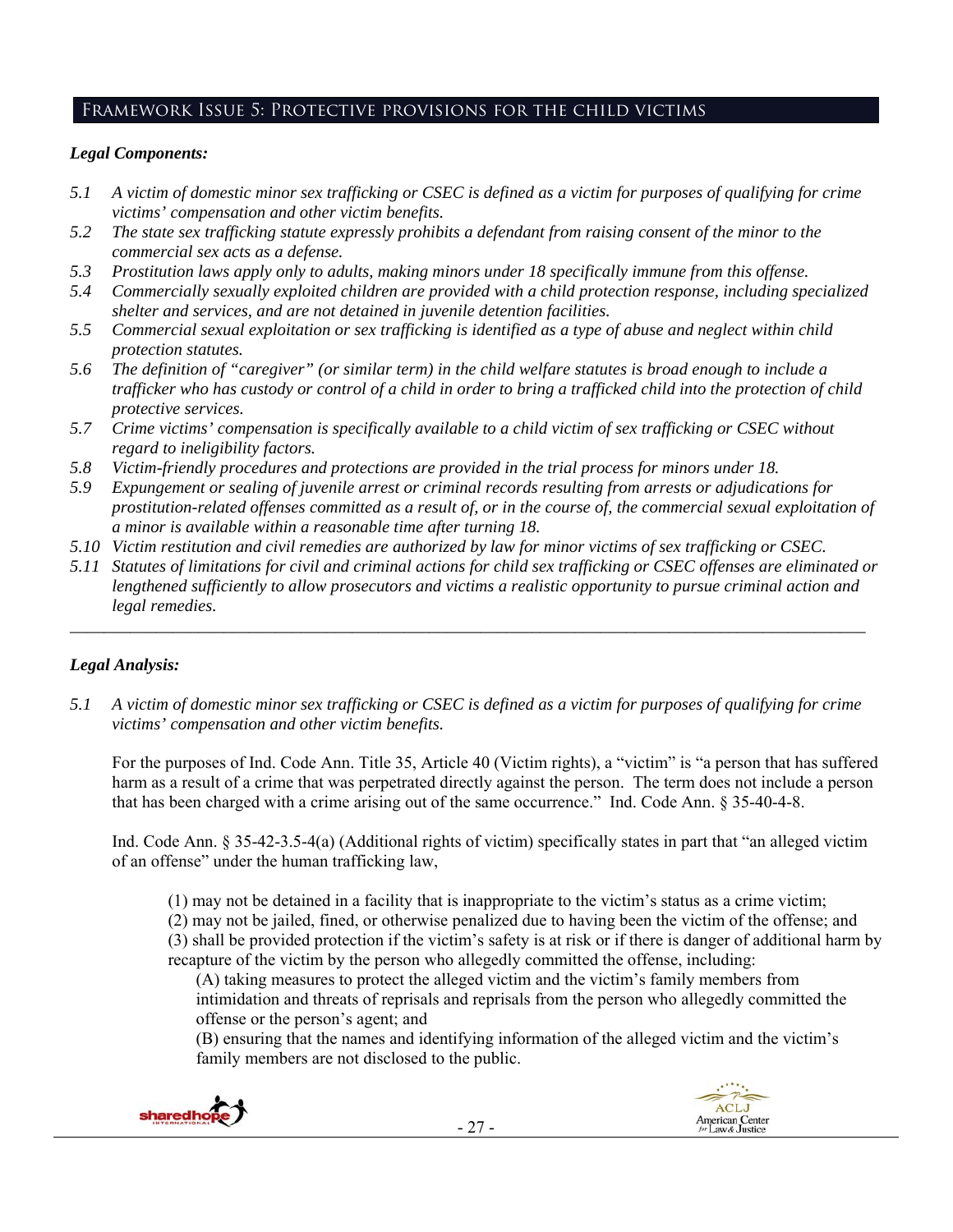# Framework Issue 5: Protective provisions for the child victims

# *Legal Components:*

- *5.1 A victim of domestic minor sex trafficking or CSEC is defined as a victim for purposes of qualifying for crime victims' compensation and other victim benefits.*
- *5.2 The state sex trafficking statute expressly prohibits a defendant from raising consent of the minor to the commercial sex acts as a defense.*
- *5.3 Prostitution laws apply only to adults, making minors under 18 specifically immune from this offense.*
- *5.4 Commercially sexually exploited children are provided with a child protection response, including specialized shelter and services, and are not detained in juvenile detention facilities.*
- *5.5 Commercial sexual exploitation or sex trafficking is identified as a type of abuse and neglect within child protection statutes.*
- *5.6 The definition of "caregiver" (or similar term) in the child welfare statutes is broad enough to include a trafficker who has custody or control of a child in order to bring a trafficked child into the protection of child protective services.*
- *5.7 Crime victims' compensation is specifically available to a child victim of sex trafficking or CSEC without regard to ineligibility factors.*
- *5.8 Victim-friendly procedures and protections are provided in the trial process for minors under 18.*
- *5.9 Expungement or sealing of juvenile arrest or criminal records resulting from arrests or adjudications for prostitution-related offenses committed as a result of, or in the course of, the commercial sexual exploitation of a minor is available within a reasonable time after turning 18.*
- *5.10 Victim restitution and civil remedies are authorized by law for minor victims of sex trafficking or CSEC.*
- *5.11 Statutes of limitations for civil and criminal actions for child sex trafficking or CSEC offenses are eliminated or lengthened sufficiently to allow prosecutors and victims a realistic opportunity to pursue criminal action and legal remedies.*

*\_\_\_\_\_\_\_\_\_\_\_\_\_\_\_\_\_\_\_\_\_\_\_\_\_\_\_\_\_\_\_\_\_\_\_\_\_\_\_\_\_\_\_\_\_\_\_\_\_\_\_\_\_\_\_\_\_\_\_\_\_\_\_\_\_\_\_\_\_\_\_\_\_\_\_\_\_\_\_\_\_\_\_\_\_\_\_\_\_\_\_\_\_* 

# *Legal Analysis:*

*5.1 A victim of domestic minor sex trafficking or CSEC is defined as a victim for purposes of qualifying for crime victims' compensation and other victim benefits.* 

For the purposes of Ind. Code Ann. Title 35, Article 40 (Victim rights), a "victim" is "a person that has suffered harm as a result of a crime that was perpetrated directly against the person. The term does not include a person that has been charged with a crime arising out of the same occurrence." Ind. Code Ann. § 35-40-4-8.

Ind. Code Ann. § 35-42-3.5-4(a) (Additional rights of victim) specifically states in part that "an alleged victim of an offense" under the human trafficking law,

(1) may not be detained in a facility that is inappropriate to the victim's status as a crime victim;

(2) may not be jailed, fined, or otherwise penalized due to having been the victim of the offense; and (3) shall be provided protection if the victim's safety is at risk or if there is danger of additional harm by recapture of the victim by the person who allegedly committed the offense, including:

(A) taking measures to protect the alleged victim and the victim's family members from intimidation and threats of reprisals and reprisals from the person who allegedly committed the offense or the person's agent; and

(B) ensuring that the names and identifying information of the alleged victim and the victim's family members are not disclosed to the public.



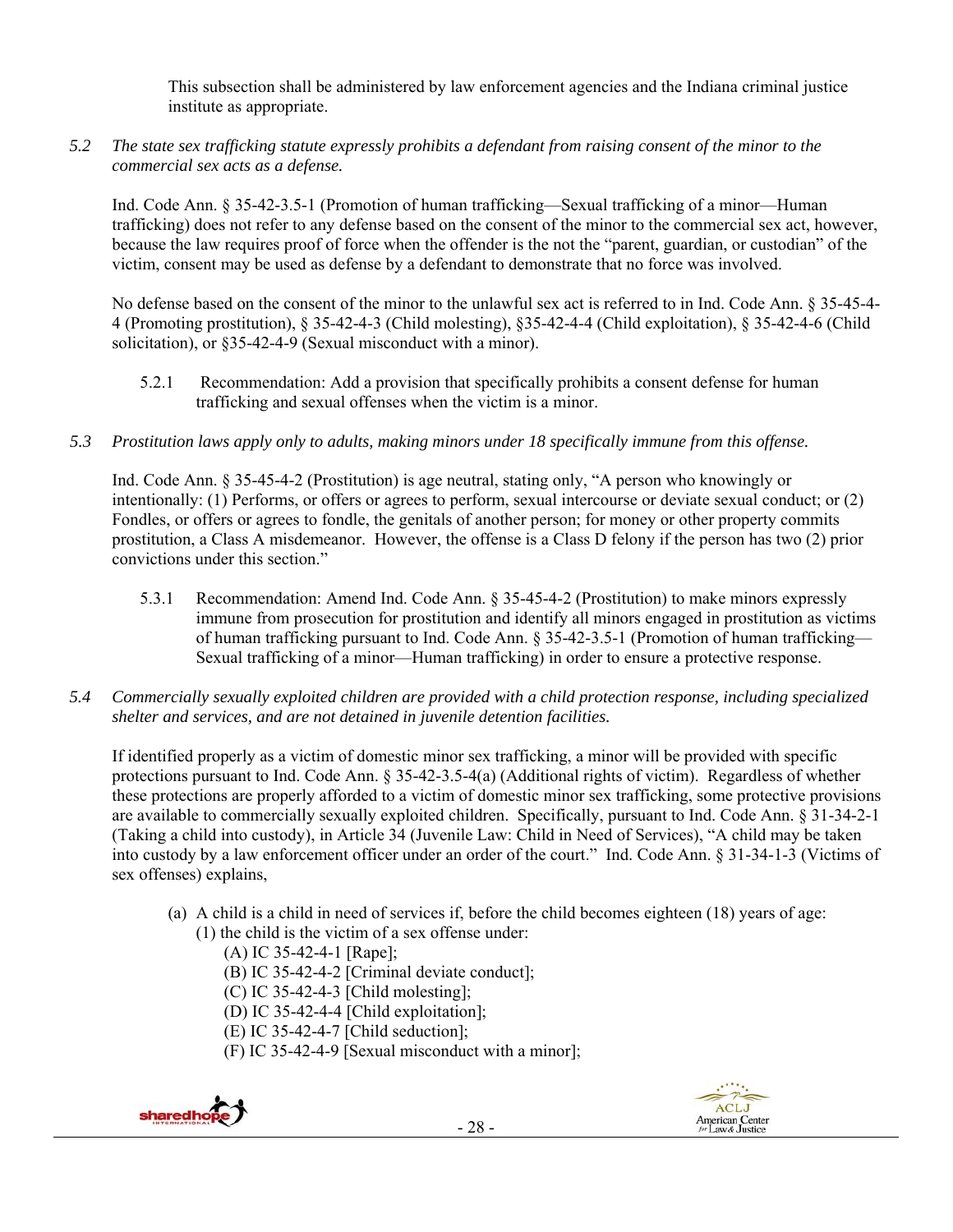This subsection shall be administered by law enforcement agencies and the Indiana criminal justice institute as appropriate.

*5.2 The state sex trafficking statute expressly prohibits a defendant from raising consent of the minor to the commercial sex acts as a defense.* 

Ind. Code Ann. § 35-42-3.5-1 (Promotion of human trafficking—Sexual trafficking of a minor—Human trafficking) does not refer to any defense based on the consent of the minor to the commercial sex act, however, because the law requires proof of force when the offender is the not the "parent, guardian, or custodian" of the victim, consent may be used as defense by a defendant to demonstrate that no force was involved.

No defense based on the consent of the minor to the unlawful sex act is referred to in Ind. Code Ann. § 35-45-4- 4 (Promoting prostitution), § 35-42-4-3 (Child molesting), §35-42-4-4 (Child exploitation), § 35-42-4-6 (Child solicitation), or §35-42-4-9 (Sexual misconduct with a minor).

- 5.2.1 Recommendation: Add a provision that specifically prohibits a consent defense for human trafficking and sexual offenses when the victim is a minor.
- *5.3 Prostitution laws apply only to adults, making minors under 18 specifically immune from this offense.*

Ind. Code Ann. § 35-45-4-2 (Prostitution) is age neutral, stating only, "A person who knowingly or intentionally: (1) Performs, or offers or agrees to perform, sexual intercourse or deviate sexual conduct; or (2) Fondles, or offers or agrees to fondle, the genitals of another person; for money or other property commits prostitution, a Class A misdemeanor. However, the offense is a Class D felony if the person has two (2) prior convictions under this section."

- 5.3.1 Recommendation: Amend Ind. Code Ann. § 35-45-4-2 (Prostitution) to make minors expressly immune from prosecution for prostitution and identify all minors engaged in prostitution as victims of human trafficking pursuant to Ind. Code Ann. § 35-42-3.5-1 (Promotion of human trafficking— Sexual trafficking of a minor—Human trafficking) in order to ensure a protective response.
- *5.4 Commercially sexually exploited children are provided with a child protection response, including specialized shelter and services, and are not detained in juvenile detention facilities.*

If identified properly as a victim of domestic minor sex trafficking, a minor will be provided with specific protections pursuant to Ind. Code Ann. § 35-42-3.5-4(a) (Additional rights of victim). Regardless of whether these protections are properly afforded to a victim of domestic minor sex trafficking, some protective provisions are available to commercially sexually exploited children. Specifically, pursuant to Ind. Code Ann. § 31-34-2-1 (Taking a child into custody), in Article 34 (Juvenile Law: Child in Need of Services), "A child may be taken into custody by a law enforcement officer under an order of the court." Ind. Code Ann. § 31-34-1-3 (Victims of sex offenses) explains,

- (a) A child is a child in need of services if, before the child becomes eighteen (18) years of age:
	- (1) the child is the victim of a sex offense under:
		- (A) IC 35-42-4-1 [Rape];
		- (B) IC 35-42-4-2 [Criminal deviate conduct];
		- (C) IC 35-42-4-3 [Child molesting];
		- (D) IC 35-42-4-4 [Child exploitation];
		- (E) IC 35-42-4-7 [Child seduction];
		- (F) IC 35-42-4-9 [Sexual misconduct with a minor];



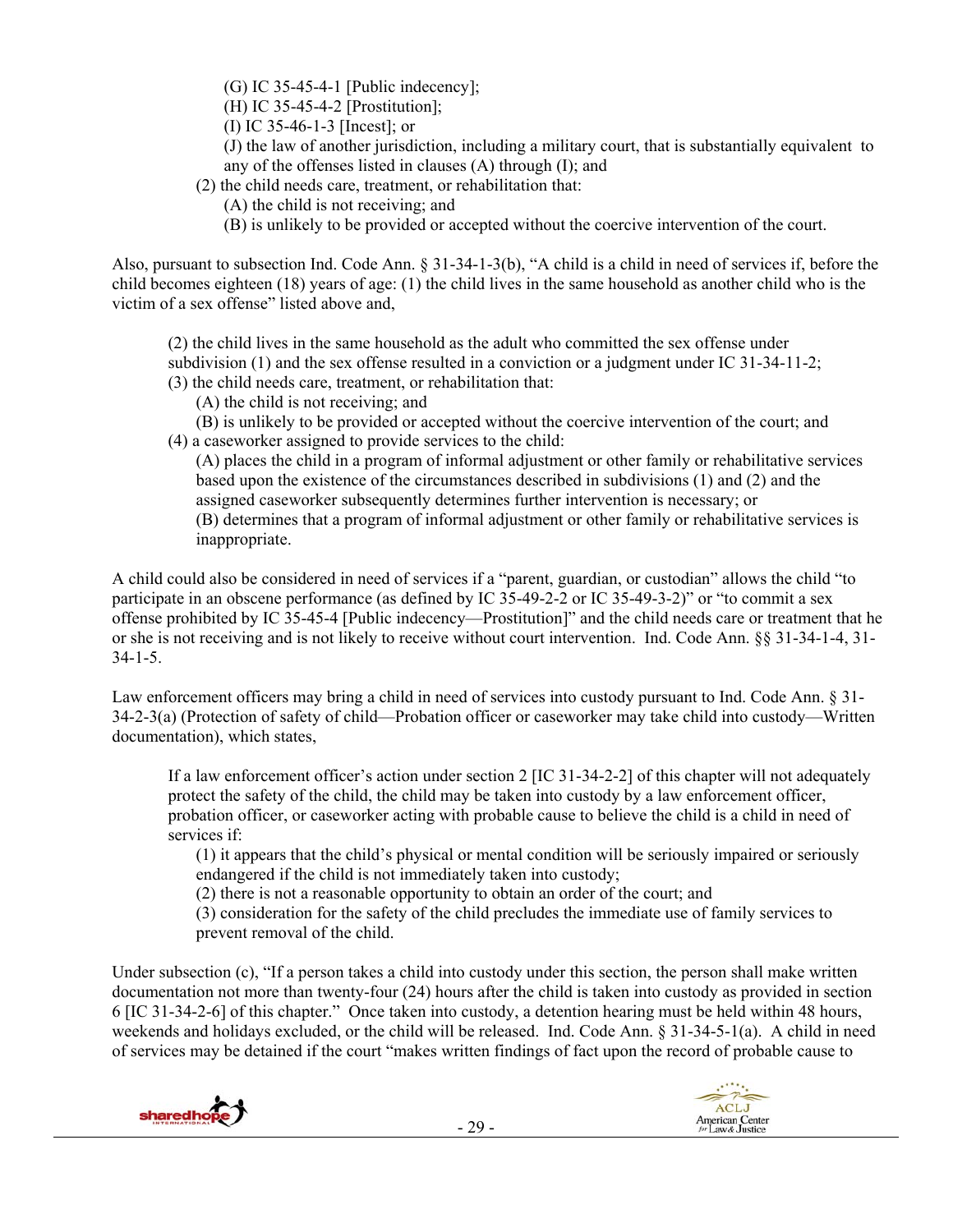- (G) IC 35-45-4-1 [Public indecency];
- (H) IC 35-45-4-2 [Prostitution];
- (I) IC 35-46-1-3 [Incest]; or
- (J) the law of another jurisdiction, including a military court, that is substantially equivalent to any of the offenses listed in clauses (A) through (I); and
- (2) the child needs care, treatment, or rehabilitation that:
	- (A) the child is not receiving; and
	- (B) is unlikely to be provided or accepted without the coercive intervention of the court.

Also, pursuant to subsection Ind. Code Ann. § 31-34-1-3(b), "A child is a child in need of services if, before the child becomes eighteen (18) years of age: (1) the child lives in the same household as another child who is the victim of a sex offense" listed above and,

(2) the child lives in the same household as the adult who committed the sex offense under subdivision (1) and the sex offense resulted in a conviction or a judgment under IC 31-34-11-2; (3) the child needs care, treatment, or rehabilitation that:

- (A) the child is not receiving; and
- (B) is unlikely to be provided or accepted without the coercive intervention of the court; and (4) a caseworker assigned to provide services to the child:

(A) places the child in a program of informal adjustment or other family or rehabilitative services based upon the existence of the circumstances described in subdivisions (1) and (2) and the assigned caseworker subsequently determines further intervention is necessary; or (B) determines that a program of informal adjustment or other family or rehabilitative services is inappropriate.

A child could also be considered in need of services if a "parent, guardian, or custodian" allows the child "to participate in an obscene performance (as defined by IC 35-49-2-2 or IC 35-49-3-2)" or "to commit a sex offense prohibited by IC 35-45-4 [Public indecency—Prostitution]" and the child needs care or treatment that he or she is not receiving and is not likely to receive without court intervention. Ind. Code Ann. §§ 31-34-1-4, 31- 34-1-5.

Law enforcement officers may bring a child in need of services into custody pursuant to Ind. Code Ann. § 31- 34-2-3(a) (Protection of safety of child—Probation officer or caseworker may take child into custody—Written documentation), which states,

If a law enforcement officer's action under section 2 [IC 31-34-2-2] of this chapter will not adequately protect the safety of the child, the child may be taken into custody by a law enforcement officer, probation officer, or caseworker acting with probable cause to believe the child is a child in need of services if:

(1) it appears that the child's physical or mental condition will be seriously impaired or seriously endangered if the child is not immediately taken into custody;

(2) there is not a reasonable opportunity to obtain an order of the court; and

(3) consideration for the safety of the child precludes the immediate use of family services to prevent removal of the child.

Under subsection (c), "If a person takes a child into custody under this section, the person shall make written documentation not more than twenty-four (24) hours after the child is taken into custody as provided in section 6 [IC 31-34-2-6] of this chapter." Once taken into custody, a detention hearing must be held within 48 hours, weekends and holidays excluded, or the child will be released. Ind. Code Ann. § 31-34-5-1(a). A child in need of services may be detained if the court "makes written findings of fact upon the record of probable cause to

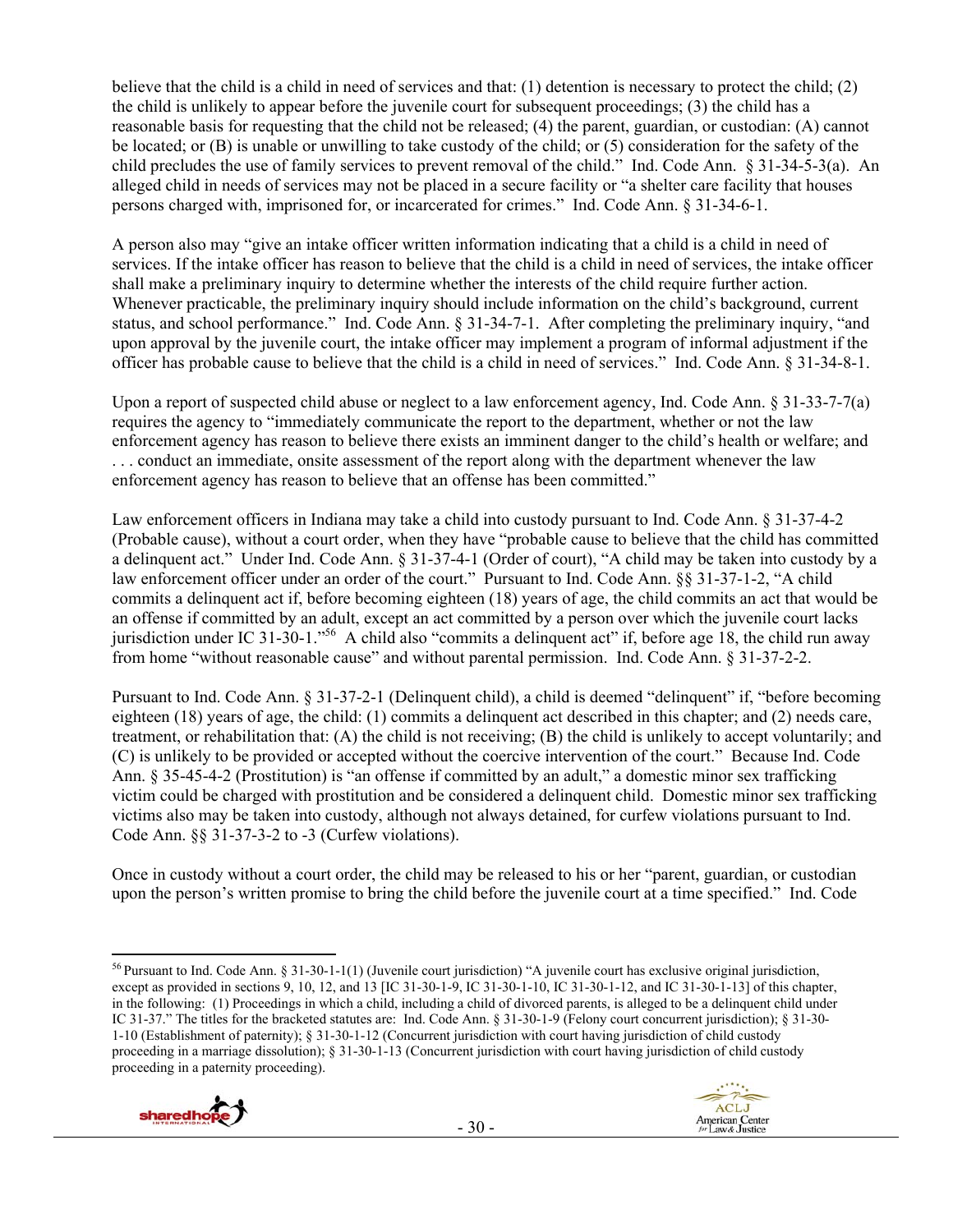believe that the child is a child in need of services and that: (1) detention is necessary to protect the child; (2) the child is unlikely to appear before the juvenile court for subsequent proceedings; (3) the child has a reasonable basis for requesting that the child not be released; (4) the parent, guardian, or custodian: (A) cannot be located; or (B) is unable or unwilling to take custody of the child; or (5) consideration for the safety of the child precludes the use of family services to prevent removal of the child." Ind. Code Ann. § 31-34-5-3(a). An alleged child in needs of services may not be placed in a secure facility or "a shelter care facility that houses persons charged with, imprisoned for, or incarcerated for crimes." Ind. Code Ann. § 31-34-6-1.

A person also may "give an intake officer written information indicating that a child is a child in need of services. If the intake officer has reason to believe that the child is a child in need of services, the intake officer shall make a preliminary inquiry to determine whether the interests of the child require further action. Whenever practicable, the preliminary inquiry should include information on the child's background, current status, and school performance." Ind. Code Ann. § 31-34-7-1. After completing the preliminary inquiry, "and upon approval by the juvenile court, the intake officer may implement a program of informal adjustment if the officer has probable cause to believe that the child is a child in need of services." Ind. Code Ann. § 31-34-8-1.

Upon a report of suspected child abuse or neglect to a law enforcement agency, Ind. Code Ann. § 31-33-7-7(a) requires the agency to "immediately communicate the report to the department, whether or not the law enforcement agency has reason to believe there exists an imminent danger to the child's health or welfare; and . . . conduct an immediate, onsite assessment of the report along with the department whenever the law enforcement agency has reason to believe that an offense has been committed."

Law enforcement officers in Indiana may take a child into custody pursuant to Ind. Code Ann. § 31-37-4-2 (Probable cause), without a court order, when they have "probable cause to believe that the child has committed a delinquent act." Under Ind. Code Ann. § 31-37-4-1 (Order of court), "A child may be taken into custody by a law enforcement officer under an order of the court." Pursuant to Ind. Code Ann. §§ 31-37-1-2, "A child commits a delinquent act if, before becoming eighteen (18) years of age, the child commits an act that would be an offense if committed by an adult, except an act committed by a person over which the juvenile court lacks jurisdiction under IC 31-30-1."56 A child also "commits a delinquent act" if, before age 18, the child run away from home "without reasonable cause" and without parental permission. Ind. Code Ann. § 31-37-2-2.

Pursuant to Ind. Code Ann. § 31-37-2-1 (Delinquent child), a child is deemed "delinquent" if, "before becoming eighteen (18) years of age, the child: (1) commits a delinquent act described in this chapter; and (2) needs care, treatment, or rehabilitation that: (A) the child is not receiving; (B) the child is unlikely to accept voluntarily; and (C) is unlikely to be provided or accepted without the coercive intervention of the court." Because Ind. Code Ann. § 35-45-4-2 (Prostitution) is "an offense if committed by an adult," a domestic minor sex trafficking victim could be charged with prostitution and be considered a delinquent child. Domestic minor sex trafficking victims also may be taken into custody, although not always detained, for curfew violations pursuant to Ind. Code Ann. §§ 31-37-3-2 to -3 (Curfew violations).

Once in custody without a court order, the child may be released to his or her "parent, guardian, or custodian upon the person's written promise to bring the child before the juvenile court at a time specified." Ind. Code

<sup>56</sup> Pursuant to Ind. Code Ann. § 31-30-1-1(1) (Juvenile court jurisdiction) "A juvenile court has exclusive original jurisdiction, except as provided in sections 9, 10, 12, and 13 [IC 31-30-1-9, IC 31-30-1-10, IC 31-30-1-12, and IC 31-30-1-13] of this chapter, in the following: (1) Proceedings in which a child, including a child of divorced parents, is alleged to be a delinquent child under IC 31-37." The titles for the bracketed statutes are: Ind. Code Ann. § 31-30-1-9 (Felony court concurrent jurisdiction); § 31-30- 1-10 (Establishment of paternity); § 31-30-1-12 (Concurrent jurisdiction with court having jurisdiction of child custody proceeding in a marriage dissolution); § 31-30-1-13 (Concurrent jurisdiction with court having jurisdiction of child custody proceeding in a paternity proceeding).



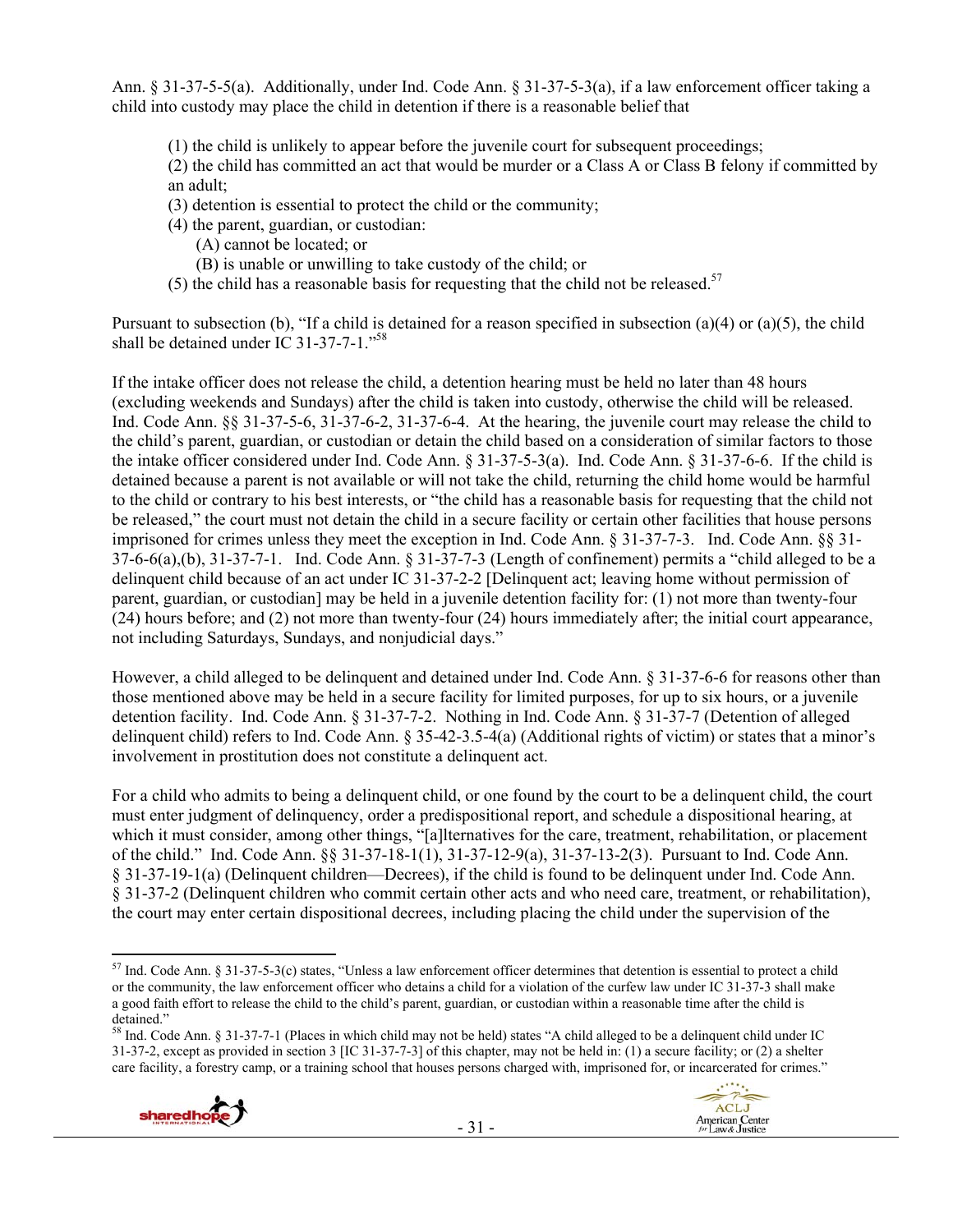Ann. § 31-37-5-5(a). Additionally, under Ind. Code Ann. § 31-37-5-3(a), if a law enforcement officer taking a child into custody may place the child in detention if there is a reasonable belief that

(1) the child is unlikely to appear before the juvenile court for subsequent proceedings;

(2) the child has committed an act that would be murder or a Class A or Class B felony if committed by an adult;

- (3) detention is essential to protect the child or the community;
- (4) the parent, guardian, or custodian:
	- (A) cannot be located; or
	- (B) is unable or unwilling to take custody of the child; or
- (5) the child has a reasonable basis for requesting that the child not be released.<sup>57</sup>

Pursuant to subsection (b), "If a child is detained for a reason specified in subsection (a)(4) or (a)(5), the child shall be detained under IC 31-37-7-1."<sup>58</sup>

If the intake officer does not release the child, a detention hearing must be held no later than 48 hours (excluding weekends and Sundays) after the child is taken into custody, otherwise the child will be released. Ind. Code Ann. §§ 31-37-5-6, 31-37-6-2, 31-37-6-4. At the hearing, the juvenile court may release the child to the child's parent, guardian, or custodian or detain the child based on a consideration of similar factors to those the intake officer considered under Ind. Code Ann. § 31-37-5-3(a). Ind. Code Ann. § 31-37-6-6. If the child is detained because a parent is not available or will not take the child, returning the child home would be harmful to the child or contrary to his best interests, or "the child has a reasonable basis for requesting that the child not be released," the court must not detain the child in a secure facility or certain other facilities that house persons imprisoned for crimes unless they meet the exception in Ind. Code Ann. § 31-37-7-3. Ind. Code Ann. §§ 31- 37-6-6(a),(b), 31-37-7-1. Ind. Code Ann. § 31-37-7-3 (Length of confinement) permits a "child alleged to be a delinquent child because of an act under IC 31-37-2-2 [Delinquent act; leaving home without permission of parent, guardian, or custodian] may be held in a juvenile detention facility for: (1) not more than twenty-four (24) hours before; and (2) not more than twenty-four (24) hours immediately after; the initial court appearance, not including Saturdays, Sundays, and nonjudicial days."

However, a child alleged to be delinquent and detained under Ind. Code Ann. § 31-37-6-6 for reasons other than those mentioned above may be held in a secure facility for limited purposes, for up to six hours, or a juvenile detention facility. Ind. Code Ann. § 31-37-7-2. Nothing in Ind. Code Ann. § 31-37-7 (Detention of alleged delinquent child) refers to Ind. Code Ann. § 35-42-3.5-4(a) (Additional rights of victim) or states that a minor's involvement in prostitution does not constitute a delinquent act.

For a child who admits to being a delinquent child, or one found by the court to be a delinquent child, the court must enter judgment of delinquency, order a predispositional report, and schedule a dispositional hearing, at which it must consider, among other things, "[a]lternatives for the care, treatment, rehabilitation, or placement of the child." Ind. Code Ann. §§ 31-37-18-1(1), 31-37-12-9(a), 31-37-13-2(3). Pursuant to Ind. Code Ann. § 31-37-19-1(a) (Delinquent children—Decrees), if the child is found to be delinquent under Ind. Code Ann. § 31-37-2 (Delinquent children who commit certain other acts and who need care, treatment, or rehabilitation), the court may enter certain dispositional decrees, including placing the child under the supervision of the

<sup>58</sup> Ind. Code Ann. § 31-37-7-1 (Places in which child may not be held) states "A child alleged to be a delinquent child under IC 31-37-2, except as provided in section 3 [IC 31-37-7-3] of this chapter, may not be held in: (1) a secure facility; or (2) a shelter care facility, a forestry camp, or a training school that houses persons charged with, imprisoned for, or incarcerated for crimes."



  $57$  Ind. Code Ann. § 31-37-5-3(c) states, "Unless a law enforcement officer determines that detention is essential to protect a child or the community, the law enforcement officer who detains a child for a violation of the curfew law under IC 31-37-3 shall make a good faith effort to release the child to the child's parent, guardian, or custodian within a reasonable time after the child is detained."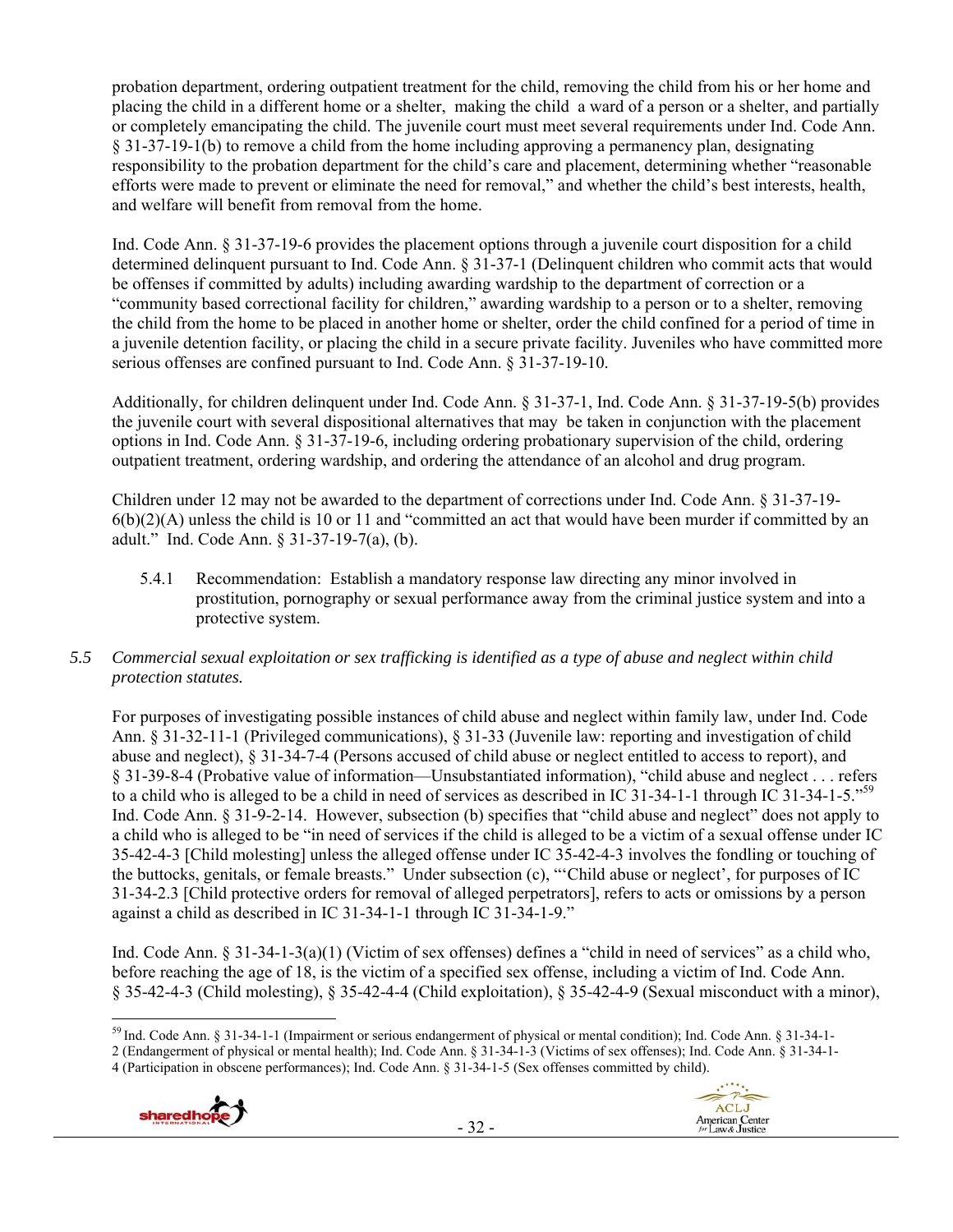probation department, ordering outpatient treatment for the child, removing the child from his or her home and placing the child in a different home or a shelter, making the child a ward of a person or a shelter, and partially or completely emancipating the child. The juvenile court must meet several requirements under Ind. Code Ann. § 31-37-19-1(b) to remove a child from the home including approving a permanency plan, designating responsibility to the probation department for the child's care and placement, determining whether "reasonable efforts were made to prevent or eliminate the need for removal," and whether the child's best interests, health, and welfare will benefit from removal from the home.

Ind. Code Ann. § 31-37-19-6 provides the placement options through a juvenile court disposition for a child determined delinquent pursuant to Ind. Code Ann. § 31-37-1 (Delinquent children who commit acts that would be offenses if committed by adults) including awarding wardship to the department of correction or a "community based correctional facility for children," awarding wardship to a person or to a shelter, removing the child from the home to be placed in another home or shelter, order the child confined for a period of time in a juvenile detention facility, or placing the child in a secure private facility. Juveniles who have committed more serious offenses are confined pursuant to Ind. Code Ann. § 31-37-19-10.

Additionally, for children delinquent under Ind. Code Ann. § 31-37-1, Ind. Code Ann. § 31-37-19-5(b) provides the juvenile court with several dispositional alternatives that may be taken in conjunction with the placement options in Ind. Code Ann. § 31-37-19-6, including ordering probationary supervision of the child, ordering outpatient treatment, ordering wardship, and ordering the attendance of an alcohol and drug program.

Children under 12 may not be awarded to the department of corrections under Ind. Code Ann. § 31-37-19-  $6(b)(2)(A)$  unless the child is 10 or 11 and "committed an act that would have been murder if committed by an adult." Ind. Code Ann. § 31-37-19-7(a), (b).

5.4.1 Recommendation: Establish a mandatory response law directing any minor involved in prostitution, pornography or sexual performance away from the criminal justice system and into a protective system.

# *5.5 Commercial sexual exploitation or sex trafficking is identified as a type of abuse and neglect within child protection statutes.*

For purposes of investigating possible instances of child abuse and neglect within family law, under Ind. Code Ann. § 31-32-11-1 (Privileged communications), § 31-33 (Juvenile law: reporting and investigation of child abuse and neglect), § 31-34-7-4 (Persons accused of child abuse or neglect entitled to access to report), and § 31-39-8-4 (Probative value of information—Unsubstantiated information), "child abuse and neglect . . . refers to a child who is alleged to be a child in need of services as described in IC 31-34-1-1 through IC 31-34-1-5."59 Ind. Code Ann. § 31-9-2-14. However, subsection (b) specifies that "child abuse and neglect" does not apply to a child who is alleged to be "in need of services if the child is alleged to be a victim of a sexual offense under IC 35-42-4-3 [Child molesting] unless the alleged offense under IC 35-42-4-3 involves the fondling or touching of the buttocks, genitals, or female breasts." Under subsection (c), "'Child abuse or neglect', for purposes of IC 31-34-2.3 [Child protective orders for removal of alleged perpetrators], refers to acts or omissions by a person against a child as described in IC 31-34-1-1 through IC 31-34-1-9."

Ind. Code Ann. § 31-34-1-3(a)(1) (Victim of sex offenses) defines a "child in need of services" as a child who, before reaching the age of 18, is the victim of a specified sex offense, including a victim of Ind. Code Ann. § 35-42-4-3 (Child molesting), § 35-42-4-4 (Child exploitation), § 35-42-4-9 (Sexual misconduct with a minor),

<sup>4 (</sup>Participation in obscene performances); Ind. Code Ann. § 31-34-1-5 (Sex offenses committed by child).





 <sup>59</sup> Ind. Code Ann. § 31-34-1-1 (Impairment or serious endangerment of physical or mental condition); Ind. Code Ann. § 31-34-1-

<sup>2 (</sup>Endangerment of physical or mental health); Ind. Code Ann. § 31-34-1-3 (Victims of sex offenses); Ind. Code Ann. § 31-34-1-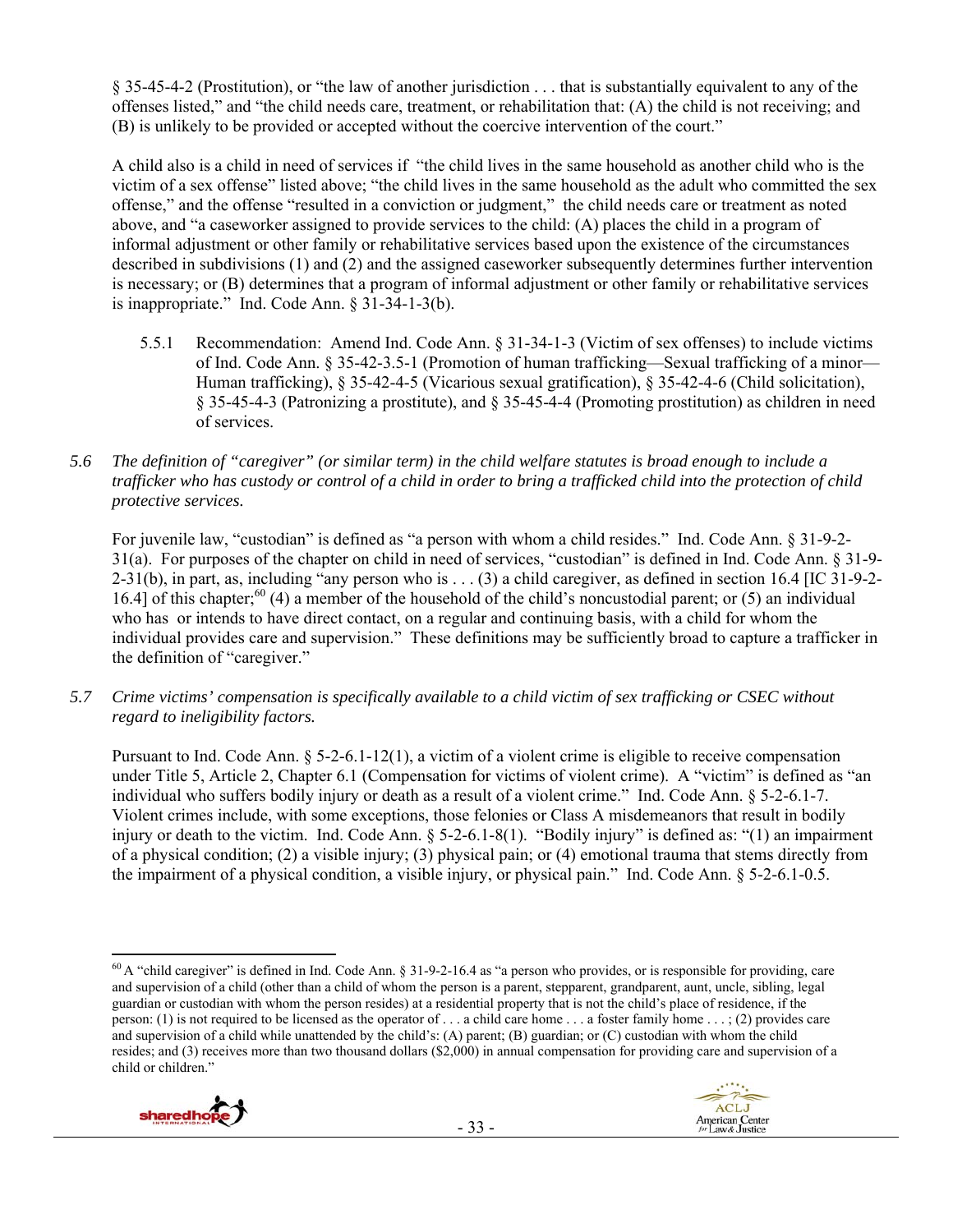§ 35-45-4-2 (Prostitution), or "the law of another jurisdiction . . . that is substantially equivalent to any of the offenses listed," and "the child needs care, treatment, or rehabilitation that: (A) the child is not receiving; and (B) is unlikely to be provided or accepted without the coercive intervention of the court."

A child also is a child in need of services if "the child lives in the same household as another child who is the victim of a sex offense" listed above; "the child lives in the same household as the adult who committed the sex offense," and the offense "resulted in a conviction or judgment," the child needs care or treatment as noted above, and "a caseworker assigned to provide services to the child: (A) places the child in a program of informal adjustment or other family or rehabilitative services based upon the existence of the circumstances described in subdivisions (1) and (2) and the assigned caseworker subsequently determines further intervention is necessary; or (B) determines that a program of informal adjustment or other family or rehabilitative services is inappropriate." Ind. Code Ann. § 31-34-1-3(b).

- 5.5.1 Recommendation: Amend Ind. Code Ann. § 31-34-1-3 (Victim of sex offenses) to include victims of Ind. Code Ann. § 35-42-3.5-1 (Promotion of human trafficking—Sexual trafficking of a minor— Human trafficking), § 35-42-4-5 (Vicarious sexual gratification), § 35-42-4-6 (Child solicitation), § 35-45-4-3 (Patronizing a prostitute), and § 35-45-4-4 (Promoting prostitution) as children in need of services.
- *5.6 The definition of "caregiver" (or similar term) in the child welfare statutes is broad enough to include a trafficker who has custody or control of a child in order to bring a trafficked child into the protection of child protective services.*

For juvenile law, "custodian" is defined as "a person with whom a child resides." Ind. Code Ann. § 31-9-2- 31(a). For purposes of the chapter on child in need of services, "custodian" is defined in Ind. Code Ann. § 31-9-  $2-31(b)$ , in part, as, including "any person who is . . . (3) a child caregiver, as defined in section 16.4 [IC 31-9-2-16.4] of this chapter; $^{60}$  (4) a member of the household of the child's noncustodial parent; or (5) an individual who has or intends to have direct contact, on a regular and continuing basis, with a child for whom the individual provides care and supervision." These definitions may be sufficiently broad to capture a trafficker in the definition of "caregiver."

*5.7 Crime victims' compensation is specifically available to a child victim of sex trafficking or CSEC without regard to ineligibility factors.* 

Pursuant to Ind. Code Ann. § 5-2-6.1-12(1), a victim of a violent crime is eligible to receive compensation under Title 5, Article 2, Chapter 6.1 (Compensation for victims of violent crime). A "victim" is defined as "an individual who suffers bodily injury or death as a result of a violent crime." Ind. Code Ann. § 5-2-6.1-7. Violent crimes include, with some exceptions, those felonies or Class A misdemeanors that result in bodily injury or death to the victim. Ind. Code Ann. § 5-2-6.1-8(1). "Bodily injury" is defined as: "(1) an impairment of a physical condition; (2) a visible injury; (3) physical pain; or (4) emotional trauma that stems directly from the impairment of a physical condition, a visible injury, or physical pain." Ind. Code Ann. § 5-2-6.1-0.5.

- 33 -





 $^{60}$  A "child caregiver" is defined in Ind. Code Ann. § 31-9-2-16.4 as "a person who provides, or is responsible for providing, care and supervision of a child (other than a child of whom the person is a parent, stepparent, grandparent, aunt, uncle, sibling, legal guardian or custodian with whom the person resides) at a residential property that is not the child's place of residence, if the person: (1) is not required to be licensed as the operator of . . . a child care home . . . a foster family home . . . ; (2) provides care and supervision of a child while unattended by the child's: (A) parent; (B) guardian; or (C) custodian with whom the child resides; and (3) receives more than two thousand dollars (\$2,000) in annual compensation for providing care and supervision of a child or children."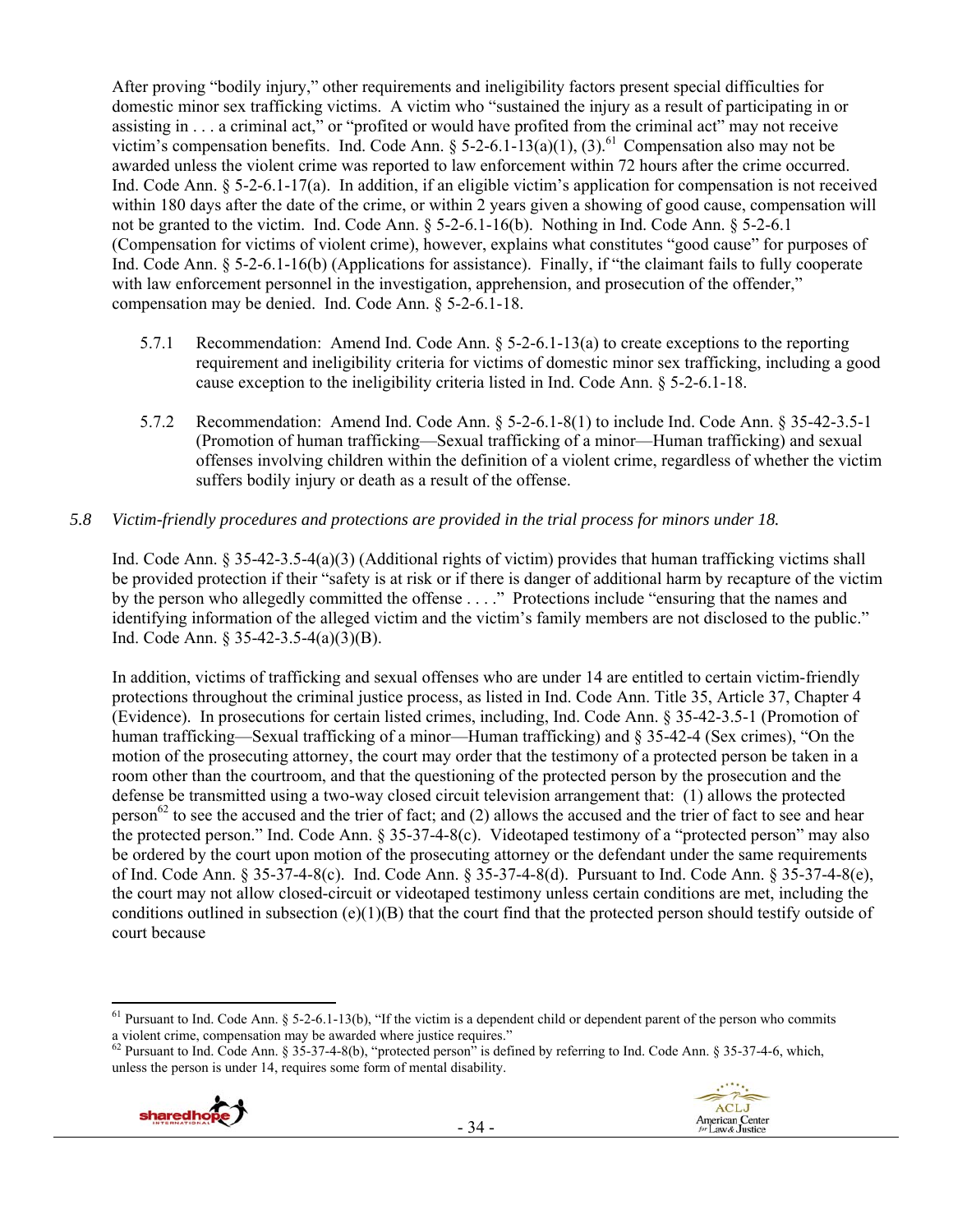After proving "bodily injury," other requirements and ineligibility factors present special difficulties for domestic minor sex trafficking victims. A victim who "sustained the injury as a result of participating in or assisting in . . . a criminal act," or "profited or would have profited from the criminal act" may not receive victim's compensation benefits. Ind. Code Ann.  $\S$  5-2-6.1-13(a)(1), (3).<sup>61</sup> Compensation also may not be awarded unless the violent crime was reported to law enforcement within 72 hours after the crime occurred. Ind. Code Ann.  $\S$  5-2-6.1-17(a). In addition, if an eligible victim's application for compensation is not received within 180 days after the date of the crime, or within 2 years given a showing of good cause, compensation will not be granted to the victim. Ind. Code Ann. § 5-2-6.1-16(b). Nothing in Ind. Code Ann. § 5-2-6.1 (Compensation for victims of violent crime), however, explains what constitutes "good cause" for purposes of Ind. Code Ann. § 5-2-6.1-16(b) (Applications for assistance). Finally, if "the claimant fails to fully cooperate with law enforcement personnel in the investigation, apprehension, and prosecution of the offender," compensation may be denied. Ind. Code Ann. § 5-2-6.1-18.

- 5.7.1 Recommendation: Amend Ind. Code Ann. § 5-2-6.1-13(a) to create exceptions to the reporting requirement and ineligibility criteria for victims of domestic minor sex trafficking, including a good cause exception to the ineligibility criteria listed in Ind. Code Ann. § 5-2-6.1-18.
- 5.7.2 Recommendation: Amend Ind. Code Ann. § 5-2-6.1-8(1) to include Ind. Code Ann. § 35-42-3.5-1 (Promotion of human trafficking—Sexual trafficking of a minor—Human trafficking) and sexual offenses involving children within the definition of a violent crime, regardless of whether the victim suffers bodily injury or death as a result of the offense.

# *5.8 Victim-friendly procedures and protections are provided in the trial process for minors under 18.*

Ind. Code Ann. § 35-42-3.5-4(a)(3) (Additional rights of victim) provides that human trafficking victims shall be provided protection if their "safety is at risk or if there is danger of additional harm by recapture of the victim by the person who allegedly committed the offense . . . ." Protections include "ensuring that the names and identifying information of the alleged victim and the victim's family members are not disclosed to the public." Ind. Code Ann. § 35-42-3.5-4(a)(3)(B).

In addition, victims of trafficking and sexual offenses who are under 14 are entitled to certain victim-friendly protections throughout the criminal justice process, as listed in Ind. Code Ann. Title 35, Article 37, Chapter 4 (Evidence). In prosecutions for certain listed crimes, including, Ind. Code Ann. § 35-42-3.5-1 (Promotion of human trafficking—Sexual trafficking of a minor—Human trafficking) and § 35-42-4 (Sex crimes), "On the motion of the prosecuting attorney, the court may order that the testimony of a protected person be taken in a room other than the courtroom, and that the questioning of the protected person by the prosecution and the defense be transmitted using a two-way closed circuit television arrangement that: (1) allows the protected person<sup>62</sup> to see the accused and the trier of fact; and (2) allows the accused and the trier of fact to see and hear the protected person." Ind. Code Ann. § 35-37-4-8(c). Videotaped testimony of a "protected person" may also be ordered by the court upon motion of the prosecuting attorney or the defendant under the same requirements of Ind. Code Ann. § 35-37-4-8(c). Ind. Code Ann. § 35-37-4-8(d). Pursuant to Ind. Code Ann. § 35-37-4-8(e), the court may not allow closed-circuit or videotaped testimony unless certain conditions are met, including the conditions outlined in subsection  $(e)(1)(B)$  that the court find that the protected person should testify outside of court because

 $62$  Pursuant to Ind. Code Ann. § 35-37-4-8(b), "protected person" is defined by referring to Ind. Code Ann. § 35-37-4-6, which, unless the person is under 14, requires some form of mental disability.



 <sup>61</sup> Pursuant to Ind. Code Ann. § 5-2-6.1-13(b), "If the victim is a dependent child or dependent parent of the person who commits a violent crime, compensation may be awarded where justice requires."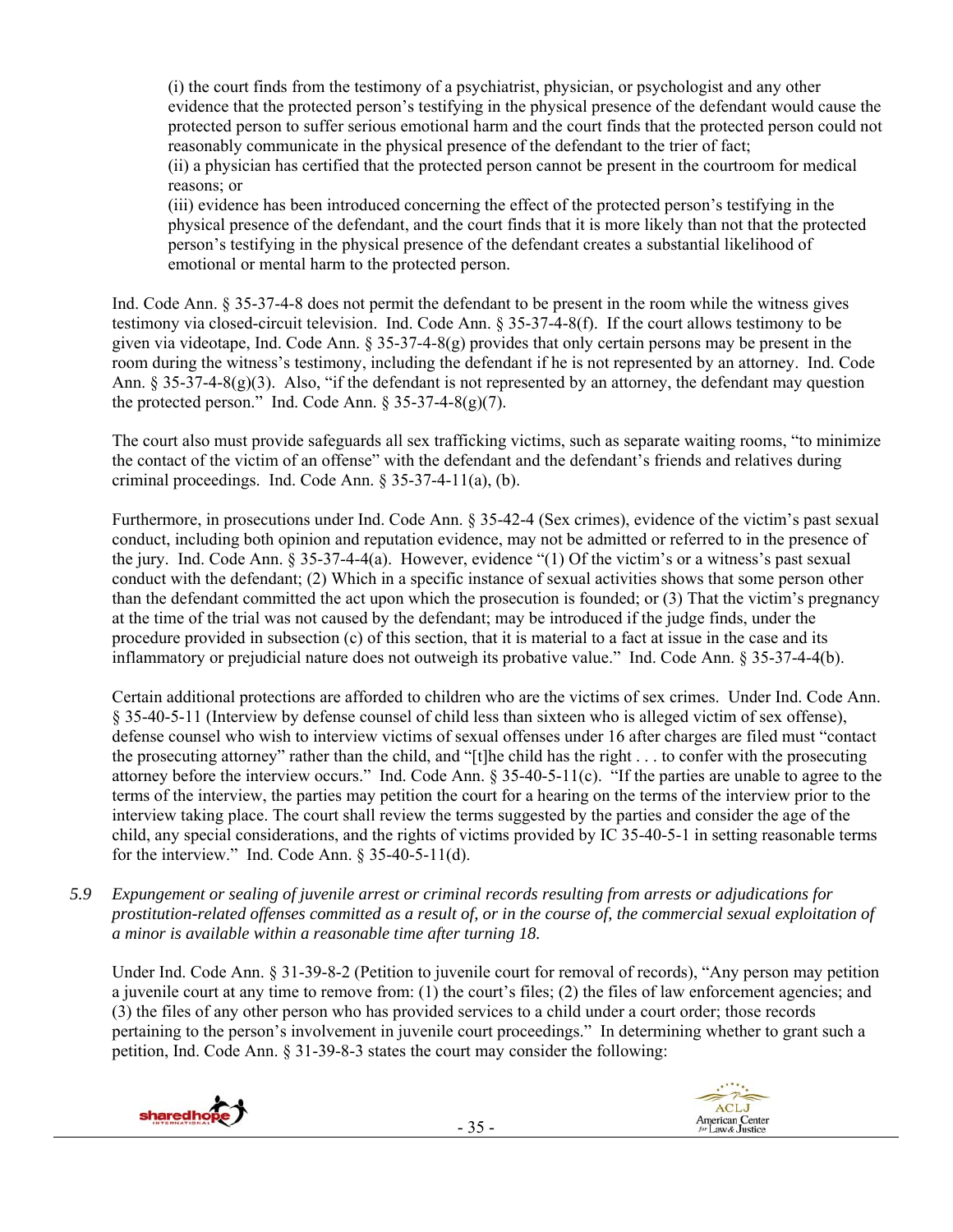(i) the court finds from the testimony of a psychiatrist, physician, or psychologist and any other evidence that the protected person's testifying in the physical presence of the defendant would cause the protected person to suffer serious emotional harm and the court finds that the protected person could not reasonably communicate in the physical presence of the defendant to the trier of fact; (ii) a physician has certified that the protected person cannot be present in the courtroom for medical reasons; or

(iii) evidence has been introduced concerning the effect of the protected person's testifying in the physical presence of the defendant, and the court finds that it is more likely than not that the protected person's testifying in the physical presence of the defendant creates a substantial likelihood of emotional or mental harm to the protected person.

Ind. Code Ann. § 35-37-4-8 does not permit the defendant to be present in the room while the witness gives testimony via closed-circuit television. Ind. Code Ann. § 35-37-4-8(f). If the court allows testimony to be given via videotape, Ind. Code Ann. § 35-37-4-8(g) provides that only certain persons may be present in the room during the witness's testimony, including the defendant if he is not represented by an attorney. Ind. Code Ann. § 35-37-4-8(g)(3). Also, "if the defendant is not represented by an attorney, the defendant may question the protected person." Ind. Code Ann.  $\S 35-37-4-8(g)(7)$ .

The court also must provide safeguards all sex trafficking victims, such as separate waiting rooms, "to minimize the contact of the victim of an offense" with the defendant and the defendant's friends and relatives during criminal proceedings. Ind. Code Ann. § 35-37-4-11(a), (b).

Furthermore, in prosecutions under Ind. Code Ann. § 35-42-4 (Sex crimes), evidence of the victim's past sexual conduct, including both opinion and reputation evidence, may not be admitted or referred to in the presence of the jury. Ind. Code Ann. § 35-37-4-4(a). However, evidence "(1) Of the victim's or a witness's past sexual conduct with the defendant; (2) Which in a specific instance of sexual activities shows that some person other than the defendant committed the act upon which the prosecution is founded; or (3) That the victim's pregnancy at the time of the trial was not caused by the defendant; may be introduced if the judge finds, under the procedure provided in subsection (c) of this section, that it is material to a fact at issue in the case and its inflammatory or prejudicial nature does not outweigh its probative value." Ind. Code Ann. § 35-37-4-4(b).

Certain additional protections are afforded to children who are the victims of sex crimes. Under Ind. Code Ann. § 35-40-5-11 (Interview by defense counsel of child less than sixteen who is alleged victim of sex offense), defense counsel who wish to interview victims of sexual offenses under 16 after charges are filed must "contact the prosecuting attorney" rather than the child, and "[t]he child has the right . . . to confer with the prosecuting attorney before the interview occurs." Ind. Code Ann. § 35-40-5-11(c). "If the parties are unable to agree to the terms of the interview, the parties may petition the court for a hearing on the terms of the interview prior to the interview taking place. The court shall review the terms suggested by the parties and consider the age of the child, any special considerations, and the rights of victims provided by IC 35-40-5-1 in setting reasonable terms for the interview." Ind. Code Ann.  $\S 35-40-5-11(d)$ .

*5.9 Expungement or sealing of juvenile arrest or criminal records resulting from arrests or adjudications for prostitution-related offenses committed as a result of, or in the course of, the commercial sexual exploitation of a minor is available within a reasonable time after turning 18.* 

Under Ind. Code Ann. § 31-39-8-2 (Petition to juvenile court for removal of records), "Any person may petition a juvenile court at any time to remove from: (1) the court's files; (2) the files of law enforcement agencies; and (3) the files of any other person who has provided services to a child under a court order; those records pertaining to the person's involvement in juvenile court proceedings." In determining whether to grant such a petition, Ind. Code Ann. § 31-39-8-3 states the court may consider the following:

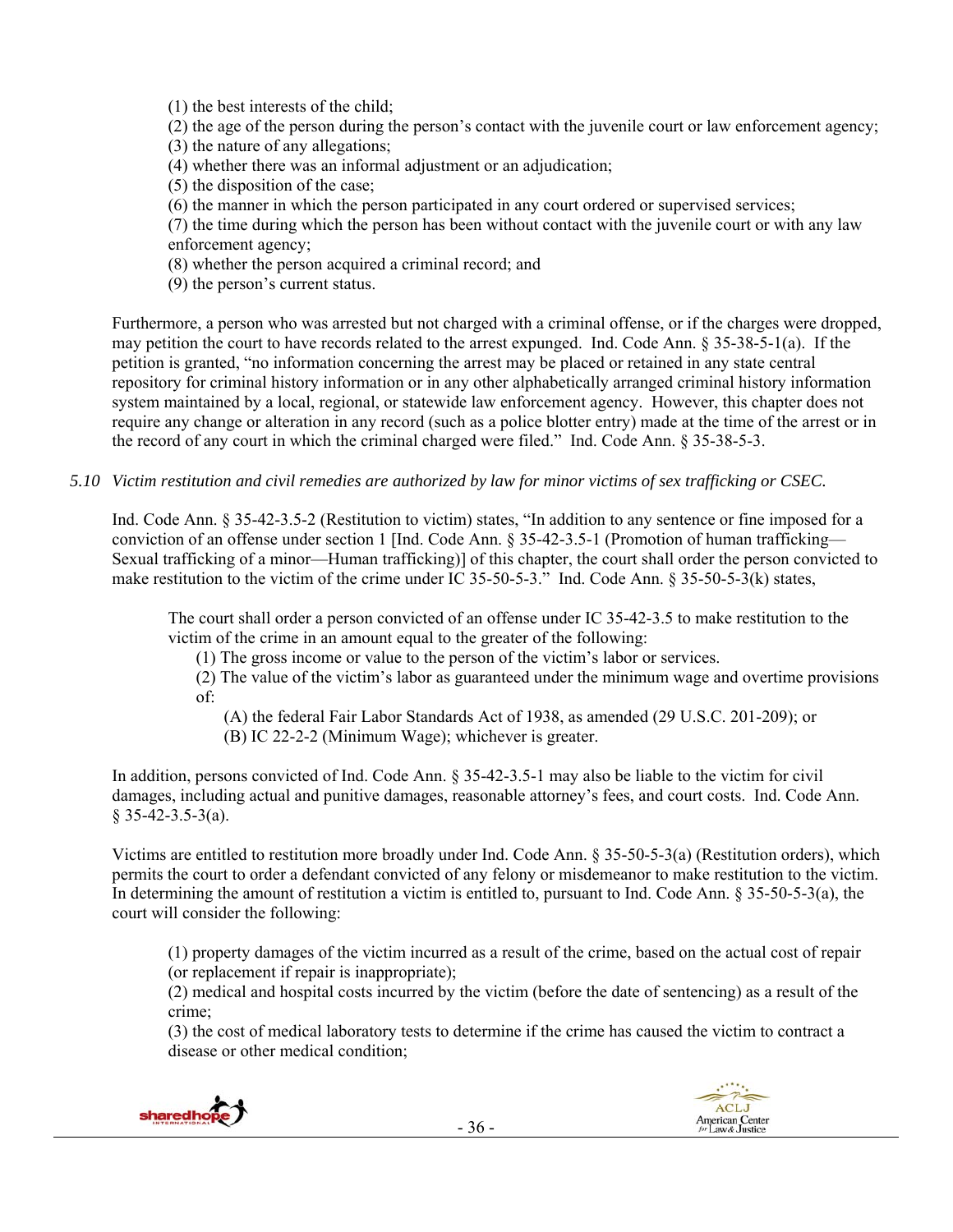(1) the best interests of the child;

(2) the age of the person during the person's contact with the juvenile court or law enforcement agency;

(3) the nature of any allegations;

(4) whether there was an informal adjustment or an adjudication;

(5) the disposition of the case;

(6) the manner in which the person participated in any court ordered or supervised services;

(7) the time during which the person has been without contact with the juvenile court or with any law enforcement agency;

(8) whether the person acquired a criminal record; and

(9) the person's current status.

Furthermore, a person who was arrested but not charged with a criminal offense, or if the charges were dropped, may petition the court to have records related to the arrest expunged. Ind. Code Ann. § 35-38-5-1(a). If the petition is granted, "no information concerning the arrest may be placed or retained in any state central repository for criminal history information or in any other alphabetically arranged criminal history information system maintained by a local, regional, or statewide law enforcement agency. However, this chapter does not require any change or alteration in any record (such as a police blotter entry) made at the time of the arrest or in the record of any court in which the criminal charged were filed." Ind. Code Ann. § 35-38-5-3.

*5.10 Victim restitution and civil remedies are authorized by law for minor victims of sex trafficking or CSEC.* 

Ind. Code Ann. § 35-42-3.5-2 (Restitution to victim) states, "In addition to any sentence or fine imposed for a conviction of an offense under section 1 [Ind. Code Ann. § 35-42-3.5-1 (Promotion of human trafficking— Sexual trafficking of a minor—Human trafficking)] of this chapter, the court shall order the person convicted to make restitution to the victim of the crime under IC 35-50-5-3." Ind. Code Ann. § 35-50-5-3(k) states,

The court shall order a person convicted of an offense under IC 35-42-3.5 to make restitution to the victim of the crime in an amount equal to the greater of the following:

(1) The gross income or value to the person of the victim's labor or services.

(2) The value of the victim's labor as guaranteed under the minimum wage and overtime provisions of:

(A) the federal Fair Labor Standards Act of 1938, as amended (29 U.S.C. 201-209); or

(B) IC 22-2-2 (Minimum Wage); whichever is greater.

In addition, persons convicted of Ind. Code Ann. § 35-42-3.5-1 may also be liable to the victim for civil damages, including actual and punitive damages, reasonable attorney's fees, and court costs. Ind. Code Ann.  $§$  35-42-3.5-3(a).

Victims are entitled to restitution more broadly under Ind. Code Ann. § 35-50-5-3(a) (Restitution orders), which permits the court to order a defendant convicted of any felony or misdemeanor to make restitution to the victim. In determining the amount of restitution a victim is entitled to, pursuant to Ind. Code Ann. § 35-50-5-3(a), the court will consider the following:

(1) property damages of the victim incurred as a result of the crime, based on the actual cost of repair (or replacement if repair is inappropriate);

(2) medical and hospital costs incurred by the victim (before the date of sentencing) as a result of the crime;

(3) the cost of medical laboratory tests to determine if the crime has caused the victim to contract a disease or other medical condition;



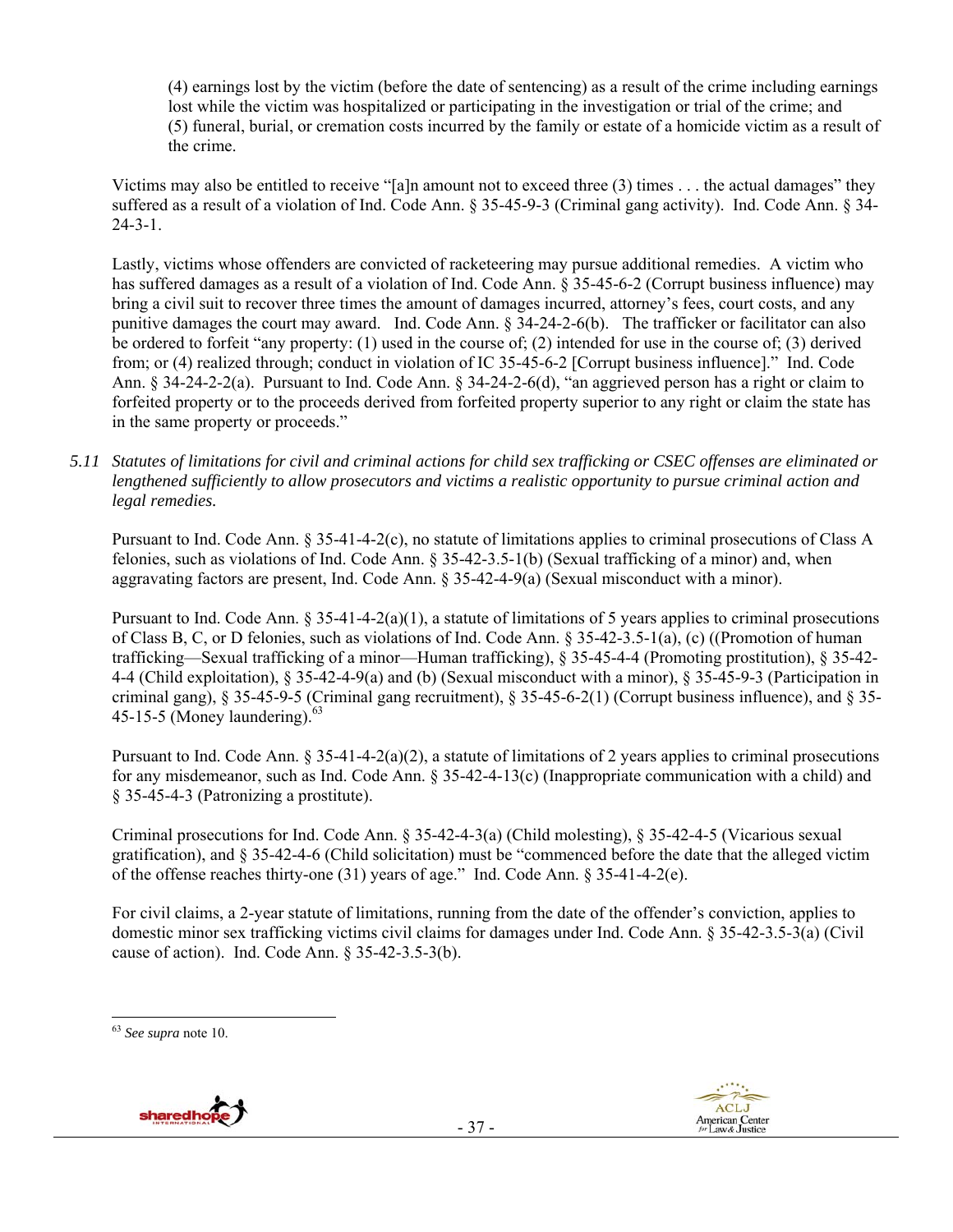(4) earnings lost by the victim (before the date of sentencing) as a result of the crime including earnings lost while the victim was hospitalized or participating in the investigation or trial of the crime; and (5) funeral, burial, or cremation costs incurred by the family or estate of a homicide victim as a result of the crime.

Victims may also be entitled to receive "[a]n amount not to exceed three (3) times . . . the actual damages" they suffered as a result of a violation of Ind. Code Ann. § 35-45-9-3 (Criminal gang activity). Ind. Code Ann. § 34- 24-3-1.

Lastly, victims whose offenders are convicted of racketeering may pursue additional remedies. A victim who has suffered damages as a result of a violation of Ind. Code Ann. § 35-45-6-2 (Corrupt business influence) may bring a civil suit to recover three times the amount of damages incurred, attorney's fees, court costs, and any punitive damages the court may award. Ind. Code Ann. § 34-24-2-6(b). The trafficker or facilitator can also be ordered to forfeit "any property: (1) used in the course of; (2) intended for use in the course of; (3) derived from; or (4) realized through; conduct in violation of IC 35-45-6-2 [Corrupt business influence]." Ind. Code Ann. § 34-24-2-2(a). Pursuant to Ind. Code Ann. § 34-24-2-6(d), "an aggrieved person has a right or claim to forfeited property or to the proceeds derived from forfeited property superior to any right or claim the state has in the same property or proceeds."

*5.11 Statutes of limitations for civil and criminal actions for child sex trafficking or CSEC offenses are eliminated or lengthened sufficiently to allow prosecutors and victims a realistic opportunity to pursue criminal action and legal remedies.* 

Pursuant to Ind. Code Ann. § 35-41-4-2(c), no statute of limitations applies to criminal prosecutions of Class A felonies, such as violations of Ind. Code Ann. § 35-42-3.5-1(b) (Sexual trafficking of a minor) and, when aggravating factors are present, Ind. Code Ann. § 35-42-4-9(a) (Sexual misconduct with a minor).

Pursuant to Ind. Code Ann.  $\S 35-41-4-2(a)(1)$ , a statute of limitations of 5 years applies to criminal prosecutions of Class B, C, or D felonies, such as violations of Ind. Code Ann. § 35-42-3.5-1(a), (c) ((Promotion of human trafficking—Sexual trafficking of a minor—Human trafficking), § 35-45-4-4 (Promoting prostitution), § 35-42- 4-4 (Child exploitation), § 35-42-4-9(a) and (b) (Sexual misconduct with a minor), § 35-45-9-3 (Participation in criminal gang),  $\S 35-45-9-5$  (Criminal gang recruitment),  $\S 35-45-6-2(1)$  (Corrupt business influence), and  $\S 35-$ 45-15-5 (Money laundering). $^{63}$ 

Pursuant to Ind. Code Ann.  $\S 35-41-4-2(a)(2)$ , a statute of limitations of 2 years applies to criminal prosecutions for any misdemeanor, such as Ind. Code Ann.  $\S 35-42-4-13(c)$  (Inappropriate communication with a child) and § 35-45-4-3 (Patronizing a prostitute).

Criminal prosecutions for Ind. Code Ann. § 35-42-4-3(a) (Child molesting), § 35-42-4-5 (Vicarious sexual gratification), and § 35-42-4-6 (Child solicitation) must be "commenced before the date that the alleged victim of the offense reaches thirty-one (31) years of age." Ind. Code Ann. § 35-41-4-2(e).

For civil claims, a 2-year statute of limitations, running from the date of the offender's conviction, applies to domestic minor sex trafficking victims civil claims for damages under Ind. Code Ann. § 35-42-3.5-3(a) (Civil cause of action). Ind. Code Ann. § 35-42-3.5-3(b).

<sup>63</sup> *See supra* note 10.



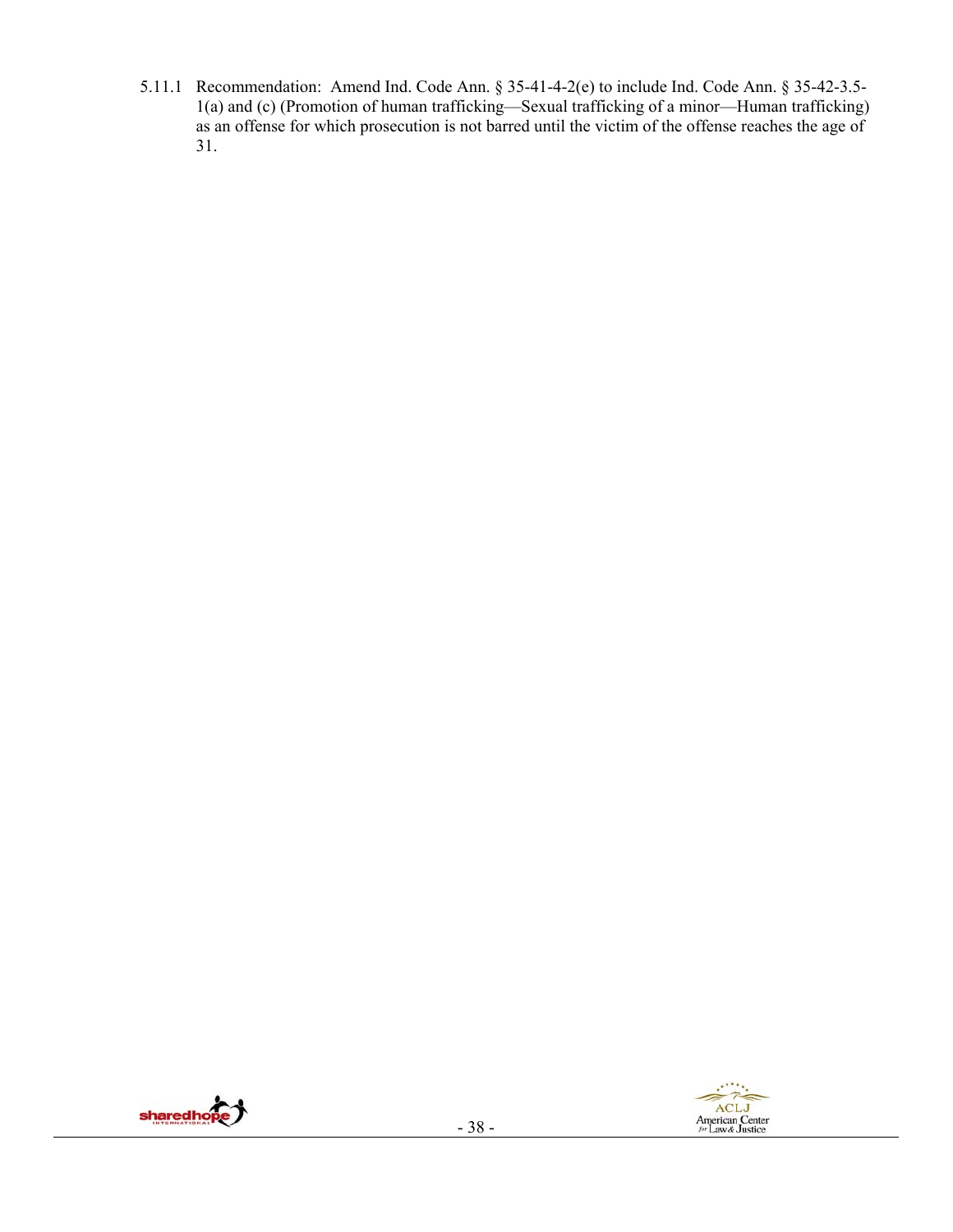5.11.1 Recommendation: Amend Ind. Code Ann. § 35-41-4-2(e) to include Ind. Code Ann. § 35-42-3.5- 1(a) and (c) (Promotion of human trafficking—Sexual trafficking of a minor—Human trafficking) as an offense for which prosecution is not barred until the victim of the offense reaches the age of 31.



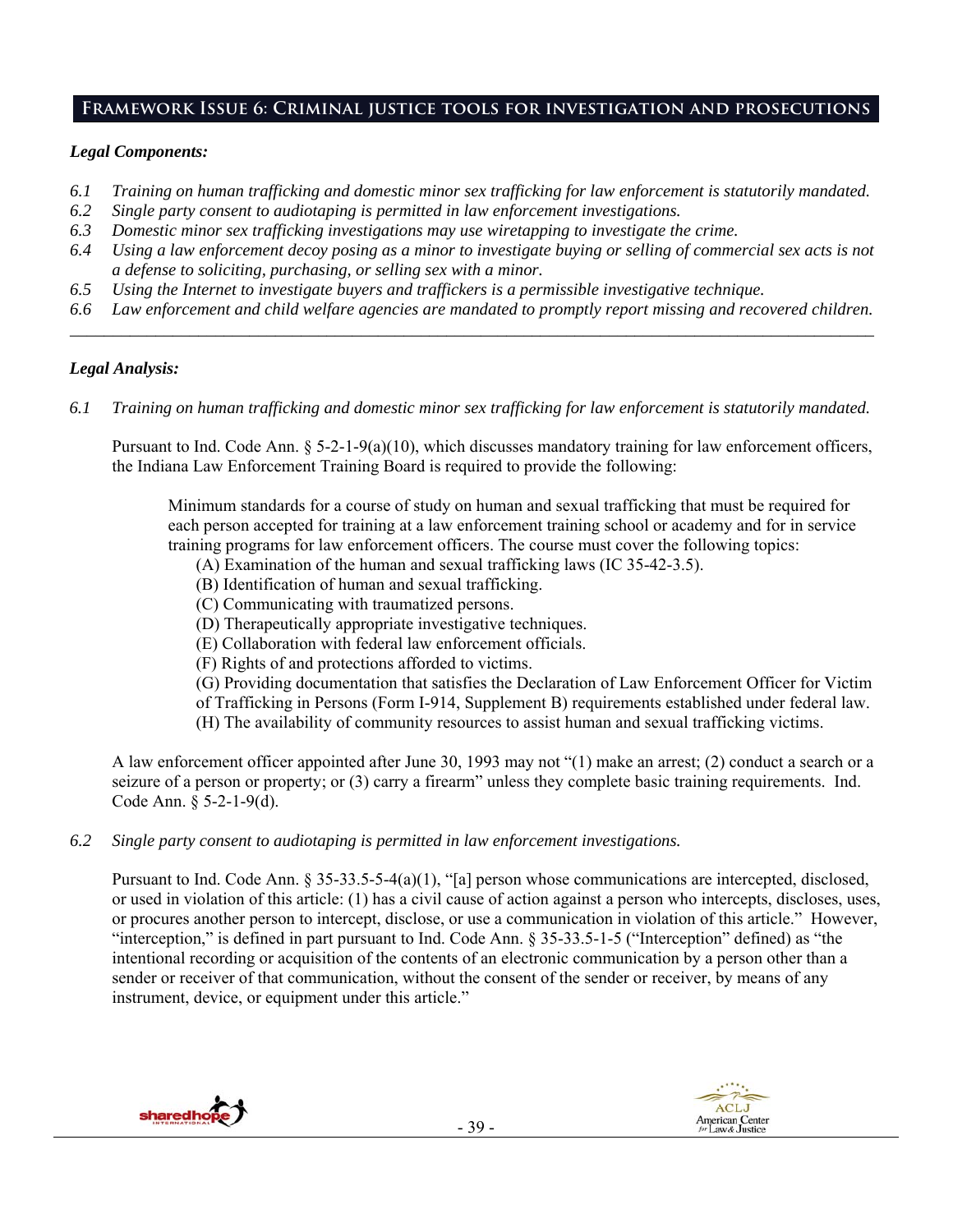# **Framework Issue 6: Criminal justice tools for investigation and prosecutions**

# *Legal Components:*

- *6.1 Training on human trafficking and domestic minor sex trafficking for law enforcement is statutorily mandated.*
- *6.2 Single party consent to audiotaping is permitted in law enforcement investigations.*
- *6.3 Domestic minor sex trafficking investigations may use wiretapping to investigate the crime.*
- *6.4 Using a law enforcement decoy posing as a minor to investigate buying or selling of commercial sex acts is not a defense to soliciting, purchasing, or selling sex with a minor.*
- *6.5 Using the Internet to investigate buyers and traffickers is a permissible investigative technique.*
- *6.6 Law enforcement and child welfare agencies are mandated to promptly report missing and recovered children. \_\_\_\_\_\_\_\_\_\_\_\_\_\_\_\_\_\_\_\_\_\_\_\_\_\_\_\_\_\_\_\_\_\_\_\_\_\_\_\_\_\_\_\_\_\_\_\_\_\_\_\_\_\_\_\_\_\_\_\_\_\_\_\_\_\_\_\_\_\_\_\_\_\_\_\_\_\_\_\_\_\_\_\_\_\_\_\_\_\_\_\_\_\_*

# *Legal Analysis:*

*6.1 Training on human trafficking and domestic minor sex trafficking for law enforcement is statutorily mandated.*

Pursuant to Ind. Code Ann.  $\S 5-2-1-9(a)(10)$ , which discusses mandatory training for law enforcement officers, the Indiana Law Enforcement Training Board is required to provide the following:

Minimum standards for a course of study on human and sexual trafficking that must be required for each person accepted for training at a law enforcement training school or academy and for in service training programs for law enforcement officers. The course must cover the following topics:

- (A) Examination of the human and sexual trafficking laws (IC 35-42-3.5).
- (B) Identification of human and sexual trafficking.
- (C) Communicating with traumatized persons.
- (D) Therapeutically appropriate investigative techniques.
- (E) Collaboration with federal law enforcement officials.
- (F) Rights of and protections afforded to victims.
- (G) Providing documentation that satisfies the Declaration of Law Enforcement Officer for Victim
- of Trafficking in Persons (Form I-914, Supplement B) requirements established under federal law.
- (H) The availability of community resources to assist human and sexual trafficking victims.

A law enforcement officer appointed after June 30, 1993 may not "(1) make an arrest; (2) conduct a search or a seizure of a person or property; or (3) carry a firearm" unless they complete basic training requirements. Ind. Code Ann. § 5-2-1-9(d).

*6.2 Single party consent to audiotaping is permitted in law enforcement investigations.* 

Pursuant to Ind. Code Ann. § 35-33.5-5-4(a)(1), "[a] person whose communications are intercepted, disclosed, or used in violation of this article: (1) has a civil cause of action against a person who intercepts, discloses, uses, or procures another person to intercept, disclose, or use a communication in violation of this article." However, "interception," is defined in part pursuant to Ind. Code Ann. § 35-33.5-1-5 ("Interception" defined) as "the intentional recording or acquisition of the contents of an electronic communication by a person other than a sender or receiver of that communication, without the consent of the sender or receiver, by means of any instrument, device, or equipment under this article."

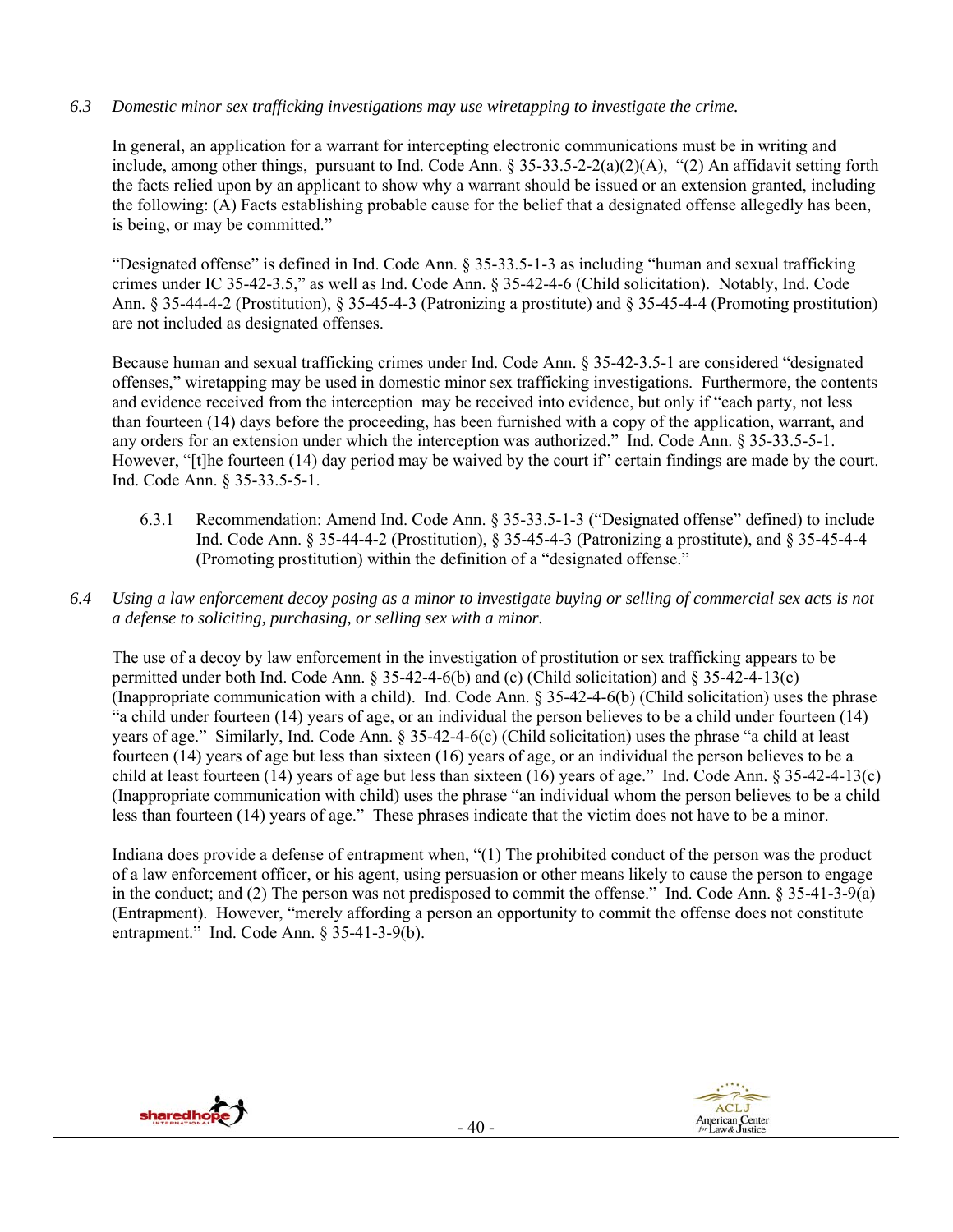# *6.3 Domestic minor sex trafficking investigations may use wiretapping to investigate the crime.*

In general, an application for a warrant for intercepting electronic communications must be in writing and include, among other things, pursuant to Ind. Code Ann. § 35-33.5-2-2(a)(2)(A), "(2) An affidavit setting forth the facts relied upon by an applicant to show why a warrant should be issued or an extension granted, including the following: (A) Facts establishing probable cause for the belief that a designated offense allegedly has been, is being, or may be committed."

"Designated offense" is defined in Ind. Code Ann. § 35-33.5-1-3 as including "human and sexual trafficking crimes under IC 35-42-3.5," as well as Ind. Code Ann. § 35-42-4-6 (Child solicitation). Notably, Ind. Code Ann. § 35-44-4-2 (Prostitution), § 35-45-4-3 (Patronizing a prostitute) and § 35-45-4-4 (Promoting prostitution) are not included as designated offenses.

Because human and sexual trafficking crimes under Ind. Code Ann. § 35-42-3.5-1 are considered "designated offenses," wiretapping may be used in domestic minor sex trafficking investigations. Furthermore, the contents and evidence received from the interception may be received into evidence, but only if "each party, not less than fourteen (14) days before the proceeding, has been furnished with a copy of the application, warrant, and any orders for an extension under which the interception was authorized." Ind. Code Ann. § 35-33.5-5-1. However, "[t]he fourteen (14) day period may be waived by the court if" certain findings are made by the court. Ind. Code Ann. § 35-33.5-5-1.

- 6.3.1 Recommendation: Amend Ind. Code Ann. § 35-33.5-1-3 ("Designated offense" defined) to include Ind. Code Ann. § 35-44-4-2 (Prostitution), § 35-45-4-3 (Patronizing a prostitute), and § 35-45-4-4 (Promoting prostitution) within the definition of a "designated offense."
- *6.4 Using a law enforcement decoy posing as a minor to investigate buying or selling of commercial sex acts is not a defense to soliciting, purchasing, or selling sex with a minor.*

The use of a decoy by law enforcement in the investigation of prostitution or sex trafficking appears to be permitted under both Ind. Code Ann. § 35-42-4-6(b) and (c) (Child solicitation) and § 35-42-4-13(c) (Inappropriate communication with a child). Ind. Code Ann. § 35-42-4-6(b) (Child solicitation) uses the phrase "a child under fourteen (14) years of age, or an individual the person believes to be a child under fourteen (14) years of age." Similarly, Ind. Code Ann. § 35-42-4-6(c) (Child solicitation) uses the phrase "a child at least fourteen (14) years of age but less than sixteen (16) years of age, or an individual the person believes to be a child at least fourteen (14) years of age but less than sixteen (16) years of age." Ind. Code Ann. § 35-42-4-13(c) (Inappropriate communication with child) uses the phrase "an individual whom the person believes to be a child less than fourteen (14) years of age." These phrases indicate that the victim does not have to be a minor.

Indiana does provide a defense of entrapment when, "(1) The prohibited conduct of the person was the product of a law enforcement officer, or his agent, using persuasion or other means likely to cause the person to engage in the conduct; and (2) The person was not predisposed to commit the offense." Ind. Code Ann. § 35-41-3-9(a) (Entrapment). However, "merely affording a person an opportunity to commit the offense does not constitute entrapment." Ind. Code Ann. § 35-41-3-9(b).



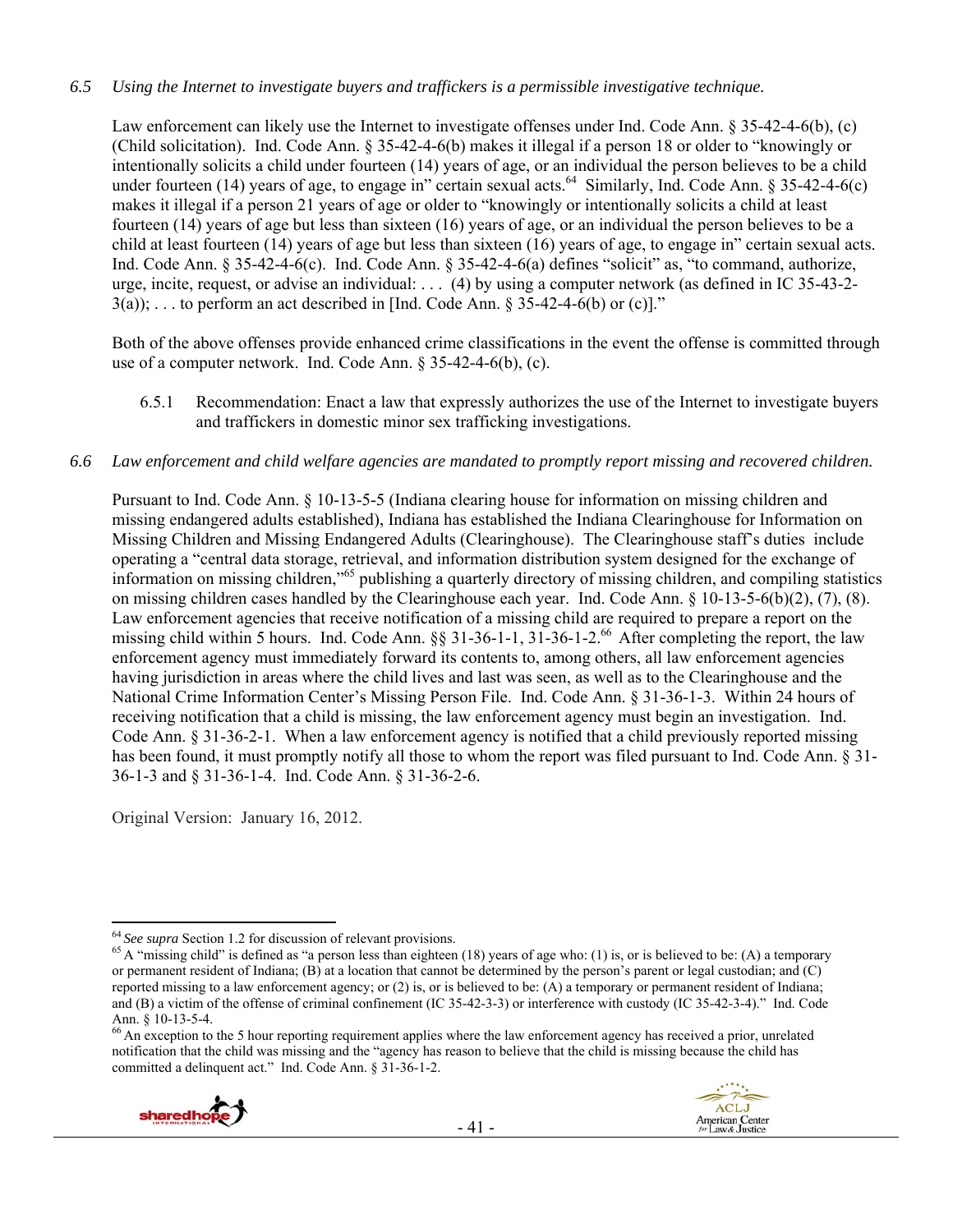#### *6.5 Using the Internet to investigate buyers and traffickers is a permissible investigative technique.*

Law enforcement can likely use the Internet to investigate offenses under Ind. Code Ann. § 35-42-4-6(b), (c) (Child solicitation). Ind. Code Ann. § 35-42-4-6(b) makes it illegal if a person 18 or older to "knowingly or intentionally solicits a child under fourteen (14) years of age, or an individual the person believes to be a child under fourteen (14) years of age, to engage in" certain sexual acts.<sup>64</sup> Similarly, Ind. Code Ann. § 35-42-4-6(c) makes it illegal if a person 21 years of age or older to "knowingly or intentionally solicits a child at least fourteen (14) years of age but less than sixteen (16) years of age, or an individual the person believes to be a child at least fourteen (14) years of age but less than sixteen (16) years of age, to engage in" certain sexual acts. Ind. Code Ann. § 35-42-4-6(c). Ind. Code Ann. § 35-42-4-6(a) defines "solicit" as, "to command, authorize, urge, incite, request, or advise an individual: . . . (4) by using a computer network (as defined in IC 35-43-2-  $3(a)$ ; ... to perform an act described in [Ind. Code Ann. § 35-42-4-6(b) or (c)]."

Both of the above offenses provide enhanced crime classifications in the event the offense is committed through use of a computer network. Ind. Code Ann. § 35-42-4-6(b), (c).

6.5.1 Recommendation: Enact a law that expressly authorizes the use of the Internet to investigate buyers and traffickers in domestic minor sex trafficking investigations.

#### *6.6 Law enforcement and child welfare agencies are mandated to promptly report missing and recovered children.*

Pursuant to Ind. Code Ann. § 10-13-5-5 (Indiana clearing house for information on missing children and missing endangered adults established), Indiana has established the Indiana Clearinghouse for Information on Missing Children and Missing Endangered Adults (Clearinghouse). The Clearinghouse staff's duties include operating a "central data storage, retrieval, and information distribution system designed for the exchange of information on missing children,"65 publishing a quarterly directory of missing children, and compiling statistics on missing children cases handled by the Clearinghouse each year. Ind. Code Ann. § 10-13-5-6(b)(2), (7), (8). Law enforcement agencies that receive notification of a missing child are required to prepare a report on the missing child within 5 hours. Ind. Code Ann. §§ 31-36-1-1, 31-36-1-2.66 After completing the report, the law enforcement agency must immediately forward its contents to, among others, all law enforcement agencies having jurisdiction in areas where the child lives and last was seen, as well as to the Clearinghouse and the National Crime Information Center's Missing Person File. Ind. Code Ann. § 31-36-1-3. Within 24 hours of receiving notification that a child is missing, the law enforcement agency must begin an investigation. Ind. Code Ann. § 31-36-2-1. When a law enforcement agency is notified that a child previously reported missing has been found, it must promptly notify all those to whom the report was filed pursuant to Ind. Code Ann. § 31- 36-1-3 and § 31-36-1-4. Ind. Code Ann. § 31-36-2-6.

Original Version: January 16, 2012.

<sup>&</sup>lt;sup>66</sup> An exception to the 5 hour reporting requirement applies where the law enforcement agency has received a prior, unrelated notification that the child was missing and the "agency has reason to believe that the child is missing because the child has committed a delinquent act." Ind. Code Ann. § 31-36-1-2.



<sup>&</sup>lt;sup>64</sup> See supra Section 1.2 for discussion of relevant provisions.<br><sup>65</sup> A "missing child" is defined as "a person less than eighteen (18) years of age who: (1) is, or is believed to be: (A) a temporary or permanent resident of Indiana; (B) at a location that cannot be determined by the person's parent or legal custodian; and (C) reported missing to a law enforcement agency; or (2) is, or is believed to be: (A) a temporary or permanent resident of Indiana; and (B) a victim of the offense of criminal confinement (IC 35-42-3-3) or interference with custody (IC 35-42-3-4)." Ind. Code Ann. § 10-13-5-4.